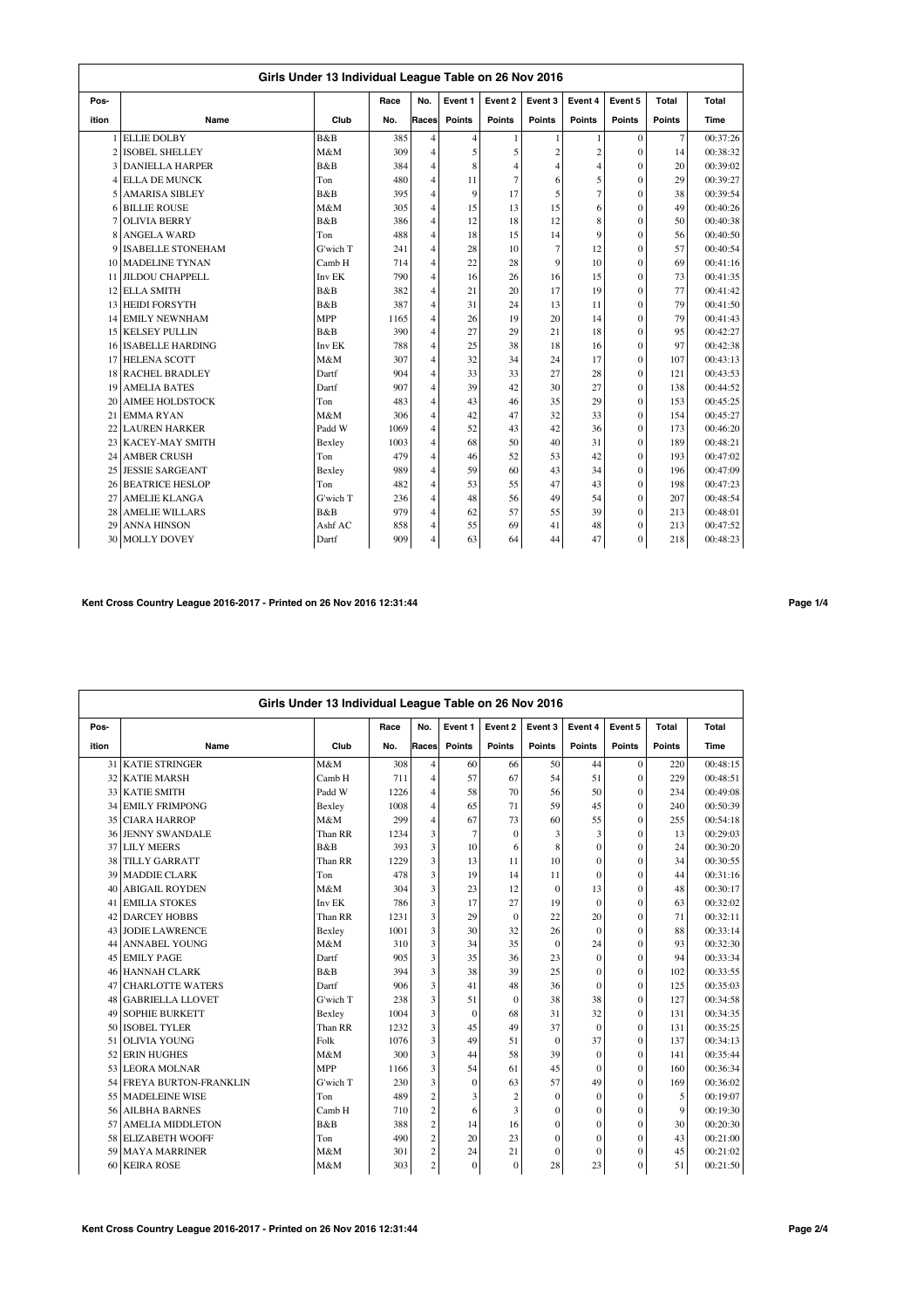|       | Girls Under 13 Individual League Table on 26 Nov 2016 |                |      |                |                |         |                |                |              |                |          |  |  |  |
|-------|-------------------------------------------------------|----------------|------|----------------|----------------|---------|----------------|----------------|--------------|----------------|----------|--|--|--|
| Pos-  |                                                       |                | Race | No.            | Event 1        | Event 2 | Event 3        | Event 4        | Event 5      | Total          | Total    |  |  |  |
| ition | Name                                                  | Club           | No.  | Races          | <b>Points</b>  | Points  | Points         | <b>Points</b>  | Points       | Points         | Time     |  |  |  |
|       | 1 ELLIE DOLBY                                         | <b>B&amp;B</b> | 385  | $\overline{4}$ | $\overline{4}$ | 1       | 1              | 1              | $\theta$     | $\overline{7}$ | 00:37:26 |  |  |  |
|       | 2 ISOBEL SHELLEY                                      | M&M            | 309  | $\overline{4}$ | 5              | 5       | $\overline{c}$ | $\overline{2}$ | $\theta$     | 14             | 00:38:32 |  |  |  |
|       | <b>3 DANIELLA HARPER</b>                              | B&B            | 384  | $\overline{4}$ | 8              | 4       | 4              | $\overline{4}$ | $\theta$     | 20             | 00:39:02 |  |  |  |
|       | <b>4 ELLA DE MUNCK</b>                                | Ton            | 480  | $\overline{4}$ | 11             | 7       | 6              | 5              | $\theta$     | 29             | 00:39:27 |  |  |  |
|       | 5 AMARISA SIBLEY                                      | B&B            | 395  | $\overline{4}$ | 9              | 17      | 5              | $\overline{7}$ | $\theta$     | 38             | 00:39:54 |  |  |  |
|       | <b>6 BILLIE ROUSE</b>                                 | M&M            | 305  | 4              | 15             | 13      | 15             | 6              | $\theta$     | 49             | 00:40:26 |  |  |  |
|       | <b>OLIVIA BERRY</b>                                   | B&B            | 386  | $\overline{4}$ | 12             | 18      | 12             | 8              | $\theta$     | 50             | 00:40:38 |  |  |  |
| 8     | <b>ANGELA WARD</b>                                    | Ton            | 488  | $\overline{4}$ | 18             | 15      | 14             | $\overline{9}$ | $\theta$     | 56             | 00:40:50 |  |  |  |
| 9     | <b>ISABELLE STONEHAM</b>                              | G'wich T       | 241  | $\overline{4}$ | 28             | 10      | $\overline{7}$ | 12             | $\theta$     | 57             | 00:40:54 |  |  |  |
|       | 10 MADELINE TYNAN                                     | Camb H         | 714  | $\overline{4}$ | 22             | 28      | 9              | 10             | $\theta$     | 69             | 00:41:16 |  |  |  |
|       | 11 JILDOU CHAPPELL                                    | Inv EK         | 790  | $\overline{4}$ | 16             | 26      | 16             | 15             | $\theta$     | 73             | 00:41:35 |  |  |  |
|       | 12 ELLA SMITH                                         | B&B            | 382  | $\overline{4}$ | 21             | 20      | 17             | 19             | $\theta$     | 77             | 00:41:42 |  |  |  |
| 13    | <b>HEIDI FORSYTH</b>                                  | B&B            | 387  | $\overline{4}$ | 31             | 24      | 13             | 11             | $\theta$     | 79             | 00:41:50 |  |  |  |
|       | 14 EMILY NEWNHAM                                      | <b>MPP</b>     | 1165 | $\overline{4}$ | 26             | 19      | 20             | 14             | $\Omega$     | 79             | 00:41:43 |  |  |  |
|       | <b>15 KELSEY PULLIN</b>                               | B&B            | 390  | 4              | 27             | 29      | 21             | 18             | $\theta$     | 95             | 00:42:27 |  |  |  |
|       | 16 ISABELLE HARDING                                   | Inv EK         | 788  | $\overline{4}$ | 25             | 38      | 18             | 16             | $\theta$     | 97             | 00:42:38 |  |  |  |
| 17    | <b>HELENA SCOTT</b>                                   | M&M            | 307  | $\overline{4}$ | 32             | 34      | 24             | 17             | $\mathbf{0}$ | 107            | 00:43:13 |  |  |  |
|       | 18 RACHEL BRADLEY                                     | Dartf          | 904  | 4              | 33             | 33      | 27             | 28             | $\theta$     | 121            | 00:43:53 |  |  |  |
| 19    | <b>AMELIA BATES</b>                                   | Dartf          | 907  | $\overline{4}$ | 39             | 42      | 30             | 27             | $\theta$     | 138            | 00:44:52 |  |  |  |
| 20    | <b>AIMEE HOLDSTOCK</b>                                | Ton            | 483  | 4              | 43             | 46      | 35             | 29             | $\theta$     | 153            | 00:45:25 |  |  |  |
| 21    | <b>EMMARYAN</b>                                       | M&M            | 306  | $\overline{4}$ | 42             | 47      | 32             | 33             | $\theta$     | 154            | 00:45:27 |  |  |  |
| 22    | <b>LAUREN HARKER</b>                                  | Padd W         | 1069 | 4              | 52             | 43      | 42             | 36             | $\theta$     | 173            | 00:46:20 |  |  |  |
| 23    | <b>KACEY-MAY SMITH</b>                                | Bexley         | 1003 | $\overline{4}$ | 68             | 50      | 40             | 31             | $\theta$     | 189            | 00:48:21 |  |  |  |
| 24    | <b>AMBER CRUSH</b>                                    | Ton            | 479  | $\overline{4}$ | 46             | 52      | 53             | 42             | $\theta$     | 193            | 00:47:02 |  |  |  |
| 25    | <b>JESSIE SARGEANT</b>                                | Bexley         | 989  | $\overline{4}$ | 59             | 60      | 43             | 34             | $\theta$     | 196            | 00:47:09 |  |  |  |
|       | 26 BEATRICE HESLOP                                    | Ton            | 482  | $\overline{4}$ | 53             | 55      | 47             | 43             | $\theta$     | 198            | 00:47:23 |  |  |  |
| 27    | <b>AMELIE KLANGA</b>                                  | G'wich T       | 236  | $\overline{4}$ | 48             | 56      | 49             | 54             | $\theta$     | 207            | 00:48:54 |  |  |  |
| 28    | <b>AMELIE WILLARS</b>                                 | B&B            | 979  | $\overline{4}$ | 62             | 57      | 55             | 39             | $\theta$     | 213            | 00:48:01 |  |  |  |
| 29    | <b>ANNA HINSON</b>                                    | Ashf AC        | 858  | 4              | 55             | 69      | 41             | 48             | $\theta$     | 213            | 00:47:52 |  |  |  |
| 30    | <b>MOLLY DOVEY</b>                                    | Dartf          | 909  | 4              | 63             | 64      | 44             | 47             | $\theta$     | 218            | 00:48:23 |  |  |  |

# **Kent Cross Country League 2016-2017 - Printed on 26 Nov 2016 12:31:44 Page 1/4**

|       | Girls Under 13 Individual League Table on 26 Nov 2016 |            |      |                         |              |                |               |              |               |               |          |  |  |  |
|-------|-------------------------------------------------------|------------|------|-------------------------|--------------|----------------|---------------|--------------|---------------|---------------|----------|--|--|--|
| Pos-  |                                                       |            | Race | No.                     | Event 1      | Event 2        | Event 3       | Event 4      | Event 5       | Total         | Total    |  |  |  |
| ition | Name                                                  | Club       | No.  | Races                   | Points       | Points         | <b>Points</b> | Points       | <b>Points</b> | <b>Points</b> | Time     |  |  |  |
| 31    | <b>KATIE STRINGER</b>                                 | M&M        | 308  | 4                       | 60           | 66             | 50            | 44           | $\Omega$      | 220           | 00:48:15 |  |  |  |
| 32    | <b>KATIE MARSH</b>                                    | Camb H     | 711  | $\overline{4}$          | 57           | 67             | 54            | 51           | $\theta$      | 229           | 00:48:51 |  |  |  |
| 33    | <b>KATIE SMITH</b>                                    | Padd W     | 1226 | $\overline{4}$          | 58           | 70             | 56            | 50           | $\theta$      | 234           | 00:49:08 |  |  |  |
| 34    | <b>EMILY FRIMPONG</b>                                 | Bexley     | 1008 | 4                       | 65           | 71             | 59            | 45           | $\theta$      | 240           | 00:50:39 |  |  |  |
| 35    | <b>CIARA HARROP</b>                                   | M&M        | 299  | $\overline{4}$          | 67           | 73             | 60            | 55           | $\theta$      | 255           | 00:54:18 |  |  |  |
|       | <b>36 JENNY SWANDALE</b>                              | Than RR    | 1234 | 3                       | 7            | $\Omega$       | 3             | 3            | $\theta$      | 13            | 00:29:03 |  |  |  |
| 37    | <b>LILY MEERS</b>                                     | B&B        | 393  | 3                       | 10           | 6              | 8             | $\mathbf{0}$ | $\Omega$      | 24            | 00:30:20 |  |  |  |
| 38    | <b>TILLY GARRATT</b>                                  | Than RR    | 1229 | 3                       | 13           | 11             | 10            | $\mathbf{0}$ | $\theta$      | 34            | 00:30:55 |  |  |  |
| 39    | <b>MADDIE CLARK</b>                                   | Ton        | 478  | 3                       | 19           | 14             | 11            | $\mathbf{0}$ | $\theta$      | 44            | 00:31:16 |  |  |  |
| 40    | <b>ABIGAIL ROYDEN</b>                                 | M&M        | 304  | 3                       | 23           | 12             | $\mathbf{0}$  | 13           | $\theta$      | 48            | 00:30:17 |  |  |  |
| 41    | <b>EMILIA STOKES</b>                                  | Inv EK     | 786  | 3                       | 17           | 27             | 19            | $\theta$     | $\theta$      | 63            | 00:32:02 |  |  |  |
| 42    | <b>DARCEY HOBBS</b>                                   | Than RR    | 1231 | 3                       | 29           | $\theta$       | 22            | 20           | $\theta$      | 71            | 00:32:11 |  |  |  |
| 43    | <b>JODIE LAWRENCE</b>                                 | Bexley     | 1001 | 3                       | 30           | 32             | 26            | $\mathbf{0}$ | $\mathbf{0}$  | 88            | 00:33:14 |  |  |  |
| 44    | <b>ANNABEL YOUNG</b>                                  | M&M        | 310  | $\overline{\mathbf{3}}$ | 34           | 35             | $\Omega$      | 24           | $\Omega$      | 93            | 00:32:30 |  |  |  |
| 45    | <b>EMILY PAGE</b>                                     | Dartf      | 905  | $\overline{\mathbf{3}}$ | 35           | 36             | 23            | $\Omega$     | $\Omega$      | 94            | 00:33:34 |  |  |  |
| 46    | <b>HANNAH CLARK</b>                                   | B&B        | 394  | 3                       | 38           | 39             | 25            | $\Omega$     | $\theta$      | 102           | 00:33:55 |  |  |  |
| 47    | <b>CHARLOTTE WATERS</b>                               | Dartf      | 906  | 3                       | 41           | 48             | 36            | $\mathbf{0}$ | $\theta$      | 125           | 00:35:03 |  |  |  |
| 48    | <b>GABRIELLA LLOVET</b>                               | G'wich T   | 238  | 3                       | 51           | $\theta$       | 38            | 38           | $\theta$      | 127           | 00:34:58 |  |  |  |
| 49    | <b>SOPHIE BURKETT</b>                                 | Bexley     | 1004 | 3                       | $\mathbf{0}$ | 68             | 31            | 32           | $\theta$      | 131           | 00:34:35 |  |  |  |
| 50    | <b>ISOBEL TYLER</b>                                   | Than RR    | 1232 | 3                       | 45           | 49             | 37            | $\mathbf{0}$ | $\mathbf{0}$  | 131           | 00:35:25 |  |  |  |
| 51    | <b>OLIVIA YOUNG</b>                                   | Folk       | 1076 | 3                       | 49           | 51             | $\mathbf{0}$  | 37           | $\theta$      | 137           | 00:34:13 |  |  |  |
| 52    | <b>ERIN HUGHES</b>                                    | M&M        | 300  | 3                       | 44           | 58             | 39            | $\Omega$     | $\theta$      | 141           | 00:35:44 |  |  |  |
| 53    | <b>LEORA MOLNAR</b>                                   | <b>MPP</b> | 1166 | 3                       | 54           | 61             | 45            | $\theta$     | $\theta$      | 160           | 00:36:34 |  |  |  |
| 54    | <b>FREYA BURTON-FRANKLIN</b>                          | G'wich T   | 230  | 3                       | $\mathbf{0}$ | 63             | 57            | 49           | $\theta$      | 169           | 00:36:02 |  |  |  |
| 55    | <b>MADELEINE WISE</b>                                 | Ton        | 489  | $\overline{c}$          | 3            | $\overline{c}$ | $\theta$      | $\Omega$     | $\theta$      | 5             | 00:19:07 |  |  |  |
| 56    | <b>AILBHA BARNES</b>                                  | Camb H     | 710  | $\overline{c}$          | 6            | 3              | $\mathbf{0}$  | $\mathbf{0}$ | $\theta$      | 9             | 00:19:30 |  |  |  |
| 57    | <b>AMELIA MIDDLETON</b>                               | B&B        | 388  | $\overline{c}$          | 14           | 16             | $\mathbf{0}$  | $\mathbf{0}$ | $\mathbf{0}$  | 30            | 00:20:30 |  |  |  |
| 58    | <b>ELIZABETH WOOFF</b>                                | Ton        | 490  | $\overline{c}$          | 20           | 23             | $\mathbf{0}$  | $\mathbf{0}$ | $\mathbf{0}$  | 43            | 00:21:00 |  |  |  |
| 59    | <b>MAYA MARRINER</b>                                  | M&M        | 301  | $\overline{c}$          | 24           | 21             | $\theta$      | $\theta$     | $\theta$      | 45            | 00:21:02 |  |  |  |
| 60    | <b>KEIRA ROSE</b>                                     | M&M        | 303  | $\overline{c}$          | $\mathbf{0}$ | $\mathbf{0}$   | 28            | 23           | $\theta$      | 51            | 00:21:50 |  |  |  |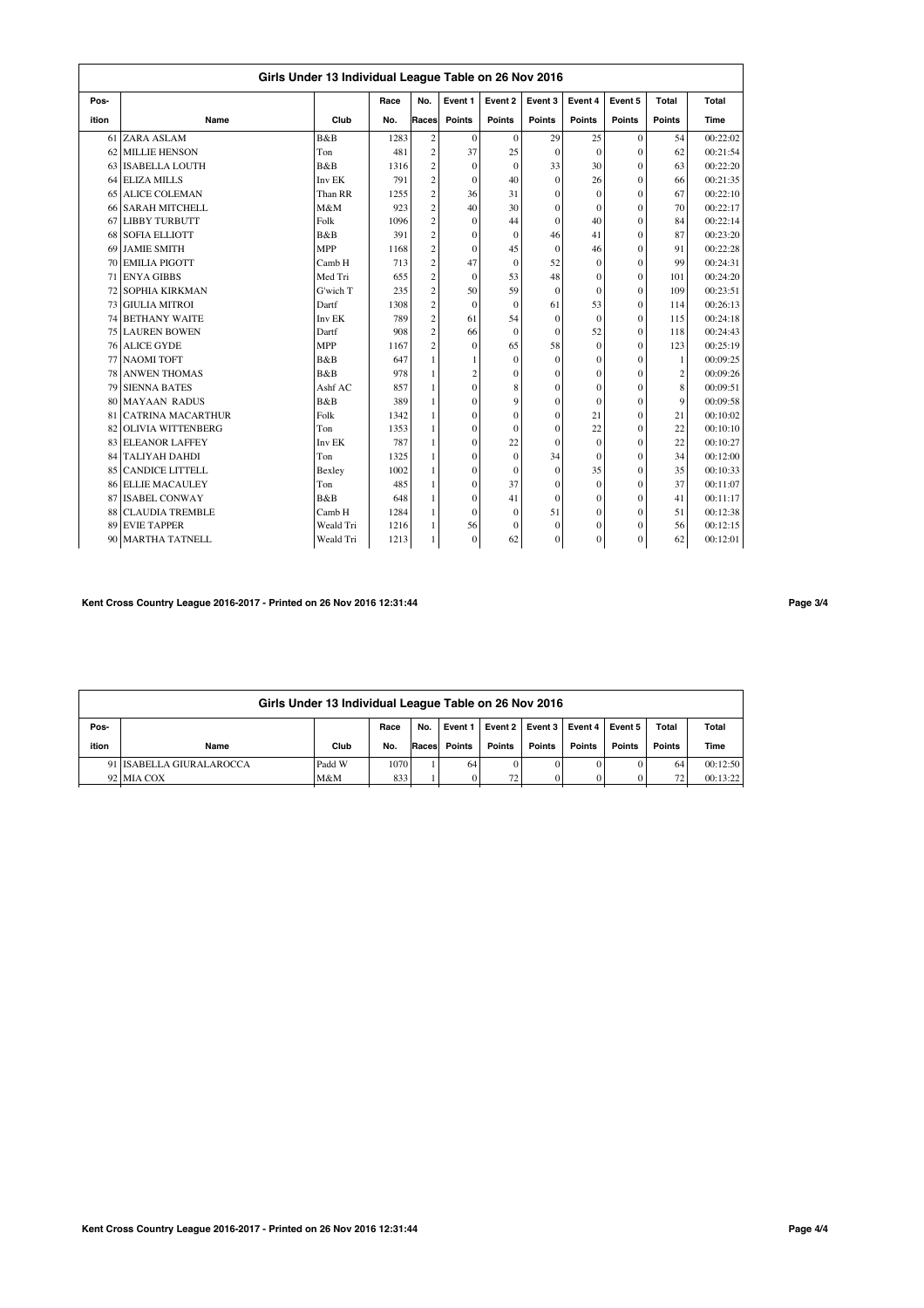|                 | Girls Under 13 Individual League Table on 26 Nov 2016 |            |      |                         |                |                |                  |          |              |                |          |  |  |  |
|-----------------|-------------------------------------------------------|------------|------|-------------------------|----------------|----------------|------------------|----------|--------------|----------------|----------|--|--|--|
| Pos-            |                                                       |            | Race | No.                     | Event 1        | Event 2        | Event 3          | Event 4  | Event 5      | Total          | Total    |  |  |  |
| ition           | Name                                                  | Club       | No.  | Races                   | Points         | Points         | Points           | Points   | Points       | <b>Points</b>  | Time     |  |  |  |
| 61 l            | ZARA ASLAM                                            | B&B        | 1283 | $\mathbf{2}$            | $\mathbf{0}$   | $\mathbf{0}$   | 29               | 25       | $\mathbf{0}$ | 54             | 00:22:02 |  |  |  |
| 62              | <b>MILLIE HENSON</b>                                  | Ton        | 481  | $\overline{c}$          | 37             | 25             | $\theta$         | $\Omega$ | $\theta$     | 62             | 00:21:54 |  |  |  |
| 63 <sup>1</sup> | <b>ISABELLA LOUTH</b>                                 | B&B        | 1316 | $\overline{c}$          | $\theta$       | $\theta$       | 33               | 30       | $\theta$     | 63             | 00:22:20 |  |  |  |
|                 | 64 ELIZA MILLS                                        | Inv EK     | 791  | $\overline{c}$          | $\theta$       | 40             | $\mathbf{0}$     | 26       | $\theta$     | 66             | 00:21:35 |  |  |  |
|                 | 65 ALICE COLEMAN                                      | Than RR    | 1255 | $\overline{c}$          | 36             | 31             | $\mathbf{0}$     | $\theta$ | $\theta$     | 67             | 00:22:10 |  |  |  |
|                 | 66 SARAH MITCHELL                                     | M&M        | 923  | $\overline{c}$          | 40             | 30             | $\mathbf{0}$     | $\theta$ | $\theta$     | 70             | 00:22:17 |  |  |  |
|                 | 67 LIBBY TURBUTT                                      | Folk       | 1096 | $\overline{c}$          | $\mathbf{0}$   | 44             | $\mathbf{0}$     | 40       | $\mathbf{0}$ | 84             | 00:22:14 |  |  |  |
| 68 l            | <b>SOFIA ELLIOTT</b>                                  | B&B        | 391  | $\overline{c}$          | $\mathbf{0}$   | $\mathbf{0}$   | 46               | 41       | $\mathbf{0}$ | 87             | 00:23:20 |  |  |  |
| 69              | <b>JAMIE SMITH</b>                                    | <b>MPP</b> | 1168 | $\overline{c}$          | $\theta$       | 45             | $\mathbf{0}$     | 46       | $\theta$     | 91             | 00:22:28 |  |  |  |
| 70              | <b>EMILIA PIGOTT</b>                                  | Camb H     | 713  | $\overline{c}$          | 47             | $\theta$       | 52               | $\theta$ | $\theta$     | 99             | 00:24:31 |  |  |  |
| 71              | <b>ENYA GIBBS</b>                                     | Med Tri    | 655  | $\overline{c}$          | $\theta$       | 53             | 48               | $\theta$ | $\theta$     | 101            | 00:24:20 |  |  |  |
|                 | 72 SOPHIA KIRKMAN                                     | G'wich T   | 235  | $\overline{c}$          | 50             | 59             | $\Omega$         | $\theta$ | $\theta$     | 109            | 00:23:51 |  |  |  |
| 731             | <b>GIULIA MITROI</b>                                  | Dartf      | 1308 | $\overline{c}$          | $\theta$       | $\theta$       | 61               | 53       | $\theta$     | 114            | 00:26:13 |  |  |  |
|                 | 74 BETHANY WAITE                                      | Inv EK     | 789  | $\overline{\mathbf{c}}$ | 61             | 54             | $\mathbf{0}$     | $\theta$ | $\theta$     | 115            | 00:24:18 |  |  |  |
|                 | <b>75 LAUREN BOWEN</b>                                | Dartf      | 908  | $\overline{c}$          | 66             | $\theta$       | $\Omega$         | 52       | $\theta$     | 118            | 00:24:43 |  |  |  |
|                 | 76 ALICE GYDE                                         | <b>MPP</b> | 1167 | $\overline{c}$          | $\mathbf{0}$   | 65             | 58               | $\Omega$ | $\mathbf{0}$ | 123            | 00:25:19 |  |  |  |
|                 | 77 NAOMI TOFT                                         | B&B        | 647  | 1                       | 1              | $\Omega$       | $\theta$         | $\theta$ | $\mathbf{0}$ | $\mathbf{1}$   | 00:09:25 |  |  |  |
| 78              | <b>ANWEN THOMAS</b>                                   | B&B        | 978  | $\mathbf{1}$            | $\overline{c}$ | $\theta$       | $\Omega$         | $\theta$ | $\theta$     | $\overline{c}$ | 00:09:26 |  |  |  |
| 79              | <b>SIENNA BATES</b>                                   | Ashf AC    | 857  | $\mathbf{1}$            | $\theta$       | 8              | $\Omega$         | $\theta$ | $\theta$     | 8              | 00:09:51 |  |  |  |
| 80              | <b>MAYAAN RADUS</b>                                   | B&B        | 389  | 1                       | $\theta$       | $\overline{9}$ | $\mathbf{0}$     | $\theta$ | $\Omega$     | $\overline{Q}$ | 00:09:58 |  |  |  |
| 81              | <b>CATRINA MACARTHUR</b>                              | Folk       | 1342 | 1                       | $\theta$       | $\theta$       | $\mathbf{0}$     | 21       | $\theta$     | 21             | 00:10:02 |  |  |  |
| 82              | <b>OLIVIA WITTENBERG</b>                              | Ton        | 1353 | 1                       | $\mathbf{0}$   | $\theta$       | $\mathbf{0}$     | 22       | $\theta$     | 22             | 00:10:10 |  |  |  |
|                 | 83 ELEANOR LAFFEY                                     | Inv EK     | 787  | 1                       | $\theta$       | 22             | $\Omega$         | $\Omega$ | $\theta$     | 22             | 00:10:27 |  |  |  |
|                 | 84 TALIYAH DAHDI                                      | Ton        | 1325 | $\mathbf{1}$            | $\Omega$       | $\theta$       | 34               | $\Omega$ | $\Omega$     | 34             | 00:12:00 |  |  |  |
| 85              | <b>CANDICE LITTELL</b>                                | Bexley     | 1002 | 1                       | $\mathbf{0}$   | $\mathbf{0}$   | $\mathbf{0}$     | 35       | $\Omega$     | 35             | 00:10:33 |  |  |  |
| 86 l            | <b>ELLIE MACAULEY</b>                                 | Ton        | 485  | 1                       | $\theta$       | 37             | $\mathbf{0}$     | $\theta$ | $\Omega$     | 37             | 00:11:07 |  |  |  |
| 87              | <b>ISABEL CONWAY</b>                                  | B&B        | 648  | 1                       | $\mathbf{0}$   | 41             | $\mathbf{0}$     | $\theta$ | $\mathbf{0}$ | 41             | 00:11:17 |  |  |  |
| 88              | <b>CLAUDIA TREMBLE</b>                                | Camb H     | 1284 | 1                       | $\Omega$       | $\theta$       | 51               | $\Omega$ | $\Omega$     | 51             | 00:12:38 |  |  |  |
| 89              | <b>EVIE TAPPER</b>                                    | Weald Tri  | 1216 | 1                       | 56             | $\theta$       | $\mathbf{0}$     | $\theta$ | $\Omega$     | 56             | 00:12:15 |  |  |  |
| 90 l            | <b>MARTHA TATNELL</b>                                 | Weald Tri  | 1213 | 1                       | $\Omega$       | 62             | $\boldsymbol{0}$ | $\theta$ | $\theta$     | 62             | 00:12:01 |  |  |  |

## **Kent Cross Country League 2016-2017 - Printed on 26 Nov 2016 12:31:44 Page 3/4**

|       |                                                                                                | Girls Under 13 Individual League Table on 26 Nov 2016 |      |       |          |                 |               |               |               |               |          |  |  |  |  |
|-------|------------------------------------------------------------------------------------------------|-------------------------------------------------------|------|-------|----------|-----------------|---------------|---------------|---------------|---------------|----------|--|--|--|--|
| Pos-  | Event $2 \mid$ Event $3 \mid$<br>Total<br>Total<br>Event 4   Event 5<br>Race<br>No.<br>Event 1 |                                                       |      |       |          |                 |               |               |               |               |          |  |  |  |  |
| ition | Name                                                                                           | Club                                                  | No.  | Races | Points   | Points          | <b>Points</b> | <b>Points</b> | <b>Points</b> | <b>Points</b> | Time     |  |  |  |  |
|       | 91 ISABELLA GIURALAROCCA                                                                       | Padd W                                                | 1070 |       | 64       |                 |               | 0             |               | 64            | 00:12:50 |  |  |  |  |
|       | 92 MIA COX                                                                                     | M&M                                                   | 833  |       | $\Omega$ | 72 <sub>1</sub> |               |               |               | 72            | 00:13:22 |  |  |  |  |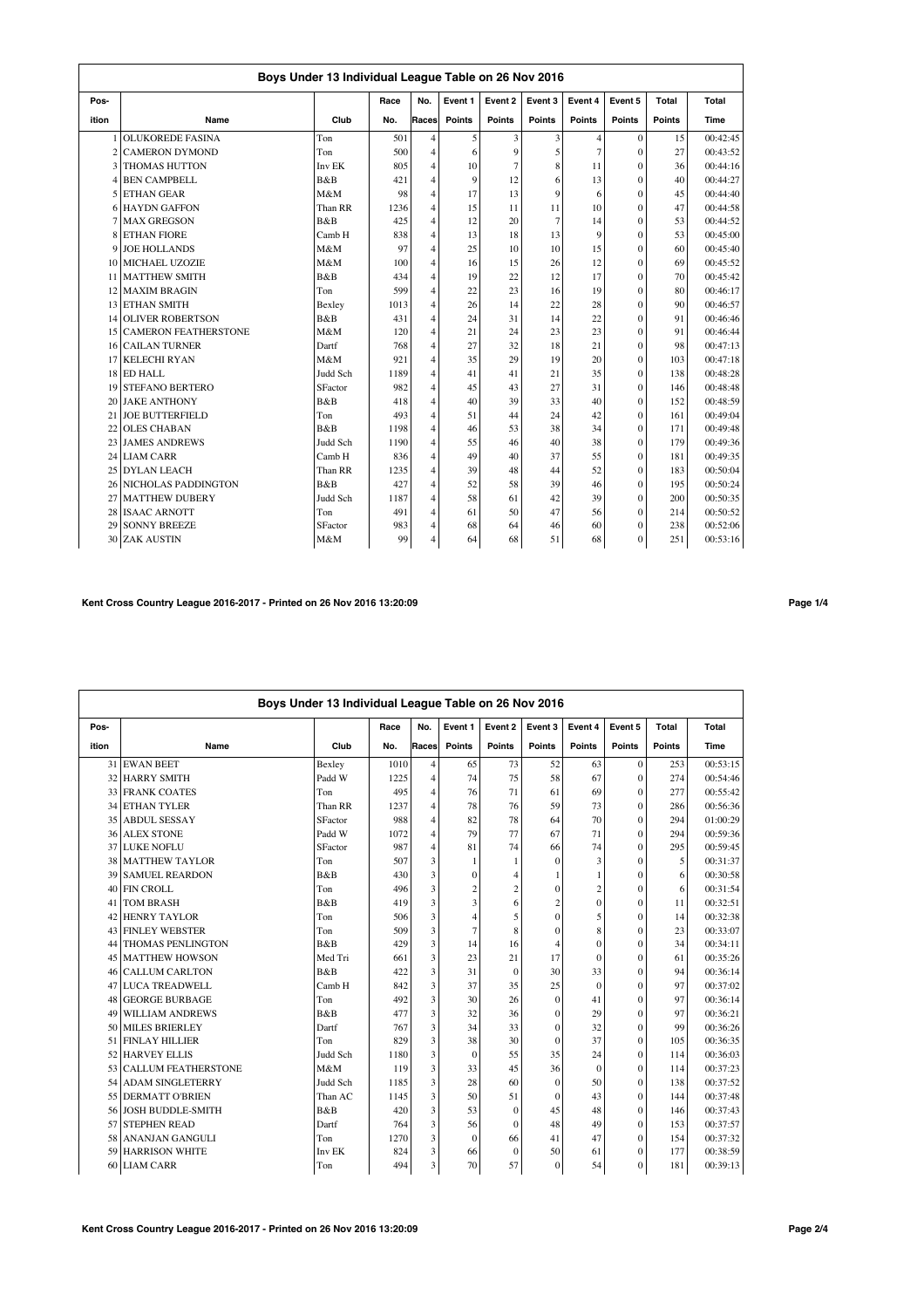|                | Boys Under 13 Individual League Table on 26 Nov 2016 |          |      |                |         |               |               |                |                |               |          |  |  |  |
|----------------|------------------------------------------------------|----------|------|----------------|---------|---------------|---------------|----------------|----------------|---------------|----------|--|--|--|
| Pos-           |                                                      |          | Race | No.            | Event 1 | Event 2       | Event 3       | Event 4        | Event 5        | Total         | Total    |  |  |  |
| ition          | Name                                                 | Club     | No.  | Races          | Points  | <b>Points</b> | <b>Points</b> | <b>Points</b>  | <b>Points</b>  | <b>Points</b> | Time     |  |  |  |
|                | <b>OLUKOREDE FASINA</b>                              | Ton      | 501  | $\overline{4}$ | 5       | 3             | 3             | $\overline{4}$ | $\mathbf{0}$   | 15            | 00:42:45 |  |  |  |
| $\overline{c}$ | <b>CAMERON DYMOND</b>                                | Ton      | 500  | $\overline{4}$ | 6       | 9             | 5             | $\overline{7}$ | $\theta$       | 27            | 00:43:52 |  |  |  |
|                | <b>3 THOMAS HUTTON</b>                               | Inv EK   | 805  | 4              | 10      | 7             | 8             | 11             | $\theta$       | 36            | 00:44:16 |  |  |  |
|                | <b>4 BEN CAMPBELL</b>                                | B&B      | 421  | $\overline{4}$ | 9       | 12            | 6             | 13             | $\theta$       | 40            | 00:44:27 |  |  |  |
|                | 5 ETHAN GEAR                                         | M&M      | 98   | 4              | 17      | 13            | 9             | 6              | $\theta$       | 45            | 00:44:40 |  |  |  |
|                | <b>6 HAYDN GAFFON</b>                                | Than RR  | 1236 | $\overline{4}$ | 15      | 11            | 11            | 10             | $\theta$       | 47            | 00:44:58 |  |  |  |
|                | <b>7 MAX GREGSON</b>                                 | B&B      | 425  | $\overline{4}$ | 12      | 20            | 7             | 14             | $\theta$       | 53            | 00:44:52 |  |  |  |
| 8              | <b>ETHAN FIORE</b>                                   | Camb H   | 838  | $\overline{4}$ | 13      | 18            | 13            | 9              | $\theta$       | 53            | 00:45:00 |  |  |  |
| 9              | <b>JOE HOLLANDS</b>                                  | M&M      | 97   | $\overline{4}$ | 25      | 10            | 10            | 15             | $\theta$       | 60            | 00:45:40 |  |  |  |
| 10             | <b>MICHAEL UZOZIE</b>                                | M&M      | 100  | $\overline{4}$ | 16      | 15            | 26            | 12             | $\theta$       | 69            | 00:45:52 |  |  |  |
|                | 11 MATTHEW SMITH                                     | B&B      | 434  | $\overline{4}$ | 19      | 22            | 12            | 17             | $\theta$       | 70            | 00:45:42 |  |  |  |
|                | 12 MAXIM BRAGIN                                      | Ton      | 599  | 4              | 22      | 23            | 16            | 19             | $\theta$       | 80            | 00:46:17 |  |  |  |
|                | 13 ETHAN SMITH                                       | Bexley   | 1013 | $\overline{4}$ | 26      | 14            | 22            | 28             | $\theta$       | 90            | 00:46:57 |  |  |  |
|                | 14 OLIVER ROBERTSON                                  | B&B      | 431  | 4              | 24      | 31            | 14            | 22             | $\theta$       | 91            | 00:46:46 |  |  |  |
| 15             | <b>CAMERON FEATHERSTONE</b>                          | M&M      | 120  | $\overline{4}$ | 21      | 24            | 23            | 23             | $\theta$       | 91            | 00:46:44 |  |  |  |
| 16             | <b>CAILAN TURNER</b>                                 | Dartf    | 768  | 4              | 27      | 32            | 18            | 21             | $\theta$       | 98            | 00:47:13 |  |  |  |
| 17             | <b>KELECHI RYAN</b>                                  | M&M      | 921  | $\overline{4}$ | 35      | 29            | 19            | 20             | $\theta$       | 103           | 00:47:18 |  |  |  |
|                | 18 ED HALL                                           | Judd Sch | 1189 | $\overline{4}$ | 41      | 41            | 21            | 35             | $\theta$       | 138           | 00:48:28 |  |  |  |
| 19             | <b>STEFANO BERTERO</b>                               | SFactor  | 982  | $\overline{4}$ | 45      | 43            | 27            | 31             | $\theta$       | 146           | 00:48:48 |  |  |  |
| 20             | <b>JAKE ANTHONY</b>                                  | B&B      | 418  | 4              | 40      | 39            | 33            | 40             | $\theta$       | 152           | 00:48:59 |  |  |  |
| 21             | <b>JOE BUTTERFIELD</b>                               | Ton      | 493  | $\overline{4}$ | 51      | 44            | 24            | 42             | $\theta$       | 161           | 00:49:04 |  |  |  |
| 22             | <b>OLES CHABAN</b>                                   | B&B      | 1198 | $\overline{4}$ | 46      | 53            | 38            | 34             | $\theta$       | 171           | 00:49:48 |  |  |  |
| 23             | <b>JAMES ANDREWS</b>                                 | Judd Sch | 1190 | $\overline{4}$ | 55      | 46            | 40            | 38             | $\theta$       | 179           | 00:49:36 |  |  |  |
| 24             | <b>LIAM CARR</b>                                     | Camb H   | 836  | $\overline{4}$ | 49      | 40            | 37            | 55             | $\theta$       | 181           | 00:49:35 |  |  |  |
| 25             | <b>DYLAN LEACH</b>                                   | Than RR  | 1235 | $\overline{4}$ | 39      | 48            | 44            | 52             | $\theta$       | 183           | 00:50:04 |  |  |  |
| 26             | NICHOLAS PADDINGTON                                  | B&B      | 427  | $\overline{4}$ | 52      | 58            | 39            | 46             | $\theta$       | 195           | 00:50:24 |  |  |  |
| 27             | <b>MATTHEW DUBERY</b>                                | Judd Sch | 1187 | $\overline{4}$ | 58      | 61            | 42            | 39             | $\theta$       | 200           | 00:50:35 |  |  |  |
| 28             | <b>ISAAC ARNOTT</b>                                  | Ton      | 491  | $\overline{4}$ | 61      | 50            | 47            | 56             | $\overline{0}$ | 214           | 00:50:52 |  |  |  |
| 29             | <b>SONNY BREEZE</b>                                  | SFactor  | 983  | 4              | 68      | 64            | 46            | 60             | $\theta$       | 238           | 00:52:06 |  |  |  |
| 30             | <b>ZAK AUSTIN</b>                                    | M&M      | 99   | 4              | 64      | 68            | 51            | 68             | $\theta$       | 251           | 00:53:16 |  |  |  |

# **Kent Cross Country League 2016-2017 - Printed on 26 Nov 2016 13:20:09 Page 1/4**

|       | Boys Under 13 Individual League Table on 26 Nov 2016 |          |      |                |                |                |                |               |               |        |          |  |  |
|-------|------------------------------------------------------|----------|------|----------------|----------------|----------------|----------------|---------------|---------------|--------|----------|--|--|
| Pos-  |                                                      |          | Race | No.            | Event 1        | Event 2        | Event 3        | Event 4       | Event 5       | Total  | Total    |  |  |
| ition | Name                                                 | Club     | No.  | Races          | Points         | Points         | Points         | <b>Points</b> | <b>Points</b> | Points | Time     |  |  |
| 31    | <b>EWAN BEET</b>                                     | Bexley   | 1010 | 4              | 65             | 73             | 52             | 63            | $\mathbf{0}$  | 253    | 00:53:15 |  |  |
| 32    | <b>HARRY SMITH</b>                                   | Padd W   | 1225 | 4              | 74             | 75             | 58             | 67            | $\mathbf{0}$  | 274    | 00:54:46 |  |  |
|       | <b>33 FRANK COATES</b>                               | Ton      | 495  | $\overline{4}$ | 76             | 71             | 61             | 69            | $\theta$      | 277    | 00:55:42 |  |  |
|       | 34 ETHAN TYLER                                       | Than RR  | 1237 | 4              | 78             | 76             | 59             | 73            | $\theta$      | 286    | 00:56:36 |  |  |
|       | 35 ABDUL SESSAY                                      | SFactor  | 988  | 4              | 82             | 78             | 64             | 70            | $\theta$      | 294    | 01:00:29 |  |  |
|       | <b>36 ALEX STONE</b>                                 | Padd W   | 1072 | $\overline{4}$ | 79             | 77             | 67             | 71            | $\theta$      | 294    | 00:59:36 |  |  |
|       | 37 LUKE NOFLU                                        | SFactor  | 987  | 4              | 81             | 74             | 66             | 74            | $\mathbf{0}$  | 295    | 00:59:45 |  |  |
| 38    | <b>MATTHEW TAYLOR</b>                                | Ton      | 507  | 3              | 1              | 1              | $\theta$       | 3             | $\theta$      | 5      | 00:31:37 |  |  |
| 39    | <b>SAMUEL REARDON</b>                                | B&B      | 430  | 3              | $\mathbf{0}$   | $\overline{4}$ | 1              | 1             | $\theta$      | 6      | 00:30:58 |  |  |
| 40    | <b>FIN CROLL</b>                                     | Ton      | 496  | 3              | $\overline{c}$ | $\overline{c}$ | $\mathbf{0}$   | $\mathbf{2}$  | $\theta$      | 6      | 00:31:54 |  |  |
| 41    | <b>TOM BRASH</b>                                     | B&B      | 419  | 3              | 3              | 6              | $\overline{c}$ | $\mathbf{0}$  | $\theta$      | 11     | 00:32:51 |  |  |
| 42    | <b>HENRY TAYLOR</b>                                  | Ton      | 506  | 3              | 4              | 5              | $\theta$       | 5             | $\theta$      | 14     | 00:32:38 |  |  |
|       | 43 FINLEY WEBSTER                                    | Ton      | 509  | 3              | 7              | 8              | $\Omega$       | 8             | $\theta$      | 23     | 00:33:07 |  |  |
| 44    | <b>THOMAS PENLINGTON</b>                             | B&B      | 429  | 3              | 14             | 16             | $\overline{4}$ | $\mathbf{0}$  | $\mathbf{0}$  | 34     | 00:34:11 |  |  |
|       | <b>45 MATTHEW HOWSON</b>                             | Med Tri  | 661  | 3              | 23             | 21             | 17             | $\theta$      | $\theta$      | 61     | 00:35:26 |  |  |
| 46    | <b>CALLUM CARLTON</b>                                | B&B      | 422  | 3              | 31             | $\theta$       | 30             | 33            | $\theta$      | 94     | 00:36:14 |  |  |
| 47    | <b>LUCA TREADWELL</b>                                | Camb H   | 842  | 3              | 37             | 35             | 25             | $\mathbf{0}$  | $\theta$      | 97     | 00:37:02 |  |  |
| 48    | <b>GEORGE BURBAGE</b>                                | Ton      | 492  | 3              | 30             | 26             | $\theta$       | 41            | $\theta$      | 97     | 00:36:14 |  |  |
| 49    | <b>WILLIAM ANDREWS</b>                               | B&B      | 477  | 3              | 32             | 36             | $\theta$       | 29            | $\theta$      | 97     | 00:36:21 |  |  |
|       | 50 MILES BRIERLEY                                    | Dartf    | 767  | 3              | 34             | 33             | $\mathbf{0}$   | 32            | $\mathbf{0}$  | 99     | 00:36:26 |  |  |
| 51    | <b>FINLAY HILLIER</b>                                | Ton      | 829  | 3              | 38             | 30             | $\theta$       | 37            | $\bf{0}$      | 105    | 00:36:35 |  |  |
| 52    | <b>HARVEY ELLIS</b>                                  | Judd Sch | 1180 | 3              | $\mathbf{0}$   | 55             | 35             | 24            | $\theta$      | 114    | 00:36:03 |  |  |
| 53    | <b>CALLUM FEATHERSTONE</b>                           | M&M      | 119  | 3              | 33             | 45             | 36             | $\mathbf{0}$  | $\theta$      | 114    | 00:37:23 |  |  |
| 54    | <b>ADAM SINGLETERRY</b>                              | Judd Sch | 1185 | 3              | 28             | 60             | $\theta$       | 50            | $\theta$      | 138    | 00:37:52 |  |  |
| 55    | <b>DERMATT O'BRIEN</b>                               | Than AC  | 1145 | 3              | 50             | 51             | $\theta$       | 43            | $\theta$      | 144    | 00:37:48 |  |  |
| 56    | <b>JOSH BUDDLE-SMITH</b>                             | B&B      | 420  | 3              | 53             | $\Omega$       | 45             | 48            | $\theta$      | 146    | 00:37:43 |  |  |
|       | 57 STEPHEN READ                                      | Dartf    | 764  | 3              | 56             | $\theta$       | 48             | 49            | $\theta$      | 153    | 00:37:57 |  |  |
| 58.   | <b>ANANJAN GANGULI</b>                               | Ton      | 1270 | 3              | $\mathbf{0}$   | 66             | 41             | 47            | $\theta$      | 154    | 00:37:32 |  |  |
|       | 59 HARRISON WHITE                                    | Inv EK   | 824  | 3              | 66             | $\Omega$       | 50             | 61            | $\Omega$      | 177    | 00:38:59 |  |  |
|       | 60 LIAM CARR                                         | Ton      | 494  | 3              | 70             | 57             | $\theta$       | 54            | $\theta$      | 181    | 00:39:13 |  |  |
|       |                                                      |          |      |                |                |                |                |               |               |        |          |  |  |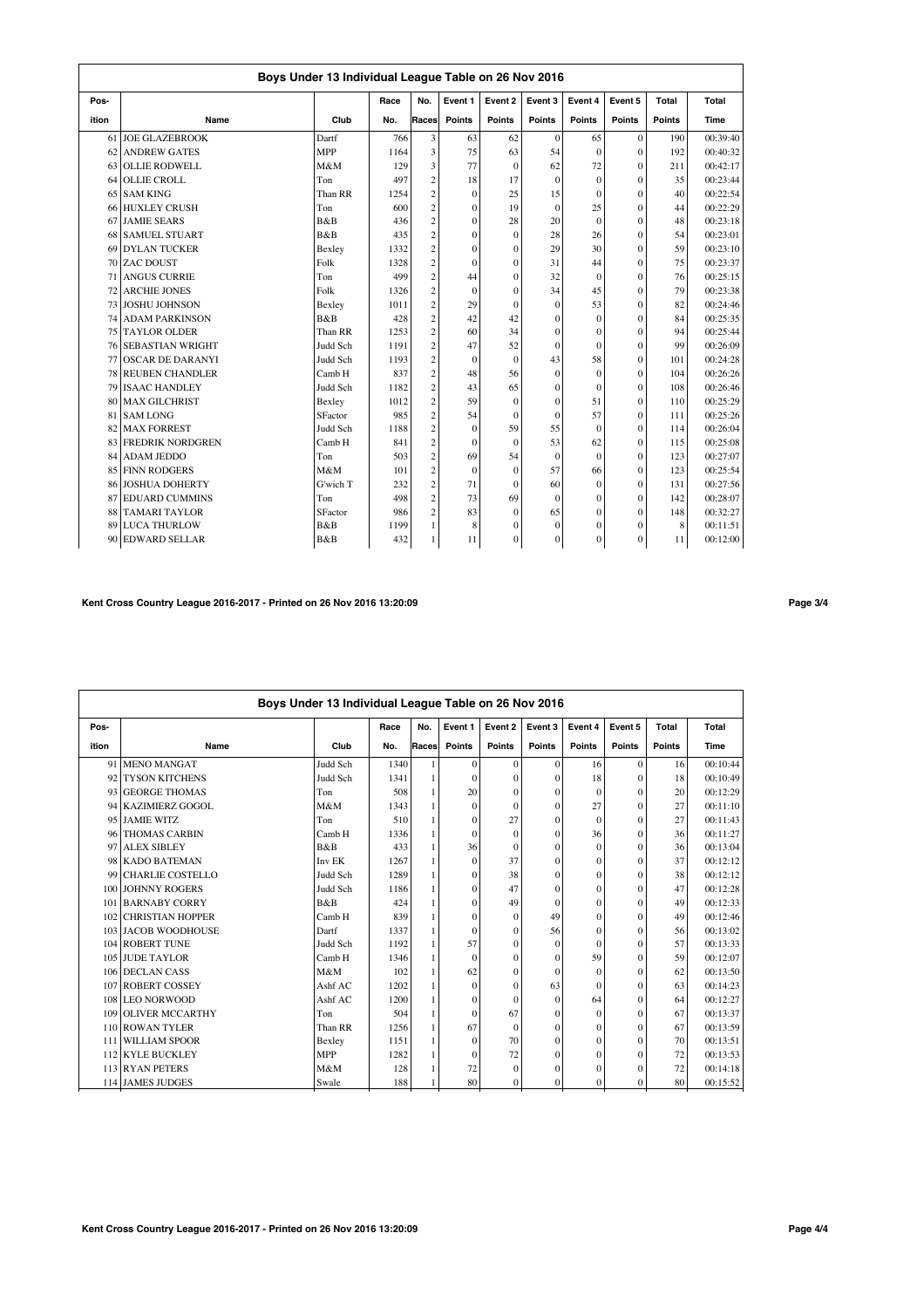|       | Boys Under 13 Individual League Table on 26 Nov 2016 |            |      |                         |              |          |               |              |          |               |          |  |  |  |
|-------|------------------------------------------------------|------------|------|-------------------------|--------------|----------|---------------|--------------|----------|---------------|----------|--|--|--|
| Pos-  |                                                      |            | Race | No.                     | Event 1      | Event 2  | Event 3       | Event 4      | Event 5  | Total         | Total    |  |  |  |
| ition | Name                                                 | Club       | No.  | Races                   | Points       | Points   | <b>Points</b> | Points       | Points   | <b>Points</b> | Time     |  |  |  |
| 61    | <b>JOE GLAZEBROOK</b>                                | Dartf      | 766  | 3                       | 63           | 62       | $\theta$      | 65           | $\theta$ | 190           | 00:39:40 |  |  |  |
| 62    | <b>ANDREW GATES</b>                                  | <b>MPP</b> | 1164 | 3                       | 75           | 63       | 54            | $\Omega$     | $\theta$ | 192           | 00:40:32 |  |  |  |
| 63    | <b>OLLIE RODWELL</b>                                 | M&M        | 129  | 3                       | 77           | $\Omega$ | 62            | 72           | $\Omega$ | 211           | 00:42:17 |  |  |  |
| 64    | <b>OLLIE CROLL</b>                                   | Ton        | 497  | $\overline{c}$          | 18           | 17       | $\theta$      | $\Omega$     | $\theta$ | 35            | 00:23:44 |  |  |  |
| 65    | <b>SAM KING</b>                                      | Than RR    | 1254 | $\overline{c}$          | $\mathbf{0}$ | 25       | 15            | $\mathbf{0}$ | $\theta$ | 40            | 00:22:54 |  |  |  |
|       | 66 HUXLEY CRUSH                                      | Ton        | 600  | $\overline{c}$          | $\mathbf{0}$ | 19       | $\mathbf{0}$  | 25           | $\theta$ | 44            | 00:22:29 |  |  |  |
| 67    | <b>JAMIE SEARS</b>                                   | B&B        | 436  | $\mathbf{2}$            | $\theta$     | 28       | 20            | $\Omega$     | $\theta$ | 48            | 00:23:18 |  |  |  |
| 68    | <b>SAMUEL STUART</b>                                 | B&B        | 435  | $\overline{c}$          | $\mathbf{0}$ | $\Omega$ | 28            | 26           | $\Omega$ | 54            | 00:23:01 |  |  |  |
| 69    | <b>DYLAN TUCKER</b>                                  | Bexley     | 1332 | $\overline{c}$          | $\theta$     | $\theta$ | 29            | 30           | $\theta$ | 59            | 00:23:10 |  |  |  |
| 70    | <b>ZAC DOUST</b>                                     | Folk       | 1328 | $\overline{\mathbf{c}}$ | $\theta$     | $\theta$ | 31            | 44           | $\Omega$ | 75            | 00:23:37 |  |  |  |
| 71    | <b>ANGUS CURRIE</b>                                  | Ton        | 499  | $\sqrt{2}$              | 44           | $\theta$ | 32            | $\Omega$     | $\Omega$ | 76            | 00:25:15 |  |  |  |
| 72    | <b>ARCHIE JONES</b>                                  | Folk       | 1326 | $\overline{c}$          | $\theta$     | $\theta$ | 34            | 45           | $\theta$ | 79            | 00:23:38 |  |  |  |
| 73    | <b>JOSHU JOHNSON</b>                                 | Bexley     | 1011 | $\overline{c}$          | 29           | $\Omega$ | $\mathbf{0}$  | 53           | $\theta$ | 82            | 00:24:46 |  |  |  |
| 74    | <b>ADAM PARKINSON</b>                                | B&B        | 428  | $\overline{\mathbf{c}}$ | 42           | 42       | $\theta$      | $\theta$     | $\theta$ | 84            | 00:25:35 |  |  |  |
| 75    | <b>TAYLOR OLDER</b>                                  | Than RR    | 1253 | $\overline{c}$          | 60           | 34       | $\theta$      | $\Omega$     | $\theta$ | 94            | 00:25:44 |  |  |  |
|       | <b>76 SEBASTIAN WRIGHT</b>                           | Judd Sch   | 1191 | $\overline{c}$          | 47           | 52       | $\mathbf{0}$  | $\theta$     | $\Omega$ | 99            | 00:26:09 |  |  |  |
| 77    | <b>OSCAR DE DARANYI</b>                              | Judd Sch   | 1193 | $\overline{c}$          | $\Omega$     | $\theta$ | 43            | 58           | $\Omega$ | 101           | 00:24:28 |  |  |  |
| 78    | <b>REUBEN CHANDLER</b>                               | Camb H     | 837  | $\overline{\mathbf{c}}$ | 48           | 56       | $\mathbf{0}$  | $\mathbf{0}$ | $\Omega$ | 104           | 00:26:26 |  |  |  |
| 79    | <b>ISAAC HANDLEY</b>                                 | Judd Sch   | 1182 | $\overline{c}$          | 43           | 65       | $\mathbf{0}$  | $\mathbf{0}$ | $\theta$ | 108           | 00:26:46 |  |  |  |
| 80    | <b>MAX GILCHRIST</b>                                 | Bexley     | 1012 | $\overline{c}$          | 59           | $\Omega$ | $\mathbf{0}$  | 51           | $\theta$ | 110           | 00:25:29 |  |  |  |
| 81    | <b>SAM LONG</b>                                      | SFactor    | 985  | $\overline{c}$          | 54           | $\Omega$ | $\mathbf{0}$  | 57           | $\theta$ | 111           | 00:25:26 |  |  |  |
| 82    | <b>MAX FORREST</b>                                   | Judd Sch   | 1188 | $\overline{\mathbf{c}}$ | $\Omega$     | 59       | 55            | $\Omega$     | $\theta$ | 114           | 00:26:04 |  |  |  |
| 83    | <b>FREDRIK NORDGREN</b>                              | Camb H     | 841  | $\overline{c}$          | $\theta$     | $\Omega$ | 53            | 62           | $\theta$ | 115           | 00:25:08 |  |  |  |
| 84    | <b>ADAM JEDDO</b>                                    | Ton        | 503  | $\overline{c}$          | 69           | 54       | $\mathbf{0}$  | $\Omega$     | $\theta$ | 123           | 00:27:07 |  |  |  |
| 85    | <b>FINN RODGERS</b>                                  | M&M        | 101  | $\overline{c}$          | $\Omega$     | $\Omega$ | 57            | 66           | $\theta$ | 123           | 00:25:54 |  |  |  |
| 86    | <b>JOSHUA DOHERTY</b>                                | G'wich T   | 232  | $\overline{c}$          | 71           | $\Omega$ | 60            | $\mathbf{0}$ | $\theta$ | 131           | 00:27:56 |  |  |  |
| 87    | <b>EDUARD CUMMINS</b>                                | Ton        | 498  | $\overline{c}$          | 73           | 69       | $\theta$      | $\mathbf{0}$ | $\theta$ | 142           | 00:28:07 |  |  |  |
| 88    | <b>TAMARI TAYLOR</b>                                 | SFactor    | 986  | $\overline{c}$          | 83           | $\Omega$ | 65            | $\Omega$     | $\theta$ | 148           | 00:32:27 |  |  |  |
| 89    | <b>LUCA THURLOW</b>                                  | B&B        | 1199 | $\mathbf{1}$            | 8            | $\theta$ | $\mathbf{0}$  | $\Omega$     | $\theta$ | 8             | 00:11:51 |  |  |  |
| 90    | <b>EDWARD SELLAR</b>                                 | B&B        | 432  | 1                       | 11           | $\Omega$ | $\mathbf{0}$  | $\Omega$     | $\theta$ | 11            | 00:12:00 |  |  |  |

# **Kent Cross Country League 2016-2017 - Printed on 26 Nov 2016 13:20:09 Page 3/4**

|       | Boys Under 13 Individual League Table on 26 Nov 2016 |            |      |       |               |              |              |               |               |               |          |  |  |  |
|-------|------------------------------------------------------|------------|------|-------|---------------|--------------|--------------|---------------|---------------|---------------|----------|--|--|--|
| Pos-  |                                                      |            | Race | No.   | Event 1       | Event 2      | Event 3      | Event 4       | Event 5       | Total         | Total    |  |  |  |
| ition | Name                                                 | Club       | No.  | Races | <b>Points</b> | Points       | Points       | <b>Points</b> | <b>Points</b> | <b>Points</b> | Time     |  |  |  |
| 91    | <b>MENO MANGAT</b>                                   | Judd Sch   | 1340 |       | $\mathbf{0}$  | $\Omega$     | $\mathbf{0}$ | 16            | $\Omega$      | 16            | 00:10:44 |  |  |  |
| 92    | <b>TYSON KITCHENS</b>                                | Judd Sch   | 1341 |       | $\Omega$      | $\Omega$     | $\Omega$     | 18            | $\Omega$      | 18            | 00:10:49 |  |  |  |
| 93    | <b>GEORGE THOMAS</b>                                 | Ton        | 508  | 1     | 20            | $\Omega$     | $\mathbf{0}$ | $\Omega$      | $\theta$      | 20            | 00:12:29 |  |  |  |
| 94    | <b>KAZIMIERZ GOGOL</b>                               | M&M        | 1343 |       | $\Omega$      | $\Omega$     | $\Omega$     | 27            | $\Omega$      | 27            | 00:11:10 |  |  |  |
| 95    | <b>JAMIE WITZ</b>                                    | Ton        | 510  |       | $\mathbf{0}$  | 27           | $\mathbf{0}$ | $\Omega$      | $\theta$      | 27            | 00:11:43 |  |  |  |
| 96    | <b>THOMAS CARBIN</b>                                 | Camb H     | 1336 |       | $\theta$      | $\Omega$     | $\mathbf{0}$ | 36            | $\theta$      | 36            | 00:11:27 |  |  |  |
| 97    | <b>ALEX SIBLEY</b>                                   | B&B        | 433  | 1     | 36            | $\theta$     | $\mathbf{0}$ | $\Omega$      | $\Omega$      | 36            | 00:13:04 |  |  |  |
| 98    | <b>KADO BATEMAN</b>                                  | Inv EK     | 1267 |       | $\Omega$      | 37           | $\mathbf{0}$ | $\theta$      | $\theta$      | 37            | 00:12:12 |  |  |  |
| 99    | <b>CHARLIE COSTELLO</b>                              | Judd Sch   | 1289 |       | $\mathbf{0}$  | 38           | $\mathbf{0}$ | $\mathbf{0}$  | $\Omega$      | 38            | 00:12:12 |  |  |  |
| 100   | <b>JOHNNY ROGERS</b>                                 | Judd Sch   | 1186 |       | $\Omega$      | 47           | $\mathbf{0}$ | $\Omega$      | $\theta$      | 47            | 00:12:28 |  |  |  |
| 101   | <b>BARNABY CORRY</b>                                 | B&B        | 424  |       | $\theta$      | 49           | $\Omega$     | $\theta$      | $\Omega$      | 49            | 00:12:33 |  |  |  |
| 102   | <b>CHRISTIAN HOPPER</b>                              | Camb H     | 839  |       | $\Omega$      | $\Omega$     | 49           | $\Omega$      | $\theta$      | 49            | 00:12:46 |  |  |  |
|       | 103 JACOB WOODHOUSE                                  | Dartf      | 1337 |       | $\theta$      | $\Omega$     | 56           | $\theta$      | $\theta$      | 56            | 00:13:02 |  |  |  |
|       | 104 ROBERT TUNE                                      | Judd Sch   | 1192 | 1     | 57            | $\theta$     | $\mathbf{0}$ | $\Omega$      | $\Omega$      | 57            | 00:13:33 |  |  |  |
|       | 105 JUDE TAYLOR                                      | Camb H     | 1346 |       | $\theta$      | $\Omega$     | $\mathbf{0}$ | 59            | $\Omega$      | 59            | 00:12:07 |  |  |  |
|       | 106 DECLAN CASS                                      | M&M        | 102  |       | 62            | $\Omega$     | $\Omega$     | $\Omega$      | $\theta$      | 62            | 00:13:50 |  |  |  |
| 107   | <b>ROBERT COSSEY</b>                                 | Ashf AC    | 1202 |       | $\theta$      | $\Omega$     | 63           | $\Omega$      | $\theta$      | 63            | 00:14:23 |  |  |  |
|       | 108 LEO NORWOOD                                      | Ashf AC    | 1200 |       | $\mathbf{0}$  | $\Omega$     | $\mathbf{0}$ | 64            | $\theta$      | 64            | 00:12:27 |  |  |  |
| 109   | <b>OLIVER MCCARTHY</b>                               | Ton        | 504  |       | $\theta$      | 67           | $\mathbf{0}$ | $\Omega$      | $\theta$      | 67            | 00:13:37 |  |  |  |
| 110   | <b>ROWAN TYLER</b>                                   | Than RR    | 1256 |       | 67            | $\Omega$     | $\mathbf{0}$ | $\Omega$      | $\theta$      | 67            | 00:13:59 |  |  |  |
| 111   | <b>WILLIAM SPOOR</b>                                 | Bexley     | 1151 | 1     | $\Omega$      | 70           | $\Omega$     | $\theta$      | $\theta$      | 70            | 00:13:51 |  |  |  |
|       | 112 KYLE BUCKLEY                                     | <b>MPP</b> | 1282 |       | $\Omega$      | 72           | $\mathbf{0}$ | $\theta$      | $\theta$      | 72            | 00:13:53 |  |  |  |
|       | 113 RYAN PETERS                                      | M&M        | 128  |       | 72            | $\theta$     | $\mathbf{0}$ | $\Omega$      | $\theta$      | 72            | 00:14:18 |  |  |  |
|       | 114 JAMES JUDGES                                     | Swale      | 188  |       | 80            | $\mathbf{0}$ | 0            | $\theta$      | 0             | 80            | 00:15:52 |  |  |  |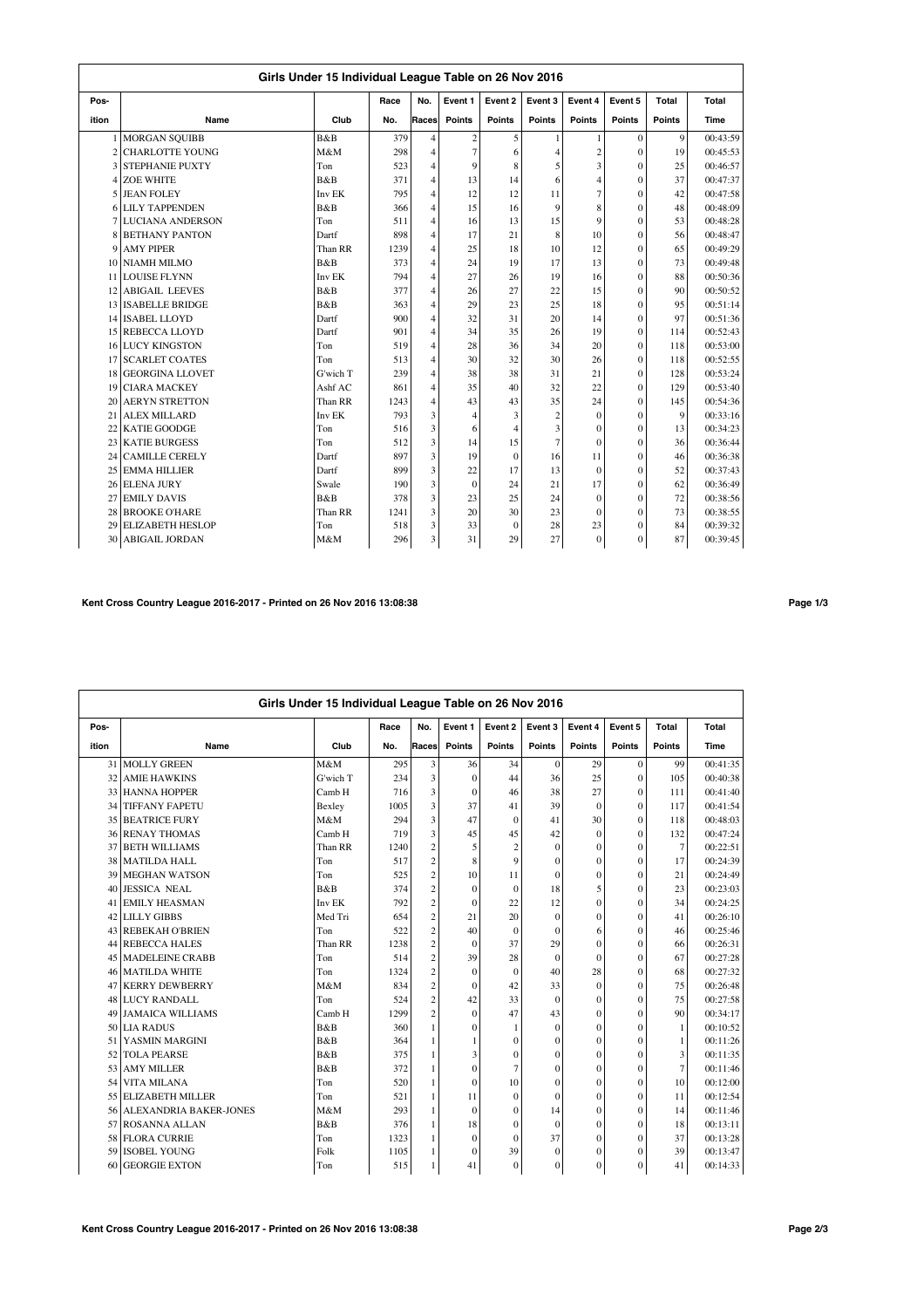|             | Girls Under 15 Individual League Table on 26 Nov 2016<br>Event 5<br>Race<br>No.<br>Event 1<br>Event 4<br>Total<br>Total<br>Event 2<br>Event 3 |          |      |                         |                |                |                |                         |                |                |          |  |  |  |
|-------------|-----------------------------------------------------------------------------------------------------------------------------------------------|----------|------|-------------------------|----------------|----------------|----------------|-------------------------|----------------|----------------|----------|--|--|--|
| Pos-        |                                                                                                                                               |          |      |                         |                |                |                |                         |                |                |          |  |  |  |
| ition       | Name                                                                                                                                          | Club     | No.  | Races                   | Points         | <b>Points</b>  | <b>Points</b>  | Points                  | <b>Points</b>  | <b>Points</b>  | Time     |  |  |  |
|             | <b>MORGAN SOUIBB</b>                                                                                                                          | B&B      | 379  | $\overline{4}$          |                | 5              | 1              |                         | $\mathbf{0}$   | 9              | 00:43:59 |  |  |  |
|             | <b>CHARLOTTE YOUNG</b>                                                                                                                        | M&M      | 298  | $\overline{4}$          | $\frac{2}{7}$  | 6              | 4              | $\overline{\mathbf{c}}$ | $\theta$       | 19             | 00:45:53 |  |  |  |
| 3           | <b>STEPHANIE PUXTY</b>                                                                                                                        | Ton      | 523  | $\overline{4}$          | $\mathbf{Q}$   | 8              | 5              | 3                       | $\theta$       | 25             | 00:46:57 |  |  |  |
|             | 4 ZOE WHITE                                                                                                                                   | B&B      | 371  | $\overline{4}$          | 13             | 14             | 6              | $\overline{4}$          | $\theta$       | 37             | 00:47:37 |  |  |  |
|             | 5 JEAN FOLEY                                                                                                                                  | Inv EK   | 795  | $\overline{4}$          | 12             | 12             | 11             | $\overline{7}$          | $\theta$       | 42             | 00:47:58 |  |  |  |
|             | <b>6 LILY TAPPENDEN</b>                                                                                                                       | B&B      | 366  | $\overline{4}$          | 15             | 16             | 9              | 8                       | $\theta$       | 48             | 00:48:09 |  |  |  |
|             | <b>7 LUCIANA ANDERSON</b>                                                                                                                     | Ton      | 511  | $\overline{4}$          | 16             | 13             | 15             | 9                       | $\theta$       | 53             | 00:48:28 |  |  |  |
|             | <b>BETHANY PANTON</b>                                                                                                                         | Dartf    | 898  | $\overline{4}$          | 17             | 21             | 8              | 10                      | $\theta$       | 56             | 00:48:47 |  |  |  |
| $\mathbf Q$ | <b>AMY PIPER</b>                                                                                                                              | Than RR  | 1239 | $\overline{4}$          | 25             | 18             | 10             | 12                      | $\overline{0}$ | 65             | 00:49:29 |  |  |  |
| 10          | <b>NIAMH MILMO</b>                                                                                                                            | B&B      | 373  | $\overline{4}$          | 24             | 19             | 17             | 13                      | $\theta$       | 73             | 00:49:48 |  |  |  |
| 11          | <b>LOUISE FLYNN</b>                                                                                                                           | Inv EK   | 794  | $\overline{4}$          | 27             | 26             | 19             | 16                      | $\theta$       | 88             | 00:50:36 |  |  |  |
|             | 12 ABIGAIL LEEVES                                                                                                                             | B&B      | 377  | $\overline{4}$          | 26             | 27             | 22             | 15                      | $\theta$       | 90             | 00:50:52 |  |  |  |
|             | 13 ISABELLE BRIDGE                                                                                                                            | B&B      | 363  | $\overline{4}$          | 29             | 23             | 25             | 18                      | $\theta$       | 95             | 00:51:14 |  |  |  |
|             | 14 ISABEL LLOYD                                                                                                                               | Dartf    | 900  | $\overline{4}$          | 32             | 31             | 20             | 14                      | $\overline{0}$ | 97             | 00:51:36 |  |  |  |
|             | 15 REBECCA LLOYD                                                                                                                              | Dartf    | 901  | $\overline{4}$          | 34             | 35             | 26             | 19                      | $\theta$       | 114            | 00:52:43 |  |  |  |
|             | <b>16 LUCY KINGSTON</b>                                                                                                                       | Ton      | 519  | $\overline{4}$          | 28             | 36             | 34             | 20                      | $\overline{0}$ | 118            | 00:53:00 |  |  |  |
| 17          | <b>SCARLET COATES</b>                                                                                                                         | Ton      | 513  | $\overline{4}$          | 30             | 32             | 30             | 26                      | $\overline{0}$ | 118            | 00:52:55 |  |  |  |
| 18          | <b>GEORGINA LLOVET</b>                                                                                                                        | G'wich T | 239  | $\overline{4}$          | 38             | 38             | 31             | 21                      | $\overline{0}$ | 128            | 00:53:24 |  |  |  |
| 19          | <b>CIARA MACKEY</b>                                                                                                                           | Ashf AC  | 861  | $\overline{4}$          | 35             | 40             | 32             | 22                      | $\theta$       | 129            | 00:53:40 |  |  |  |
| 20          | <b>AERYN STRETTON</b>                                                                                                                         | Than RR  | 1243 | $\overline{4}$          | 43             | 43             | 35             | 24                      | $\theta$       | 145            | 00:54:36 |  |  |  |
| 21          | <b>ALEX MILLARD</b>                                                                                                                           | Inv EK   | 793  | 3                       | $\overline{4}$ | 3              | $\overline{c}$ | $\theta$                | $\theta$       | $\overline{9}$ | 00:33:16 |  |  |  |
| 22          | <b>KATIE GOODGE</b>                                                                                                                           | Ton      | 516  | 3                       | 6              | $\overline{4}$ | 3              | $\theta$                | $\mathbf{0}$   | 13             | 00:34:23 |  |  |  |
|             | 23 KATIE BURGESS                                                                                                                              | Ton      | 512  | 3                       | 14             | 15             | $\overline{7}$ | $\theta$                | $\theta$       | 36             | 00:36:44 |  |  |  |
| 24          | <b>CAMILLE CERELY</b>                                                                                                                         | Dartf    | 897  | 3                       | 19             | $\mathbf{0}$   | 16             | 11                      | $\theta$       | 46             | 00:36:38 |  |  |  |
| 25          | <b>EMMA HILLIER</b>                                                                                                                           | Dartf    | 899  | $\overline{\mathbf{3}}$ | 22             | 17             | 13             | $\mathbf{0}$            | $\overline{0}$ | 52             | 00:37:43 |  |  |  |
| 26          | <b>ELENA JURY</b>                                                                                                                             | Swale    | 190  | 3                       | $\theta$       | 24             | 21             | 17                      | $\theta$       | 62             | 00:36:49 |  |  |  |
| 27          | <b>EMILY DAVIS</b>                                                                                                                            | B&B      | 378  | 3                       | 23             | 25             | 24             | $\theta$                | $\overline{0}$ | 72             | 00:38:56 |  |  |  |
| 28          | <b>BROOKE O'HARE</b>                                                                                                                          | Than RR  | 1241 | 3                       | 20             | 30             | 23             | $\theta$                | $\overline{0}$ | 73             | 00:38:55 |  |  |  |
| 29          | <b>ELIZABETH HESLOP</b>                                                                                                                       | Ton      | 518  | 3                       | 33             | $\theta$       | 28             | 23                      | $\theta$       | 84             | 00:39:32 |  |  |  |
|             | 30 ABIGAIL JORDAN                                                                                                                             | M&M      | 296  | 3                       | 31             | 29             | 27             | $\theta$                | $\theta$       | 87             | 00:39:45 |  |  |  |

## **Kent Cross Country League 2016-2017 - Printed on 26 Nov 2016 13:08:38 Page 1/3**

|       | Girls Under 15 Individual League Table on 26 Nov 2016 |          |      |                |                |                |                  |                |          |                |          |  |  |
|-------|-------------------------------------------------------|----------|------|----------------|----------------|----------------|------------------|----------------|----------|----------------|----------|--|--|
| Pos-  |                                                       |          | Race | No.            | Event 1        | Event 2        | Event 3          | Event 4        | Event 5  | Total          | Total    |  |  |
| ition | Name                                                  | Club     | No.  | Races          | Points         | <b>Points</b>  | Points           | Points         | Points   | <b>Points</b>  | Time     |  |  |
|       | 31 MOLLY GREEN                                        | M&M      | 295  | 3              | 36             | 34             | $\Omega$         | 29             | $\Omega$ | 99             | 00:41:35 |  |  |
| 32    | <b>AMIE HAWKINS</b>                                   | G'wich T | 234  | 3              | $\mathbf{0}$   | 44             | 36               | 25             | $\theta$ | 105            | 00:40:38 |  |  |
|       | 33 HANNA HOPPER                                       | Camb H   | 716  | 3              | $\mathbf{0}$   | 46             | 38               | 27             | $\theta$ | 111            | 00:41:40 |  |  |
| 34    | <b>TIFFANY FAPETU</b>                                 | Bexley   | 1005 | 3              | 37             | 41             | 39               | $\Omega$       | $\theta$ | 117            | 00:41:54 |  |  |
|       | <b>35 BEATRICE FURY</b>                               | M&M      | 294  | 3              | 47             | $\mathbf{0}$   | 41               | 30             | $\theta$ | 118            | 00:48:03 |  |  |
|       | <b>36 RENAY THOMAS</b>                                | Camb H   | 719  | 3              | 45             | 45             | 42               | $\mathbf{0}$   | $\theta$ | 132            | 00:47:24 |  |  |
| 37    | <b>BETH WILLIAMS</b>                                  | Than RR  | 1240 | $\overline{c}$ | 5              | $\overline{c}$ | $\mathbf{0}$     | $\mathbf{0}$   | $\theta$ | $\overline{7}$ | 00:22:51 |  |  |
| 38    | <b>MATILDA HALL</b>                                   | Ton      | 517  | $\overline{c}$ | 8              | $\overline{9}$ | $\mathbf{0}$     | $\mathbf{0}$   | $\theta$ | 17             | 00:24:39 |  |  |
| 39    | <b>MEGHAN WATSON</b>                                  | Ton      | 525  | $\overline{2}$ | 10             | 11             | $\theta$         | $\mathbf{0}$   | $\theta$ | 21             | 00:24:49 |  |  |
| 40    | <b>JESSICA NEAL</b>                                   | B&B      | 374  | $\overline{c}$ | $\mathbf{0}$   | $\mathbf{0}$   | 18               | 5              | $\theta$ | 23             | 00:23:03 |  |  |
|       | <b>41 EMILY HEASMAN</b>                               | Inv EK   | 792  | $\overline{c}$ | $\mathbf{0}$   | 22             | 12               | $\overline{0}$ | $\theta$ | 34             | 00:24:25 |  |  |
|       | 42 LILLY GIBBS                                        | Med Tri  | 654  | $\overline{c}$ | 21             | 20             | $\theta$         | $\theta$       | $\theta$ | 41             | 00:26:10 |  |  |
|       | 43 REBEKAH O'BRIEN                                    | Ton      | 522  | $\overline{2}$ | 40             | $\mathbf{0}$   | $\theta$         | 6              | $\theta$ | 46             | 00:25:46 |  |  |
|       | 44 REBECCA HALES                                      | Than RR  | 1238 | $\overline{c}$ | $\theta$       | 37             | 29               | $\mathbf{0}$   | $\theta$ | 66             | 00:26:31 |  |  |
|       | 45 MADELEINE CRABB                                    | Ton      | 514  | $\overline{c}$ | 39             | 28             | $\theta$         | $\theta$       | $\theta$ | 67             | 00:27:28 |  |  |
| 46    | <b>MATILDA WHITE</b>                                  | Ton      | 1324 | $\overline{c}$ | $\mathbf{0}$   | $\theta$       | 40               | 28             | $\theta$ | 68             | 00:27:32 |  |  |
| 47    | <b>KERRY DEWBERRY</b>                                 | M&M      | 834  | $\overline{c}$ | $\mathbf{0}$   | 42             | 33               | $\theta$       | $\theta$ | 75             | 00:26:48 |  |  |
|       | 48 LUCY RANDALL                                       | Ton      | 524  | $\overline{c}$ | 42             | 33             | $\theta$         | $\mathbf{0}$   | $\theta$ | 75             | 00:27:58 |  |  |
|       | 49 JAMAICA WILLIAMS                                   | Camb H   | 1299 | $\overline{c}$ | $\mathbf{0}$   | 47             | 43               | $\mathbf{0}$   | $\theta$ | 90             | 00:34:17 |  |  |
|       | 50 LIA RADUS                                          | B&B      | 360  | 1              | $\mathbf{0}$   | 1              | $\mathbf{0}$     | $\mathbf{0}$   | $\theta$ | $\mathbf{1}$   | 00:10:52 |  |  |
|       | 51 YASMIN MARGINI                                     | B&B      | 364  | 1              | 1              | $\mathbf{0}$   | $\mathbf{0}$     | $\mathbf{0}$   | $\theta$ | $\mathbf{1}$   | 00:11:26 |  |  |
|       | 52 TOLA PEARSE                                        | B&B      | 375  |                | 3              | $\mathbf{0}$   | $\mathbf{0}$     | $\mathbf{0}$   | $\theta$ | 3              | 00:11:35 |  |  |
|       | 53 AMY MILLER                                         | B&B      | 372  |                | $\mathbf{0}$   | $\overline{7}$ | $\theta$         | $\Omega$       | $\theta$ | $\overline{7}$ | 00:11:46 |  |  |
| 54    | <b>VITA MILANA</b>                                    | Ton      | 520  | 1              | $\overline{0}$ | 10             | $\mathbf{0}$     | $\mathbf{0}$   | $\theta$ | 10             | 00:12:00 |  |  |
| 55    | <b>ELIZABETH MILLER</b>                               | Ton      | 521  |                | 11             | $\Omega$       | $\theta$         | $\theta$       | $\theta$ | 11             | 00:12:54 |  |  |
| 56    | <b>ALEXANDRIA BAKER-JONES</b>                         | M&M      | 293  |                | $\mathbf{0}$   | $\mathbf{0}$   | 14               | $\mathbf{0}$   | $\theta$ | 14             | 00:11:46 |  |  |
|       | 57 ROSANNA ALLAN                                      | B&B      | 376  |                | 18             | $\mathbf{0}$   | $\theta$         | $\mathbf{0}$   | $\theta$ | 18             | 00:13:11 |  |  |
|       | 58 FLORA CURRIE                                       | Ton      | 1323 | 1              | $\mathbf{0}$   | $\Omega$       | 37               | $\mathbf{0}$   | $\theta$ | 37             | 00:13:28 |  |  |
|       | 59 ISOBEL YOUNG                                       | Folk     | 1105 | 1              | $\mathbf{0}$   | 39             | $\mathbf{0}$     | $\mathbf{0}$   | 0        | 39             | 00:13:47 |  |  |
| 60    | <b>GEORGIE EXTON</b>                                  | Ton      | 515  | 1              | 41             | $\mathbf{0}$   | $\boldsymbol{0}$ | $\mathbf{0}$   | $\theta$ | 41             | 00:14:33 |  |  |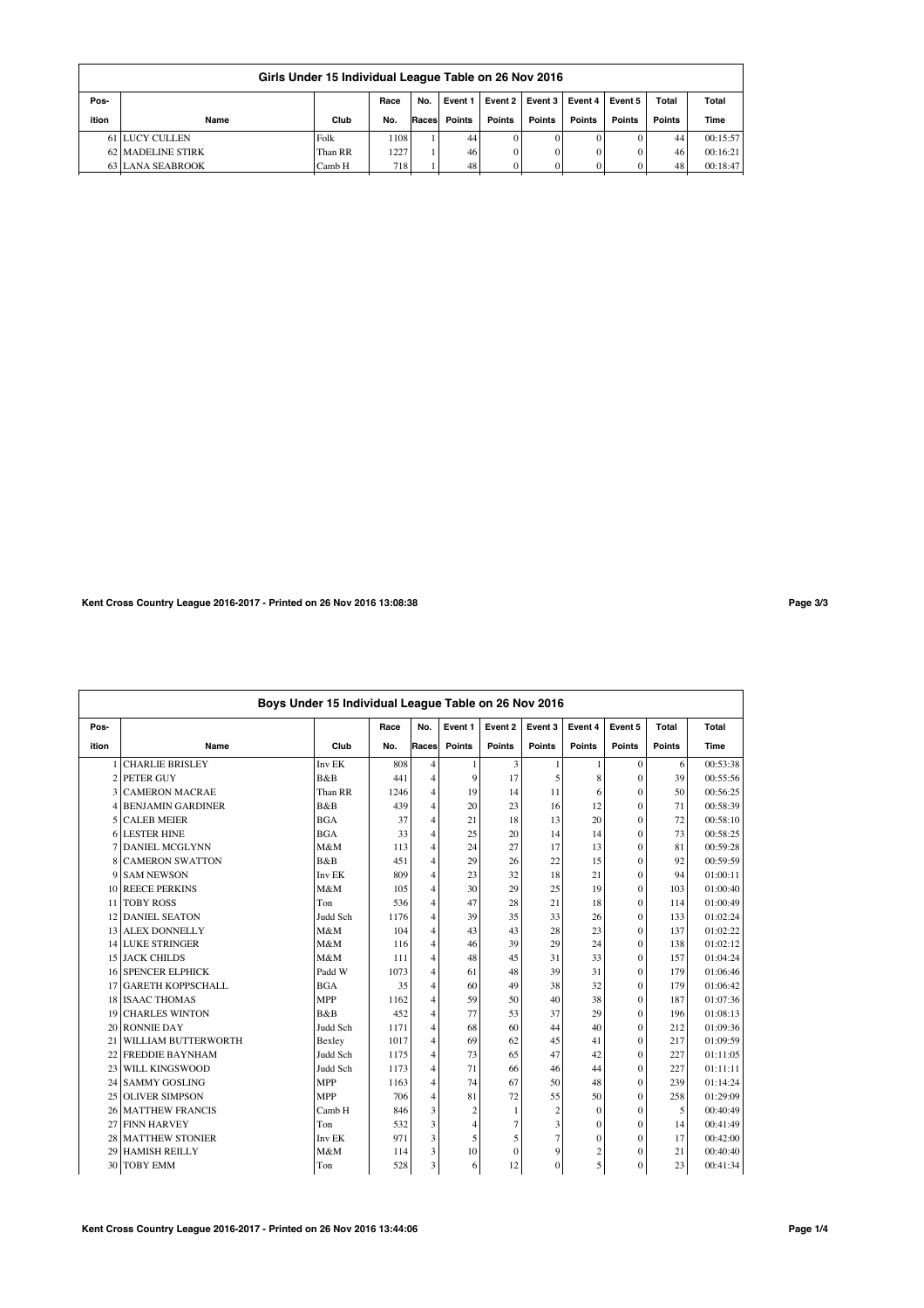|       | Girls Under 15 Individual League Table on 26 Nov 2016                                 |         |      |       |        |          |        |          |               |        |          |  |  |  |
|-------|---------------------------------------------------------------------------------------|---------|------|-------|--------|----------|--------|----------|---------------|--------|----------|--|--|--|
| Pos-  | No.<br>Event 2<br>Total<br>Total<br>Race<br>Event 3   Event 4  <br>Event 5<br>Event 1 |         |      |       |        |          |        |          |               |        |          |  |  |  |
| ition | Name                                                                                  | Club    | No.  | Races | Points | Points   | Points | Points   | <b>Points</b> | Points | Time     |  |  |  |
|       | <b>61 LUCY CULLEN</b>                                                                 | Folk    | 1108 |       | 44     | $\Omega$ |        | $\Omega$ | 0             | 44     | 00:15:57 |  |  |  |
|       | 62 MADELINE STIRK                                                                     | Than RR | 1227 |       | 46     | 0        | 0      | $\Omega$ | 0             | 46     | 00:16:21 |  |  |  |
|       | 63 LANA SEABROOK                                                                      | Camb H  | 718  |       | 48     |          |        |          |               | 48     | 00:18:47 |  |  |  |

**Kent Cross Country League 2016-2017 - Printed on 26 Nov 2016 13:08:38 Page 3/3**

|       | Boys Under 15 Individual League Table on 26 Nov 2016 |            |      |                |                |               |                |                |                |               |          |  |  |
|-------|------------------------------------------------------|------------|------|----------------|----------------|---------------|----------------|----------------|----------------|---------------|----------|--|--|
| Pos-  |                                                      |            | Race | No.            | Event 1        | Event 2       | Event 3        | Event 4        | Event 5        | Total         | Total    |  |  |
| ition | Name                                                 | Club       | No.  | Races          | <b>Points</b>  | <b>Points</b> | Points         | Points         | Points         | <b>Points</b> | Time     |  |  |
|       | <b>CHARLIE BRISLEY</b>                               | Inv EK     | 808  | 4              | -1             | 3             |                |                | $\Omega$       | 6             | 00:53:38 |  |  |
|       | 2 PETER GUY                                          | B&B        | 441  | $\overline{4}$ | 9              | 17            | 5              | 8              | $\theta$       | 39            | 00:55:56 |  |  |
|       | <b>3 CAMERON MACRAE</b>                              | Than RR    | 1246 | $\overline{4}$ | 19             | 14            | 11             | 6              | $\theta$       | 50            | 00:56:25 |  |  |
| 4     | <b>BENJAMIN GARDINER</b>                             | B&B        | 439  | $\overline{4}$ | 20             | 23            | 16             | 12             | $\theta$       | 71            | 00:58:39 |  |  |
| 5     | <b>CALEB MEIER</b>                                   | <b>BGA</b> | 37   | $\overline{4}$ | 21             | 18            | 13             | 20             | $\theta$       | 72            | 00:58:10 |  |  |
| 6     | <b>LESTER HINE</b>                                   | <b>BGA</b> | 33   | $\overline{4}$ | 25             | 20            | 14             | 14             | $\theta$       | 73            | 00:58:25 |  |  |
|       | 7 DANIEL MCGLYNN                                     | M&M        | 113  | $\overline{4}$ | 24             | 27            | 17             | 13             | $\theta$       | 81            | 00:59:28 |  |  |
| 8     | <b>CAMERON SWATTON</b>                               | B&B        | 451  | $\overline{4}$ | 29             | 26            | 22             | 15             | $\theta$       | 92            | 00:59:59 |  |  |
|       | 9 SAM NEWSON                                         | Inv EK     | 809  | $\overline{4}$ | 23             | 32            | 18             | 21             | $\theta$       | 94            | 01:00:11 |  |  |
|       | 10 REECE PERKINS                                     | M&M        | 105  | $\overline{4}$ | 30             | 29            | 25             | 19             | $\theta$       | 103           | 01:00:40 |  |  |
|       | 11 TOBY ROSS                                         | Ton        | 536  | 4              | 47             | 28            | 21             | 18             | $\theta$       | 114           | 01:00:49 |  |  |
|       | 12 DANIEL SEATON                                     | Judd Sch   | 1176 | $\overline{4}$ | 39             | 35            | 33             | 26             | $\overline{0}$ | 133           | 01:02:24 |  |  |
|       | 13 ALEX DONNELLY                                     | M&M        | 104  | $\overline{4}$ | 43             | 43            | 28             | 23             | $\theta$       | 137           | 01:02:22 |  |  |
|       | <b>14 LUKE STRINGER</b>                              | M&M        | 116  | $\overline{4}$ | 46             | 39            | 29             | 24             | $\theta$       | 138           | 01:02:12 |  |  |
|       | <b>15 JACK CHILDS</b>                                | M&M        | 111  | $\overline{4}$ | 48             | 45            | 31             | 33             | $\theta$       | 157           | 01:04:24 |  |  |
|       | <b>16 SPENCER ELPHICK</b>                            | Padd W     | 1073 | $\overline{4}$ | 61             | 48            | 39             | 31             | $\theta$       | 179           | 01:06:46 |  |  |
|       | 17 GARETH KOPPSCHALL                                 | <b>BGA</b> | 35   | 4              | 60             | 49            | 38             | 32             | $\theta$       | 179           | 01:06:42 |  |  |
|       | 18 ISAAC THOMAS                                      | <b>MPP</b> | 1162 | $\overline{4}$ | 59             | 50            | 40             | 38             | $\theta$       | 187           | 01:07:36 |  |  |
| 19    | <b>CHARLES WINTON</b>                                | B&B        | 452  | $\overline{4}$ | 77             | 53            | 37             | 29             | $\theta$       | 196           | 01:08:13 |  |  |
|       | 20 RONNIE DAY                                        | Judd Sch   | 1171 | 4              | 68             | 60            | 44             | 40             | $\theta$       | 212           | 01:09:36 |  |  |
| 21    | WILLIAM BUTTERWORTH                                  | Bexley     | 1017 | $\overline{4}$ | 69             | 62            | 45             | 41             | $\theta$       | 217           | 01:09:59 |  |  |
|       | 22 FREDDIE BAYNHAM                                   | Judd Sch   | 1175 | 4              | 73             | 65            | 47             | 42             | $\theta$       | 227           | 01:11:05 |  |  |
|       | 23 WILL KINGSWOOD                                    | Judd Sch   | 1173 | $\overline{4}$ | 71             | 66            | 46             | 44             | $\theta$       | 227           | 01:11:11 |  |  |
|       | 24 SAMMY GOSLING                                     | <b>MPP</b> | 1163 | $\overline{4}$ | 74             | 67            | 50             | 48             | $\theta$       | 239           | 01:14:24 |  |  |
|       | 25 OLIVER SIMPSON                                    | <b>MPP</b> | 706  | $\overline{4}$ | 81             | 72            | 55             | 50             | $\theta$       | 258           | 01:29:09 |  |  |
|       | 26 MATTHEW FRANCIS                                   | Camb H     | 846  | 3              | $\overline{2}$ | 1             | $\overline{c}$ | $\mathbf{0}$   | $\mathbf{0}$   | 5             | 00:40:49 |  |  |
| 27    | <b>FINN HARVEY</b>                                   | Ton        | 532  | 3              | $\overline{4}$ | 7             | 3              | $\Omega$       | $\theta$       | 14            | 00:41:49 |  |  |
| 28    | <b>MATTHEW STONIER</b>                               | Inv EK     | 971  | 3              | 5              | 5             | $\overline{7}$ | $\Omega$       | $\theta$       | 17            | 00:42:00 |  |  |
| 29    | <b>HAMISH REILLY</b>                                 | M&M        | 114  | 3              | 10             | $\Omega$      | 9              | $\overline{c}$ | $\theta$       | 21            | 00:40:40 |  |  |
| 30    | <b>TOBY EMM</b>                                      | Ton        | 528  | 3              | 6              | 12            | $\mathbf{0}$   | 5              | $\theta$       | 23            | 00:41:34 |  |  |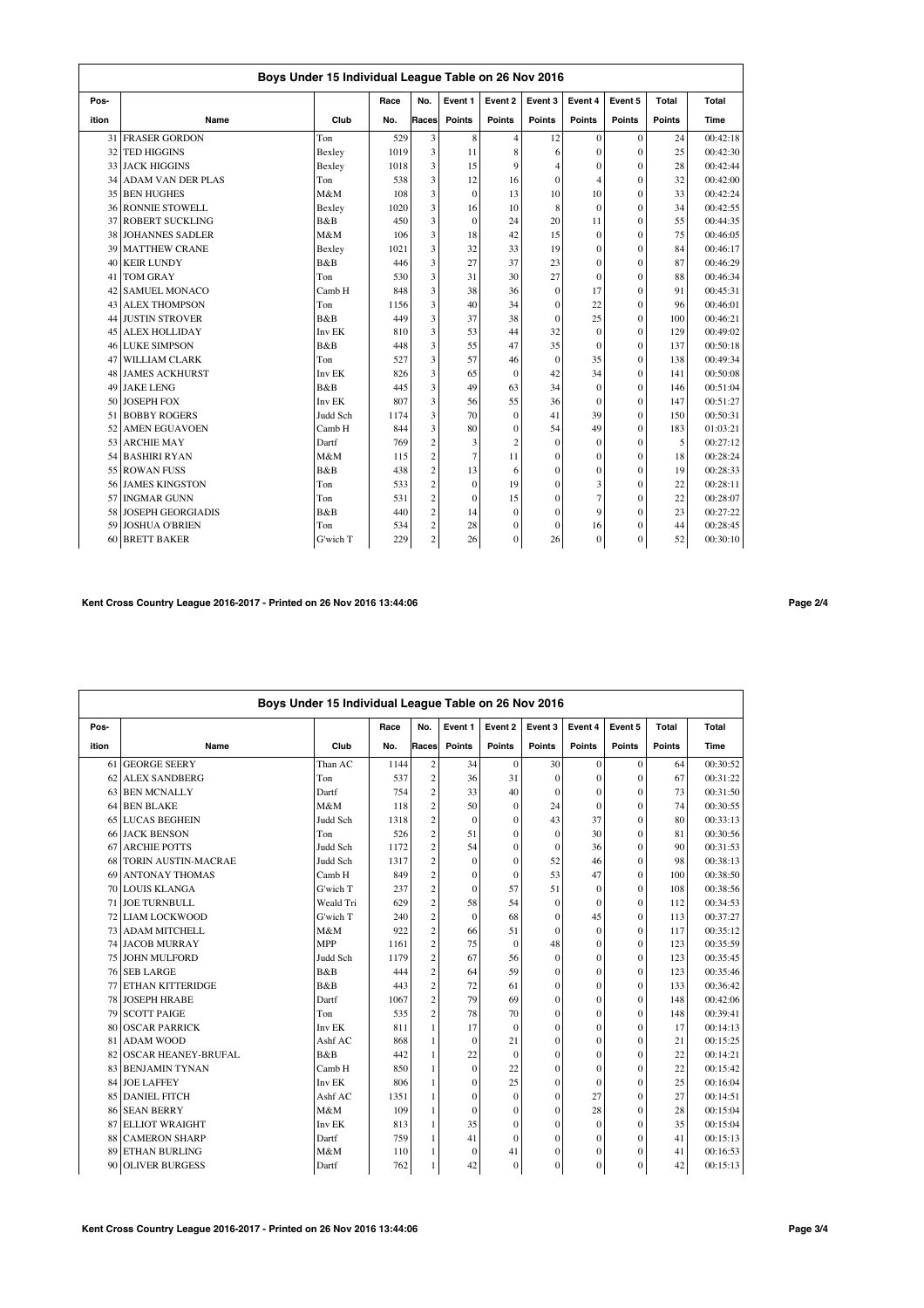|       | Boys Under 15 Individual League Table on 26 Nov 2016 |          |      |                         |                |                |                |                |          |               |          |  |  |
|-------|------------------------------------------------------|----------|------|-------------------------|----------------|----------------|----------------|----------------|----------|---------------|----------|--|--|
| Pos-  |                                                      |          | Race | No.                     | Event 1        | Event 2        | Event 3        | Event 4        | Event 5  | Total         | Total    |  |  |
| ition | Name                                                 | Club     | No.  | Races                   | <b>Points</b>  | <b>Points</b>  | <b>Points</b>  | Points         | Points   | <b>Points</b> | Time     |  |  |
| 31    | <b>FRASER GORDON</b>                                 | Ton      | 529  | 3                       | 8              | 4              | 12             | $\theta$       | $\theta$ | 24            | 00:42:18 |  |  |
| 32    | <b>TED HIGGINS</b>                                   | Bexley   | 1019 | $\overline{\mathbf{3}}$ | 11             | 8              | 6              | $\theta$       | $\theta$ | 25            | 00:42:30 |  |  |
|       | 33 JACK HIGGINS                                      | Bexley   | 1018 | 3                       | 15             | 9              | 4              | $\mathbf{0}$   | $\theta$ | 28            | 00:42:44 |  |  |
|       | 34 ADAM VAN DER PLAS                                 | Ton      | 538  | 3                       | 12             | 16             | $\mathbf{0}$   | $\overline{4}$ | $\theta$ | 32            | 00:42:00 |  |  |
| 35    | <b>BEN HUGHES</b>                                    | M&M      | 108  | 3                       | $\mathbf{0}$   | 13             | 10             | 10             | $\theta$ | 33            | 00:42:24 |  |  |
| 361   | <b>RONNIE STOWELL</b>                                | Bexley   | 1020 | 3                       | 16             | 10             | 8              | $\theta$       | $\Omega$ | 34            | 00:42:55 |  |  |
| 37    | <b>ROBERT SUCKLING</b>                               | B&B      | 450  | 3                       | $\theta$       | 24             | 20             | 11             | $\theta$ | 55            | 00:44:35 |  |  |
| 38    | <b>JOHANNES SADLER</b>                               | M&M      | 106  | 3                       | 18             | 42             | 15             | $\theta$       | $\theta$ | 75            | 00:46:05 |  |  |
| 39    | <b>MATTHEW CRANE</b>                                 | Bexley   | 1021 | 3                       | 32             | 33             | 19             | $\theta$       | $\Omega$ | 84            | 00:46:17 |  |  |
| 40    | <b>KEIR LUNDY</b>                                    | B&B      | 446  | 3                       | 27             | 37             | 23             | $\Omega$       | $\theta$ | 87            | 00:46:29 |  |  |
| 41    | <b>TOM GRAY</b>                                      | Ton      | 530  | 3                       | 31             | 30             | 27             | $\Omega$       | $\theta$ | 88            | 00:46:34 |  |  |
| 42    | <b>SAMUEL MONACO</b>                                 | Camb H   | 848  | 3                       | 38             | 36             | $\mathbf{0}$   | 17             | $\theta$ | 91            | 00:45:31 |  |  |
| 43    | <b>ALEX THOMPSON</b>                                 | Ton      | 1156 | 3                       | 40             | 34             | $\mathbf{0}$   | 22             | $\theta$ | 96            | 00:46:01 |  |  |
| 44    | <b>JUSTIN STROVER</b>                                | B&B      | 449  | 3                       | 37             | 38             | $\theta$       | 25             | $\theta$ | 100           | 00:46:21 |  |  |
| 45    | <b>ALEX HOLLIDAY</b>                                 | Inv EK   | 810  | 3                       | 53             | 44             | 32             | $\Omega$       | $\Omega$ | 129           | 00:49:02 |  |  |
| 46    | <b>LUKE SIMPSON</b>                                  | B&B      | 448  | 3                       | 55             | 47             | 35             | $\theta$       | $\theta$ | 137           | 00:50:18 |  |  |
| 47    | <b>WILLIAM CLARK</b>                                 | Ton      | 527  | 3                       | 57             | 46             | $\mathbf{0}$   | 35             | $\Omega$ | 138           | 00:49:34 |  |  |
|       | <b>48 JAMES ACKHURST</b>                             | Inv EK   | 826  | 3                       | 65             | $\Omega$       | 42             | 34             | $\Omega$ | 141           | 00:50:08 |  |  |
| 49    | <b>JAKE LENG</b>                                     | B&B      | 445  | 3                       | 49             | 63             | 34             | $\mathbf{0}$   | $\Omega$ | 146           | 00:51:04 |  |  |
| 50    | <b>JOSEPH FOX</b>                                    | Inv EK   | 807  | 3                       | 56             | 55             | 36             | $\Omega$       | $\theta$ | 147           | 00:51:27 |  |  |
| 51    | <b>BOBBY ROGERS</b>                                  | Judd Sch | 1174 | 3                       | 70             | $\Omega$       | 41             | 39             | $\theta$ | 150           | 00:50:31 |  |  |
| 52    | <b>AMEN EGUAVOEN</b>                                 | Camb H   | 844  | 3                       | 80             | $\theta$       | 54             | 49             | $\theta$ | 183           | 01:03:21 |  |  |
| 53    | <b>ARCHIE MAY</b>                                    | Dartf    | 769  | $\overline{c}$          | 3              | $\overline{2}$ | $\theta$       | $\theta$       | $\theta$ | 5             | 00:27:12 |  |  |
| 54    | <b>BASHIRI RYAN</b>                                  | M&M      | 115  | $\overline{c}$          | $\overline{7}$ | 11             | $\mathbf{0}$   | $\mathbf{0}$   | $\Omega$ | 18            | 00:28:24 |  |  |
| 55    | <b>ROWAN FUSS</b>                                    | B&B      | 438  | $\overline{\mathbf{c}}$ | 13             | 6              | $\mathbf{0}$   | $\theta$       | $\theta$ | 19            | 00:28:33 |  |  |
| 56    | <b>JAMES KINGSTON</b>                                | Ton      | 533  | $\overline{c}$          | $\mathbf{0}$   | 19             | $\overline{0}$ | 3              | $\theta$ | 22            | 00:28:11 |  |  |
| 57    | <b>INGMAR GUNN</b>                                   | Ton      | 531  | $\overline{\mathbf{c}}$ | $\theta$       | 15             | $\theta$       | $\overline{7}$ | $\theta$ | 22            | 00:28:07 |  |  |
| 58    | <b>JOSEPH GEORGIADIS</b>                             | B&B      | 440  | $\overline{c}$          | 14             | $\Omega$       | $\mathbf{0}$   | $\mathbf Q$    | $\theta$ | 23            | 00:27:22 |  |  |
| 59    | <b>JOSHUA O'BRIEN</b>                                | Ton      | 534  | $\mathbf{2}$            | 28             | $\Omega$       | $\theta$       | 16             | $\theta$ | 44            | 00:28:45 |  |  |
| 60    | <b>BRETT BAKER</b>                                   | G'wich T | 229  | $\overline{c}$          | 26             | $\theta$       | 26             | $\mathbf{0}$   | $\theta$ | 52            | 00:30:10 |  |  |

# **Kent Cross Country League 2016-2017 - Printed on 26 Nov 2016 13:44:06 Page 2/4**

|       | Boys Under 15 Individual League Table on 26 Nov 2016 |            |      |                |               |               |                |               |               |               |          |  |  |
|-------|------------------------------------------------------|------------|------|----------------|---------------|---------------|----------------|---------------|---------------|---------------|----------|--|--|
| Pos-  |                                                      |            | Race | No.            | Event 1       | Event 2       | Event 3        | Event 4       | Event 5       | Total         | Total    |  |  |
| ition | Name                                                 | Club       | No.  | Races          | <b>Points</b> | <b>Points</b> | <b>Points</b>  | <b>Points</b> | <b>Points</b> | <b>Points</b> | Time     |  |  |
| 61    | <b>GEORGE SEERY</b>                                  | Than AC    | 1144 | $\overline{c}$ | 34            | $\mathbf{0}$  | 30             | $\mathbf{0}$  | $\mathbf{0}$  | 64            | 00:30:52 |  |  |
| 62    | <b>ALEX SANDBERG</b>                                 | Ton        | 537  | $\overline{c}$ | 36            | 31            | $\theta$       | $\mathbf{0}$  | $\theta$      | 67            | 00:31:22 |  |  |
| 63    | <b>BEN MCNALLY</b>                                   | Dartf      | 754  | $\overline{c}$ | 33            | 40            | $\theta$       | $\mathbf{0}$  | $\theta$      | 73            | 00:31:50 |  |  |
| 64    | <b>BEN BLAKE</b>                                     | M&M        | 118  | $\overline{c}$ | 50            | $\Omega$      | 24             | $\mathbf{0}$  | $\theta$      | 74            | 00:30:55 |  |  |
| 65    | <b>LUCAS BEGHEIN</b>                                 | Judd Sch   | 1318 | $\overline{c}$ | $\mathbf{0}$  | $\Omega$      | 43             | 37            | $\theta$      | 80            | 00:33:13 |  |  |
| 66    | <b>JACK BENSON</b>                                   | Ton        | 526  | $\overline{c}$ | 51            | $\Omega$      | $\mathbf{0}$   | 30            | $\theta$      | 81            | 00:30:56 |  |  |
| 67    | <b>ARCHIE POTTS</b>                                  | Judd Sch   | 1172 | $\overline{c}$ | 54            | $\Omega$      | $\mathbf{0}$   | 36            | $\theta$      | 90            | 00:31:53 |  |  |
| 68    | <b>TORIN AUSTIN-MACRAE</b>                           | Judd Sch   | 1317 | $\overline{c}$ | $\mathbf{0}$  | $\mathbf{0}$  | 52             | 46            | $\mathbf{0}$  | 98            | 00:38:13 |  |  |
| 69    | <b>ANTONAY THOMAS</b>                                | Camb H     | 849  | $\overline{c}$ | $\mathbf{0}$  | $\Omega$      | 53             | 47            | $\theta$      | 100           | 00:38:50 |  |  |
| 70    | <b>LOUIS KLANGA</b>                                  | G'wich T   | 237  | $\overline{c}$ | $\mathbf{0}$  | 57            | 51             | $\mathbf{0}$  | $\mathbf{0}$  | 108           | 00:38:56 |  |  |
| 71    | <b>JOE TURNBULL</b>                                  | Weald Tri  | 629  | $\overline{c}$ | 58            | 54            | $\theta$       | $\theta$      | $\theta$      | 112           | 00:34:53 |  |  |
| 72    | <b>LIAM LOCKWOOD</b>                                 | G'wich T   | 240  | $\overline{c}$ | $\mathbf{0}$  | 68            | $\mathbf{0}$   | 45            | $\theta$      | 113           | 00:37:27 |  |  |
| 73    | <b>ADAM MITCHELL</b>                                 | M&M        | 922  | $\overline{c}$ | 66            | 51            | $\Omega$       | $\Omega$      | $\theta$      | 117           | 00:35:12 |  |  |
|       | 74 JACOB MURRAY                                      | <b>MPP</b> | 1161 | $\overline{c}$ | 75            | $\mathbf{0}$  | 48             | $\mathbf{0}$  | $\mathbf{0}$  | 123           | 00:35:59 |  |  |
| 75    | <b>JOHN MULFORD</b>                                  | Judd Sch   | 1179 | $\overline{c}$ | 67            | 56            | $\mathbf{0}$   | $\mathbf{0}$  | $\mathbf{0}$  | 123           | 00:35:45 |  |  |
| 76    | <b>SEB LARGE</b>                                     | B&B        | 444  | $\overline{c}$ | 64            | 59            | $\mathbf{0}$   | $\mathbf{0}$  | $\theta$      | 123           | 00:35:46 |  |  |
| 77    | <b>ETHAN KITTERIDGE</b>                              | B&B        | 443  | $\overline{c}$ | 72            | 61            | $\mathbf{0}$   | $\theta$      | $\theta$      | 133           | 00:36:42 |  |  |
| 78    | <b>JOSEPH HRABE</b>                                  | Dartf      | 1067 | $\overline{c}$ | 79            | 69            | $\mathbf{0}$   | $\mathbf{0}$  | $\theta$      | 148           | 00:42:06 |  |  |
| 79    | <b>SCOTT PAIGE</b>                                   | Ton        | 535  | $\overline{c}$ | 78            | 70            | $\overline{0}$ | $\mathbf{0}$  | $\theta$      | 148           | 00:39:41 |  |  |
| 80    | <b>OSCAR PARRICK</b>                                 | Inv EK     | 811  | $\mathbf{1}$   | 17            | $\Omega$      | $\mathbf{0}$   | $\theta$      | $\theta$      | 17            | 00:14:13 |  |  |
| 81    | <b>ADAM WOOD</b>                                     | Ashf AC    | 868  | $\mathbf{1}$   | $\mathbf{0}$  | 21            | $\mathbf{0}$   | $\mathbf{0}$  | $\mathbf{0}$  | 21            | 00:15:25 |  |  |
| 82    | <b>OSCAR HEANEY-BRUFAL</b>                           | B&B        | 442  | 1              | 22            | $\mathbf{0}$  | $\mathbf{0}$   | $\mathbf{0}$  | $\Omega$      | 22            | 00:14:21 |  |  |
| 83    | <b>BENJAMIN TYNAN</b>                                | Camb H     | 850  | $\mathbf{1}$   | $\mathbf{0}$  | 22            | $\mathbf{0}$   | $\mathbf{0}$  | $\Omega$      | 22            | 00:15:42 |  |  |
| 84    | <b>JOE LAFFEY</b>                                    | Inv EK     | 806  | 1              | $\mathbf{0}$  | 25            | $\theta$       | $\theta$      | $\theta$      | 25            | 00:16:04 |  |  |
| 85    | <b>DANIEL FITCH</b>                                  | Ashf AC    | 1351 | 1              | $\mathbf{0}$  | $\theta$      | $\overline{0}$ | 27            | $\theta$      | 27            | 00:14:51 |  |  |
| 86    | <b>SEAN BERRY</b>                                    | M&M        | 109  | $\mathbf{1}$   | $\mathbf{0}$  | $\theta$      | $\mathbf{0}$   | 28            | $\theta$      | 28            | 00:15:04 |  |  |
| 87    | <b>ELLIOT WRAIGHT</b>                                | Inv EK     | 813  | $\mathbf{1}$   | 35            | $\Omega$      | $\theta$       | $\mathbf{0}$  | $\theta$      | 35            | 00:15:04 |  |  |
| 88    | <b>CAMERON SHARP</b>                                 | Dartf      | 759  | 1              | 41            | $\Omega$      | $\mathbf{0}$   | $\mathbf{0}$  | $\theta$      | 41            | 00:15:13 |  |  |
| 89    | <b>ETHAN BURLING</b>                                 | M&M        | 110  | 1              | $\mathbf{0}$  | 41            | $\mathbf{0}$   | $\mathbf{0}$  | $\theta$      | 41            | 00:16:53 |  |  |
| 90    | <b>OLIVER BURGESS</b>                                | Dartf      | 762  | 1              | 42            | $\mathbf{0}$  | $\mathbf{0}$   | $\mathbf{0}$  | $\theta$      | 42            | 00:15:13 |  |  |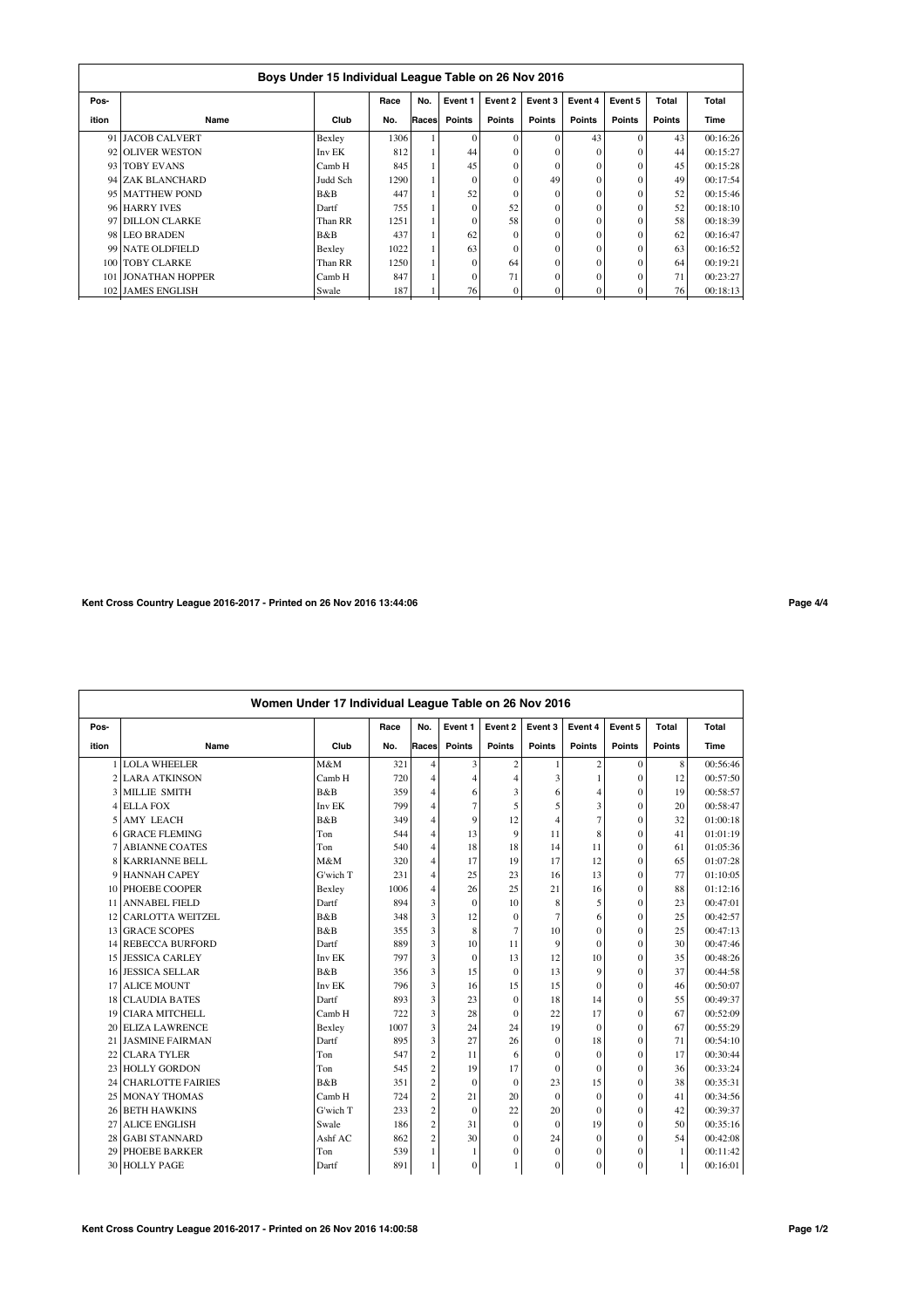|       | Boys Under 15 Individual League Table on 26 Nov 2016 |          |      |       |               |          |               |               |               |        |          |  |  |  |
|-------|------------------------------------------------------|----------|------|-------|---------------|----------|---------------|---------------|---------------|--------|----------|--|--|--|
| Pos-  |                                                      |          | Race | No.   | Event 1       | Event 2  | Event 3       | Event 4       | Event 5       | Total  | Total    |  |  |  |
| ition | Name                                                 | Club     | No.  | Races | <b>Points</b> | Points   | <b>Points</b> | <b>Points</b> | <b>Points</b> | Points | Time     |  |  |  |
|       | 91 JACOB CALVERT                                     | Bexley   | 1306 |       | $\Omega$      | $\Omega$ | $\Omega$      | 43            | $\Omega$      | 43     | 00:16:26 |  |  |  |
|       | 92 OLIVER WESTON                                     | Inv EK   | 812  |       | 44            | $\Omega$ |               | $\Omega$      | $\Omega$      | 44     | 00:15:27 |  |  |  |
|       | 93 TOBY EVANS                                        | Camb H   | 845  |       | 45            | $\Omega$ | $\Omega$      | $\Omega$      | $\Omega$      | 45     | 00:15:28 |  |  |  |
|       | 94 ZAK BLANCHARD                                     | Judd Sch | 1290 |       | $\Omega$      | $\Omega$ | 49            | $\Omega$      | $\Omega$      | 49     | 00:17:54 |  |  |  |
|       | 95 MATTHEW POND                                      | B&B      | 447  |       | 52            | $\Omega$ | $\Omega$      | $\Omega$      | $\Omega$      | 52     | 00:15:46 |  |  |  |
|       | 96 HARRY IVES                                        | Dartf    | 755  |       | $\Omega$      | 52       | 0             | $\Omega$      | $\Omega$      | 52     | 00:18:10 |  |  |  |
|       | 97 DILLON CLARKE                                     | Than RR  | 1251 |       |               | 58       |               | $\Omega$      | $\Omega$      | 58     | 00:18:39 |  |  |  |
|       | 98 LEO BRADEN                                        | B&B      | 437  |       | 62            | $\Omega$ | $\Omega$      | $\Omega$      | $\Omega$      | 62     | 00:16:47 |  |  |  |
|       | 99 NATE OLDFIELD                                     | Bexley   | 1022 |       | 63            | $\Omega$ |               | $\Omega$      | $\Omega$      | 63     | 00:16:52 |  |  |  |
|       | 100 TOBY CLARKE                                      | Than RR  | 1250 |       | $\Omega$      | 64       | $\Omega$      | $\Omega$      | $\Omega$      | 64     | 00:19:21 |  |  |  |
|       | 101 JONATHAN HOPPER                                  | Camb H   | 847  |       | $\Omega$      | 71       | $\Omega$      | $\Omega$      | $\Omega$      | 71     | 00:23:27 |  |  |  |
|       | 102 JAMES ENGLISH                                    | Swale    | 187  |       | 76            | $\Omega$ | 0             | $\mathbf{0}$  |               | 76     | 00:18:13 |  |  |  |

## **Kent Cross Country League 2016-2017 - Printed on 26 Nov 2016 13:44:06 Page 4/4**

|                          | Women Under 17 Individual League Table on 26 Nov 2016 |          |      |                         |                |               |                |              |                |               |          |  |  |
|--------------------------|-------------------------------------------------------|----------|------|-------------------------|----------------|---------------|----------------|--------------|----------------|---------------|----------|--|--|
| Pos-                     |                                                       |          | Race | No.                     | Event 1        | Event 2       | Event 3        | Event 4      | Event 5        | Total         | Total    |  |  |
| ition                    | Name                                                  | Club     | No.  | Races                   | <b>Points</b>  | <b>Points</b> | <b>Points</b>  | Points       | <b>Points</b>  | <b>Points</b> | Time     |  |  |
|                          | <b>LOLA WHEELER</b>                                   | M&M      | 321  | $\overline{4}$          | 3              | 2             |                | 2            | $\mathbf{0}$   | 8             | 00:56:46 |  |  |
|                          | <b>LARA ATKINSON</b>                                  | Camb H   | 720  | 4                       | $\overline{4}$ | 4             | 3              |              | $\theta$       | 12            | 00:57:50 |  |  |
| 3                        | MILLIE SMITH                                          | B&B      | 359  | 4                       | 6              | 3             | 6              | 4            | $\theta$       | 19            | 00:58:57 |  |  |
| 4                        | <b>ELLA FOX</b>                                       | Inv EK   | 799  | 4                       | $\tau$         | 5             | 5              | 3            | $\theta$       | 20            | 00:58:47 |  |  |
| $\overline{\phantom{0}}$ | <b>AMY LEACH</b>                                      | B&B      | 349  | 4                       | 9              | 12            | $\overline{4}$ | 7            | $\theta$       | 32            | 01:00:18 |  |  |
| 6                        | <b>GRACE FLEMING</b>                                  | Ton      | 544  | 4                       | 13             | 9             | 11             | 8            | $\theta$       | 41            | 01:01:19 |  |  |
|                          | <b>ABIANNE COATES</b>                                 | Ton      | 540  | 4                       | 18             | 18            | 14             | 11           | $\theta$       | 61            | 01:05:36 |  |  |
|                          | <b>KARRIANNE BELL</b>                                 | M&M      | 320  | $\overline{4}$          | 17             | 19            | 17             | 12           | $\mathbf{0}$   | 65            | 01:07:28 |  |  |
| 9                        | <b>HANNAH CAPEY</b>                                   | G'wich T | 231  | 4                       | 25             | 23            | 16             | 13           | $\theta$       | 77            | 01:10:05 |  |  |
| 10                       | PHOEBE COOPER                                         | Bexley   | 1006 | $\overline{4}$          | 26             | 25            | 21             | 16           | $\theta$       | 88            | 01:12:16 |  |  |
| 11                       | <b>ANNABEL FIELD</b>                                  | Dartf    | 894  | 3                       | $\Omega$       | 10            | 8              | 5            | $\theta$       | 23            | 00:47:01 |  |  |
| 12                       | CARLOTTA WEITZEL                                      | B&B      | 348  | 3                       | 12             | $\theta$      | 7              | 6            | $\theta$       | 25            | 00:42:57 |  |  |
|                          | 13 GRACE SCOPES                                       | B&B      | 355  | 3                       | 8              | 7             | 10             | 0            | $\theta$       | 25            | 00:47:13 |  |  |
|                          | 14 REBECCA BURFORD                                    | Dartf    | 889  | 3                       | 10             | 11            | 9              | $\Omega$     | $\theta$       | 30            | 00:47:46 |  |  |
|                          | 15 JESSICA CARLEY                                     | Inv EK   | 797  | $\overline{\mathbf{3}}$ | $\Omega$       | 13            | 12             | 10           | $\theta$       | 35            | 00:48:26 |  |  |
|                          | <b>16 JESSICA SELLAR</b>                              | B&B      | 356  | 3                       | 15             | $\Omega$      | 13             | 9            | $\theta$       | 37            | 00:44:58 |  |  |
| 17                       | <b>ALICE MOUNT</b>                                    | Inv EK   | 796  | 3                       | 16             | 15            | 15             | $\Omega$     | $\theta$       | 46            | 00:50:07 |  |  |
|                          | 18 CLAUDIA BATES                                      | Dartf    | 893  | 3                       | 23             | $\theta$      | 18             | 14           | $\theta$       | 55            | 00:49:37 |  |  |
| 19                       | CIARA MITCHELL                                        | Camb H   | 722  | 3                       | 28             | $\Omega$      | 22             | 17           | $\theta$       | 67            | 00:52:09 |  |  |
|                          | 20 ELIZA LAWRENCE                                     | Bexley   | 1007 | 3                       | 24             | 24            | 19             | $\Omega$     | $\theta$       | 67            | 00:55:29 |  |  |
|                          | 21 JASMINE FAIRMAN                                    | Dartf    | 895  | 3                       | 27             | 26            | $\mathbf{0}$   | 18           | $\theta$       | 71            | 00:54:10 |  |  |
| 22                       | <b>CLARA TYLER</b>                                    | Ton      | 547  | $\overline{c}$          | 11             | 6             | $\mathbf{0}$   | $\mathbf{0}$ | $\overline{0}$ | 17            | 00:30:44 |  |  |
|                          | 23 HOLLY GORDON                                       | Ton      | 545  | $\overline{c}$          | 19             | 17            | $\mathbf{0}$   | $\Omega$     | $\theta$       | 36            | 00:33:24 |  |  |
| 24                       | <b>CHARLOTTE FAIRIES</b>                              | B&B      | 351  | $\overline{c}$          | $\mathbf{0}$   | $\mathbf{0}$  | 23             | 15           | $\theta$       | 38            | 00:35:31 |  |  |
| 25                       | <b>MONAY THOMAS</b>                                   | Camb H   | 724  | $\overline{\mathbf{c}}$ | 21             | 20            | $\Omega$       | $\Omega$     | $\theta$       | 41            | 00:34:56 |  |  |
|                          | <b>26 BETH HAWKINS</b>                                | G'wich T | 233  | $\overline{c}$          | $\mathbf{0}$   | 22            | 20             | $\Omega$     | $\theta$       | 42            | 00:39:37 |  |  |
| 27                       | <b>ALICE ENGLISH</b>                                  | Swale    | 186  | $\overline{c}$          | 31             | $\Omega$      | $\theta$       | 19           | $\theta$       | 50            | 00:35:16 |  |  |
| 28                       | <b>GABI STANNARD</b>                                  | Ashf AC  | 862  | $\mathbf{2}$            | 30             | $\theta$      | 24             | $\Omega$     | $\theta$       | 54            | 00:42:08 |  |  |
| 29                       | <b>PHOEBE BARKER</b>                                  | Ton      | 539  | 1                       | -1             | $\Omega$      | $\mathbf{0}$   | 0            | $\theta$       | 1             | 00:11:42 |  |  |
|                          | 30 HOLLY PAGE                                         | Dartf    | 891  | 1                       | $\mathbf{0}$   | 1             | $\bf{0}$       | 0            | $\overline{0}$ | $\mathbf{1}$  | 00:16:01 |  |  |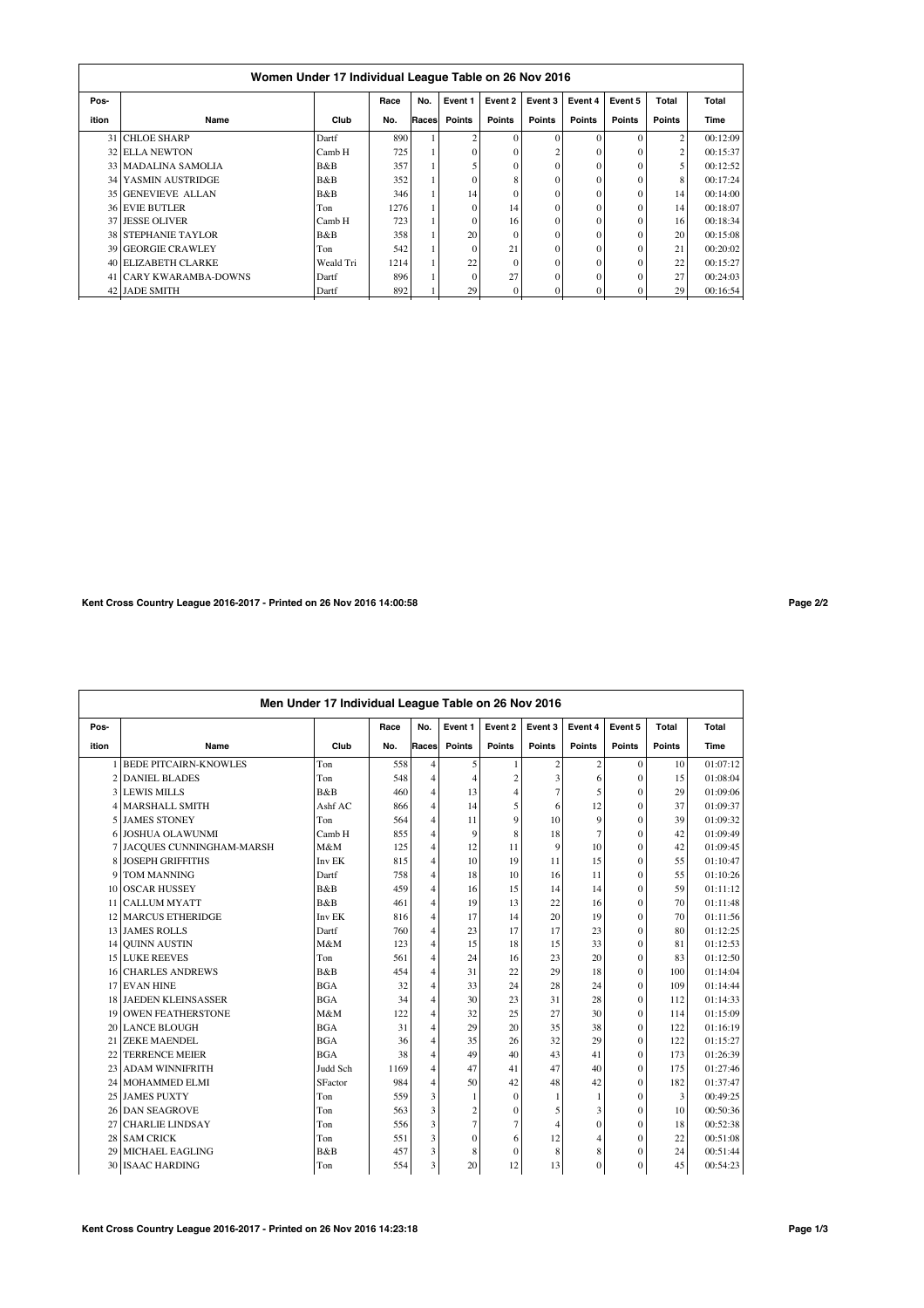| Women Under 17 Individual League Table on 26 Nov 2016 |                            |           |      |       |                |          |               |          |               |                |          |  |  |
|-------------------------------------------------------|----------------------------|-----------|------|-------|----------------|----------|---------------|----------|---------------|----------------|----------|--|--|
| Pos-                                                  |                            |           | Race | No.   | Event 1        | Event 2  | Event 3       | Event 4  | Event 5       | Total          | Total    |  |  |
| ition                                                 | Name                       | Club      | No.  | Races | <b>Points</b>  | Points   | <b>Points</b> | Points   | <b>Points</b> | Points         | Time     |  |  |
|                                                       | 31 CHLOE SHARP             | Dartf     | 890  |       | $\overline{c}$ | $\Omega$ | $\Omega$      | $\Omega$ | $\Omega$      | $\overline{2}$ | 00:12:09 |  |  |
|                                                       | <b>32 ELLA NEWTON</b>      | Camb H    | 725  |       | $\theta$       | $\Omega$ |               | $\Omega$ |               | 2              | 00:15:37 |  |  |
|                                                       | 33 MADALINA SAMOLIA        | B&B       | 357  |       | 5              | $\Omega$ | $\Omega$      | $\Omega$ | $\Omega$      | 5              | 00:12:52 |  |  |
|                                                       | 34 YASMIN AUSTRIDGE        | B&B       | 352  |       | $\theta$       | 8        | $\theta$      | $\Omega$ | $\Omega$      | 8              | 00:17:24 |  |  |
|                                                       | 35 GENEVIEVE ALLAN         | B&B       | 346  |       | 14             | $\Omega$ | $\Omega$      | $\theta$ | $\Omega$      | 14             | 00:14:00 |  |  |
|                                                       | <b>36 EVIE BUTLER</b>      | Ton       | 1276 |       | $\Omega$       | 14       | $\Omega$      | $\theta$ | $\Omega$      | 14             | 00:18:07 |  |  |
|                                                       | 37 JESSE OLIVER            | Camb H    | 723  |       | $\theta$       | 16       | $\Omega$      | $\Omega$ | $\theta$      | 16             | 00:18:34 |  |  |
|                                                       | <b>38 STEPHANIE TAYLOR</b> | B&B       | 358  |       | 20             | $\Omega$ | $\theta$      | $\theta$ | $\theta$      | 20             | 00:15:08 |  |  |
|                                                       | 39 GEORGIE CRAWLEY         | Ton       | 542  |       | $\Omega$       | 21       | $\Omega$      | $\theta$ | $\theta$      | 21             | 00:20:02 |  |  |
|                                                       | 40 ELIZABETH CLARKE        | Weald Tri | 1214 |       | 22             | $\Omega$ | $\theta$      | $\Omega$ | $\Omega$      | 22             | 00:15:27 |  |  |
|                                                       | 41 CARY KWARAMBA-DOWNS     | Dartf     | 896  |       | $\Omega$       | 27       | $\theta$      | $\Omega$ | $\Omega$      | 27             | 00:24:03 |  |  |
|                                                       | 42 JADE SMITH              | Dartf     | 892  |       | 29             | $\theta$ | $\Omega$      | 0        |               | 29             | 00:16:54 |  |  |

**Kent Cross Country League 2016-2017 - Printed on 26 Nov 2016 14:00:58 Page 2/2**

| Men Under 17 Individual League Table on 26 Nov 2016 |                              |            |      |                |                |                |                |                 |               |        |          |  |
|-----------------------------------------------------|------------------------------|------------|------|----------------|----------------|----------------|----------------|-----------------|---------------|--------|----------|--|
| Pos-                                                |                              |            | Race | No.            | Event 1        | Event 2        | Event 3        | Event 4         | Event 5       | Total  | Total    |  |
| ition                                               | Name                         | Club       | No.  | Races          | <b>Points</b>  | <b>Points</b>  | <b>Points</b>  | <b>Points</b>   | <b>Points</b> | Points | Time     |  |
|                                                     | 1 BEDE PITCAIRN-KNOWLES      | Ton        | 558  | $\overline{4}$ | 5              |                | $\overline{c}$ | $\overline{c}$  | $\theta$      | 10     | 01:07:12 |  |
|                                                     | 2 DANIEL BLADES              | Ton        | 548  | $\overline{4}$ | 4              | $\overline{2}$ | 3              | 6               | $\theta$      | 15     | 01:08:04 |  |
|                                                     | 3 LEWIS MILLS                | B&B        | 460  | $\overline{4}$ | 13             | $\overline{4}$ | $\overline{7}$ | 5               | $\theta$      | 29     | 01:09:06 |  |
|                                                     | 4 MARSHALL SMITH             | Ashf AC    | 866  | $\overline{4}$ | 14             | 5              | 6              | 12              | $\theta$      | 37     | 01:09:37 |  |
|                                                     | 5 JAMES STONEY               | Ton        | 564  | $\overline{4}$ | 11             | 9              | 10             | 9               | $\theta$      | 39     | 01:09:32 |  |
|                                                     | 6 JOSHUA OLAWUNMI            | Camb H     | 855  | $\overline{4}$ | 9              | 8              | 18             | $7\phantom{.0}$ | $\theta$      | 42     | 01:09:49 |  |
|                                                     | 7 JACQUES CUNNINGHAM-MARSH   | M&M        | 125  | $\overline{4}$ | 12             | 11             | 9              | 10              | $\theta$      | 42     | 01:09:45 |  |
|                                                     | 8 JOSEPH GRIFFITHS           | Inv EK     | 815  | $\overline{4}$ | 10             | 19             | 11             | 15              | $\theta$      | 55     | 01:10:47 |  |
| 9                                                   | <b>TOM MANNING</b>           | Dartf      | 758  | $\overline{4}$ | 18             | 10             | 16             | 11              | $\theta$      | 55     | 01:10:26 |  |
|                                                     | 10 OSCAR HUSSEY              | B&B        | 459  | $\overline{4}$ | 16             | 15             | 14             | 14              | $\theta$      | 59     | 01:11:12 |  |
|                                                     | 11 CALLUM MYATT              | B&B        | 461  | $\overline{4}$ | 19             | 13             | 22             | 16              | $\theta$      | 70     | 01:11:48 |  |
|                                                     | 12 MARCUS ETHERIDGE          | Inv EK     | 816  | $\overline{4}$ | 17             | 14             | 20             | 19              | $\theta$      | 70     | 01:11:56 |  |
|                                                     | 13 JAMES ROLLS               | Dartf      | 760  | $\overline{4}$ | 23             | 17             | 17             | 23              | $\theta$      | 80     | 01:12:25 |  |
|                                                     | 14 OUINN AUSTIN              | M&M        | 123  | $\overline{4}$ | 15             | 18             | 15             | 33              | $\mathbf{0}$  | 81     | 01:12:53 |  |
|                                                     | <b>15 LUKE REEVES</b>        | Ton        | 561  | $\overline{4}$ | 24             | 16             | 23             | 20              | $\theta$      | 83     | 01:12:50 |  |
|                                                     | <b>16 CHARLES ANDREWS</b>    | B&B        | 454  | $\overline{4}$ | 31             | 22             | 29             | 18              | $\theta$      | 100    | 01:14:04 |  |
|                                                     | 17 EVAN HINE                 | <b>BGA</b> | 32   | $\overline{4}$ | 33             | 24             | 28             | 24              | $\theta$      | 109    | 01:14:44 |  |
|                                                     | <b>18 JAEDEN KLEINSASSER</b> | <b>BGA</b> | 34   | $\overline{4}$ | 30             | 23             | 31             | 28              | $\theta$      | 112    | 01:14:33 |  |
|                                                     | 19 OWEN FEATHERSTONE         | M&M        | 122  | $\overline{4}$ | 32             | 25             | 27             | 30              | $\theta$      | 114    | 01:15:09 |  |
|                                                     | 20 LANCE BLOUGH              | <b>BGA</b> | 31   | $\overline{4}$ | 29             | 20             | 35             | 38              | $\theta$      | 122    | 01:16:19 |  |
|                                                     | 21 ZEKE MAENDEL              | <b>BGA</b> | 36   | $\overline{4}$ | 35             | 26             | 32             | 29              | $\theta$      | 122    | 01:15:27 |  |
|                                                     | 22 TERRENCE MEIER            | <b>BGA</b> | 38   | $\overline{4}$ | 49             | 40             | 43             | 41              | $\theta$      | 173    | 01:26:39 |  |
|                                                     | 23 ADAM WINNIFRITH           | Judd Sch   | 1169 | $\overline{4}$ | 47             | 41             | 47             | 40              | $\theta$      | 175    | 01:27:46 |  |
|                                                     | 24 MOHAMMED ELMI             | SFactor    | 984  | $\overline{4}$ | 50             | 42             | 48             | 42              | $\theta$      | 182    | 01:37:47 |  |
|                                                     | 25 JAMES PUXTY               | Ton        | 559  | 3              | 1              | $\Omega$       | 1              | -1              | $\theta$      | 3      | 00:49:25 |  |
|                                                     | 26 DAN SEAGROVE              | Ton        | 563  | 3              | $\overline{c}$ | $\theta$       | 5              | 3               | $\theta$      | 10     | 00:50:36 |  |
| 27                                                  | <b>CHARLIE LINDSAY</b>       | Ton        | 556  | 3              | $\overline{7}$ | 7              | 4              | $\theta$        | $\theta$      | 18     | 00:52:38 |  |
|                                                     | 28 SAM CRICK                 | Ton        | 551  | 3              | $\theta$       | 6              | 12             | 4               | $\theta$      | 22     | 00:51:08 |  |
| 29                                                  | <b>MICHAEL EAGLING</b>       | B&B        | 457  | 3              | 8              | $\Omega$       | 8              | 8               | $\theta$      | 24     | 00:51:44 |  |
|                                                     | 30 ISAAC HARDING             | Ton        | 554  | 3              | 20             | 12             | 13             | $\Omega$        | $\theta$      | 45     | 00:54:23 |  |
|                                                     |                              |            |      |                |                |                |                |                 |               |        |          |  |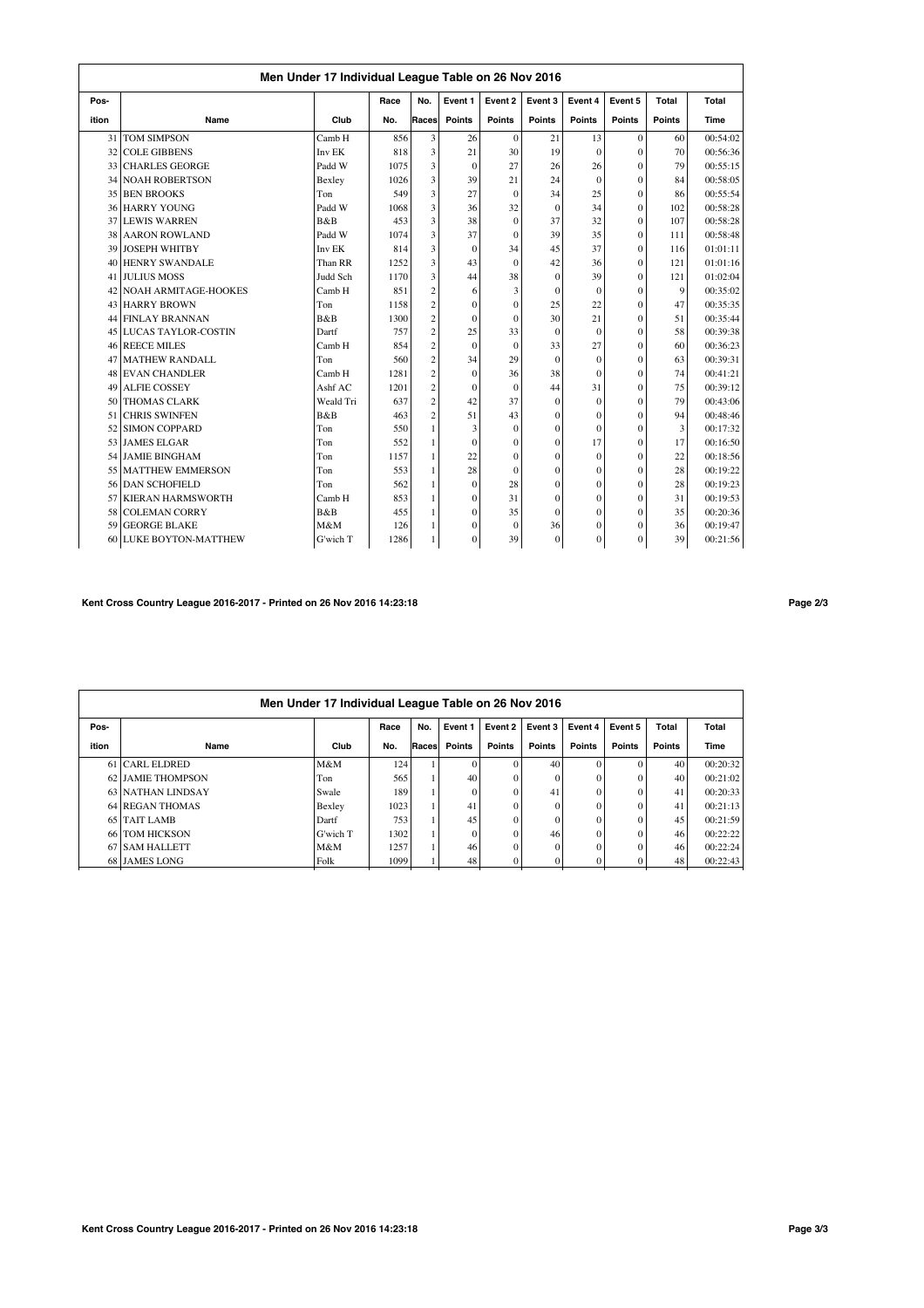|       | Men Under 17 Individual League Table on 26 Nov 2016<br>Event 5<br>No.<br>Event 1<br>Event 4<br>Total<br>Total<br>Race<br>Event 2<br>Event 3 |           |      |                         |              |               |               |               |                |        |          |  |  |  |
|-------|---------------------------------------------------------------------------------------------------------------------------------------------|-----------|------|-------------------------|--------------|---------------|---------------|---------------|----------------|--------|----------|--|--|--|
| Pos-  |                                                                                                                                             |           |      |                         |              |               |               |               |                |        |          |  |  |  |
| ition | Name                                                                                                                                        | Club      | No.  | Races                   | Points       | <b>Points</b> | <b>Points</b> | <b>Points</b> | <b>Points</b>  | Points | Time     |  |  |  |
| 31    | <b>TOM SIMPSON</b>                                                                                                                          | Camb H    | 856  | 3                       | 26           | $\mathbf{0}$  | 21            | 13            | $\mathbf{0}$   | 60     | 00:54:02 |  |  |  |
| 32    | <b>COLE GIBBENS</b>                                                                                                                         | Inv EK    | 818  | 3                       | 21           | 30            | 19            | $\theta$      | $\theta$       | 70     | 00:56:36 |  |  |  |
| 33    | <b>CHARLES GEORGE</b>                                                                                                                       | Padd W    | 1075 | 3                       | $\Omega$     | 27            | 26            | 26            | $\theta$       | 79     | 00:55:15 |  |  |  |
|       | 34 NOAH ROBERTSON                                                                                                                           | Bexley    | 1026 | 3                       | 39           | 21            | 24            | $\theta$      | $\theta$       | 84     | 00:58:05 |  |  |  |
|       | 35 BEN BROOKS                                                                                                                               | Ton       | 549  | 3                       | 27           | $\theta$      | 34            | 25            | $\theta$       | 86     | 00:55:54 |  |  |  |
|       | <b>36 HARRY YOUNG</b>                                                                                                                       | Padd W    | 1068 | 3                       | 36           | 32            | $\mathbf{0}$  | 34            | $\theta$       | 102    | 00:58:28 |  |  |  |
|       | 37 LEWIS WARREN                                                                                                                             | B&B       | 453  | 3                       | 38           | $\mathbf{0}$  | 37            | 32            | $\theta$       | 107    | 00:58:28 |  |  |  |
| 38    | <b>AARON ROWLAND</b>                                                                                                                        | Padd W    | 1074 | 3                       | 37           | $\theta$      | 39            | 35            | $\theta$       | 111    | 00:58:48 |  |  |  |
| 39    | <b>JOSEPH WHITBY</b>                                                                                                                        | Inv EK    | 814  | 3                       | $\theta$     | 34            | 45            | 37            | $\theta$       | 116    | 01:01:11 |  |  |  |
| 40    | <b>HENRY SWANDALE</b>                                                                                                                       | Than RR   | 1252 | 3                       | 43           | $\theta$      | 42            | 36            | $\theta$       | 121    | 01:01:16 |  |  |  |
| 41    | <b>JULIUS MOSS</b>                                                                                                                          | Judd Sch  | 1170 | 3                       | 44           | 38            | $\Omega$      | 39            | $\theta$       | 121    | 01:02:04 |  |  |  |
| 42    | <b>NOAH ARMITAGE-HOOKES</b>                                                                                                                 | Camb H    | 851  | $\overline{c}$          | 6            | 3             | $\mathbf{0}$  | $\theta$      | $\theta$       | 9      | 00:35:02 |  |  |  |
|       | 43 HARRY BROWN                                                                                                                              | Ton       | 1158 | $\overline{c}$          | $\theta$     | $\theta$      | 25            | 22            | $\theta$       | 47     | 00:35:35 |  |  |  |
|       | 44 FINLAY BRANNAN                                                                                                                           | B&B       | 1300 | $\overline{\mathbf{c}}$ | $\theta$     | $\theta$      | 30            | 21            | $\theta$       | 51     | 00:35:44 |  |  |  |
|       | 45 LUCAS TAYLOR-COSTIN                                                                                                                      | Dartf     | 757  | $\overline{c}$          | 25           | 33            | $\Omega$      | $\theta$      | $\theta$       | 58     | 00:39:38 |  |  |  |
|       | 46 REECE MILES                                                                                                                              | Camb H    | 854  | $\overline{c}$          | $\theta$     | $\theta$      | 33            | 27            | $\theta$       | 60     | 00:36:23 |  |  |  |
| 47    | <b>MATHEW RANDALL</b>                                                                                                                       | Ton       | 560  | $\overline{c}$          | 34           | 29            | $\Omega$      | $\theta$      | $\theta$       | 63     | 00:39:31 |  |  |  |
| 48    | <b>EVAN CHANDLER</b>                                                                                                                        | Camb H    | 1281 | $\overline{c}$          | $\theta$     | 36            | 38            | $\Omega$      | $\theta$       | 74     | 00:41:21 |  |  |  |
| 49    | <b>ALFIE COSSEY</b>                                                                                                                         | Ashf AC   | 1201 | $\overline{\mathbf{c}}$ | $\theta$     | $\theta$      | 44            | 31            | $\theta$       | 75     | 00:39:12 |  |  |  |
| 50    | <b>THOMAS CLARK</b>                                                                                                                         | Weald Tri | 637  | $\overline{c}$          | 42           | 37            | $\Omega$      | $\theta$      | $\theta$       | 79     | 00:43:06 |  |  |  |
| 51    | <b>CHRIS SWINFEN</b>                                                                                                                        | B&B       | 463  | $\overline{c}$          | 51           | 43            | $\theta$      | $\theta$      | $\theta$       | 94     | 00:48:46 |  |  |  |
| 52    | <b>SIMON COPPARD</b>                                                                                                                        | Ton       | 550  | 1                       | 3            | $\theta$      | $\mathbf{0}$  | $\theta$      | $\theta$       | 3      | 00:17:32 |  |  |  |
|       | 53 JAMES ELGAR                                                                                                                              | Ton       | 552  | 1                       | $\theta$     | $\theta$      | $\theta$      | 17            | $\theta$       | 17     | 00:16:50 |  |  |  |
|       | 54 JAMIE BINGHAM                                                                                                                            | Ton       | 1157 | 1                       | 22           | $\theta$      | $\Omega$      | $\theta$      | $\theta$       | 22     | 00:18:56 |  |  |  |
| 55    | <b>MATTHEW EMMERSON</b>                                                                                                                     | Ton       | 553  | 1                       | 28           | $\theta$      | $\Omega$      | $\theta$      | $\theta$       | 28     | 00:19:22 |  |  |  |
|       | 56 DAN SCHOFIELD                                                                                                                            | Ton       | 562  | 1                       | $\mathbf{0}$ | 28            | $\Omega$      | $\theta$      | $\theta$       | 28     | 00:19:23 |  |  |  |
| 57    | <b>KIERAN HARMSWORTH</b>                                                                                                                    | Camb H    | 853  | 1                       | $\mathbf{0}$ | 31            | $\mathbf{0}$  | $\theta$      | $\overline{0}$ | 31     | 00:19:53 |  |  |  |
| 58    | <b>COLEMAN CORRY</b>                                                                                                                        | B&B       | 455  | 1                       | $\theta$     | 35            | $\Omega$      | $\theta$      | $\theta$       | 35     | 00:20:36 |  |  |  |
| 59    | <b>GEORGE BLAKE</b>                                                                                                                         | M&M       | 126  | 1                       | $\Omega$     | $\theta$      | 36            | $\theta$      | $\theta$       | 36     | 00:19:47 |  |  |  |
| 60    | <b>LUKE BOYTON-MATTHEW</b>                                                                                                                  | G'wich T  | 1286 | 1                       | $\Omega$     | 39            | $\mathbf{0}$  | $\theta$      | $\theta$       | 39     | 00:21:56 |  |  |  |

## **Kent Cross Country League 2016-2017 - Printed on 26 Nov 2016 14:23:18 Page 2/3**

|       | Men Under 17 Individual League Table on 26 Nov 2016 |          |      |        |          |               |               |          |               |        |          |  |  |  |
|-------|-----------------------------------------------------|----------|------|--------|----------|---------------|---------------|----------|---------------|--------|----------|--|--|--|
| Pos-  |                                                     |          | Race | No.    | Event 1  | Event 2       | Event 3       | Event 4  | Event 5       | Total  | Total    |  |  |  |
| ition | Name                                                | Club     | No.  | Racesl | Points   | <b>Points</b> | <b>Points</b> | Points   | <b>Points</b> | Points | Time     |  |  |  |
|       | 61 CARL ELDRED                                      | M&M      | 124  |        | $\Omega$ |               | 40            | $\theta$ |               | 40     | 00:20:32 |  |  |  |
|       | 62 JAMIE THOMPSON                                   | Ton      | 565  |        | 40       | $\Omega$      |               | $\theta$ |               | 40     | 00:21:02 |  |  |  |
|       | 63 NATHAN LINDSAY                                   | Swale    | 189  |        | $\Omega$ | $\theta$      | 41            | $\theta$ |               | 41     | 00:20:33 |  |  |  |
|       | 64 REGAN THOMAS                                     | Bexley   | 1023 |        | 41       | 0             |               | $\theta$ |               | 41     | 00:21:13 |  |  |  |
|       | 65 TAIT LAMB                                        | Dartf    | 753  |        | 45       | $\theta$      |               | $\theta$ |               | 45     | 00:21:59 |  |  |  |
|       | 66 TOM HICKSON                                      | G'wich T | 1302 |        | $\Omega$ | $\Omega$      | 46            | $\theta$ |               | 46     | 00:22:22 |  |  |  |
|       | 67 SAM HALLETT                                      | M&M      | 1257 |        | 46       | $\Omega$      |               | $\theta$ |               | 46     | 00:22:24 |  |  |  |
|       | 68 JAMES LONG                                       | Folk     | 1099 |        | 48       |               |               | $\theta$ |               | 48     | 00:22:43 |  |  |  |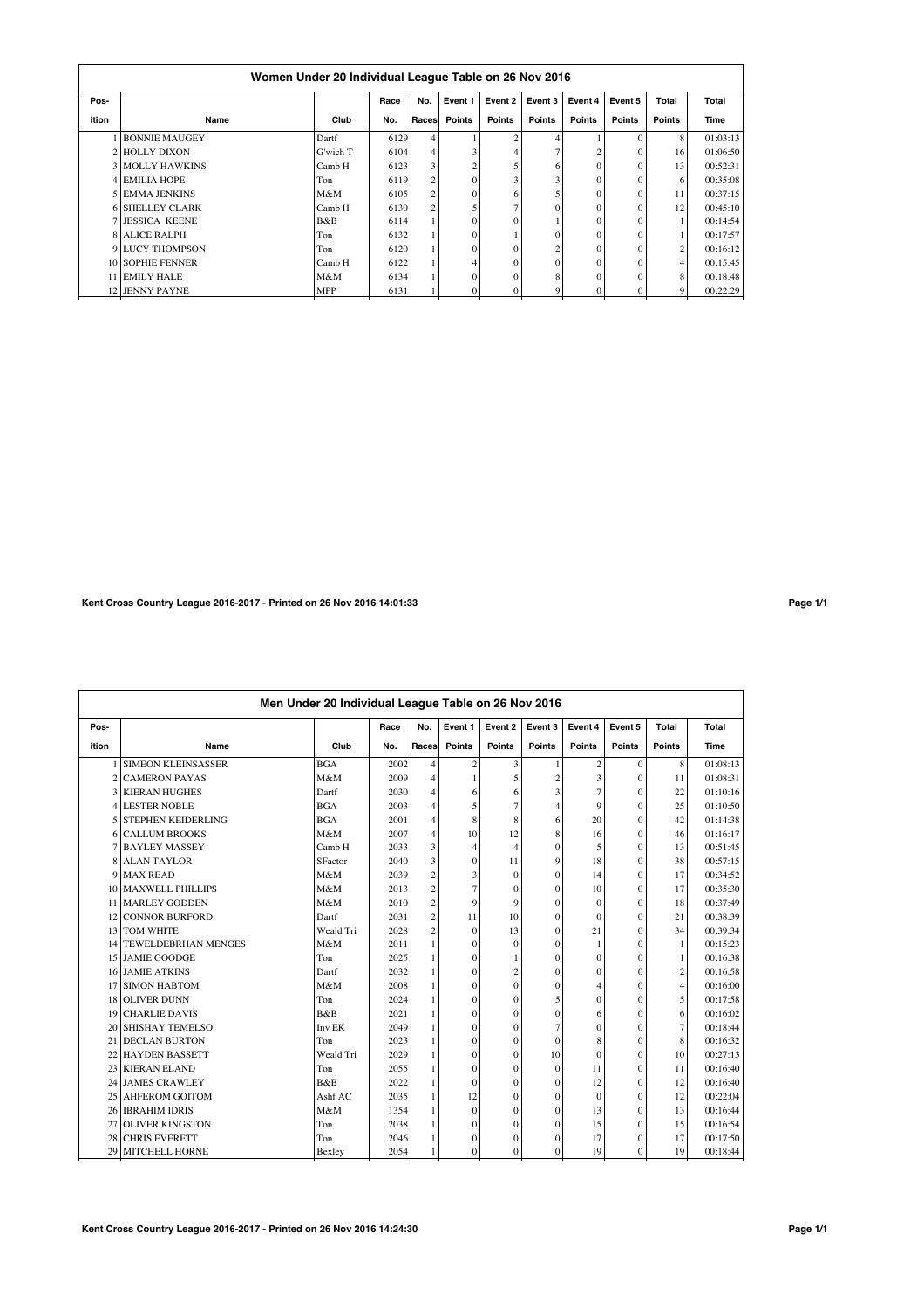|       | Women Under 20 Individual League Table on 26 Nov 2016 |            |      |                |                |                   |                |          |               |                |          |  |  |  |
|-------|-------------------------------------------------------|------------|------|----------------|----------------|-------------------|----------------|----------|---------------|----------------|----------|--|--|--|
| Pos-  |                                                       |            | Race | No.            | Event 1        | Event 2           | Event 3        | Event 4  | Event 5       | Total          | Total    |  |  |  |
| ition | Name                                                  | Club       | No.  | Races          | <b>Points</b>  | <b>Points</b>     | <b>Points</b>  | Points   | <b>Points</b> | <b>Points</b>  | Time     |  |  |  |
|       | <b>BONNIE MAUGEY</b>                                  | Dartf      | 6129 | 4              |                | $\mathbf{\hat{}}$ | 4              |          |               | 8              | 01:03:13 |  |  |  |
|       | 2 HOLLY DIXON                                         | G'wich T   | 6104 | 4              | 3              |                   | 7              |          | $\Omega$      | 16             | 01:06:50 |  |  |  |
|       | <b>3 MOLLY HAWKINS</b>                                | Camb H     | 6123 | 3              | $\overline{2}$ |                   | 6              |          | $\Omega$      | 13             | 00:52:31 |  |  |  |
|       | <b>4 EMILIA HOPE</b>                                  | Ton        | 6119 | 2              | $\theta$       |                   | 3              | $\Omega$ |               | 6              | 00:35:08 |  |  |  |
|       | 5 EMMA JENKINS                                        | M&M        | 6105 | 2              | $\theta$       | 6                 | 5              | $\Omega$ | $\Omega$      | 11             | 00:37:15 |  |  |  |
|       | <b>6 SHELLEY CLARK</b>                                | Camb H     | 6130 | $\overline{c}$ |                |                   | $\theta$       | $\theta$ |               | 12             | 00:45:10 |  |  |  |
|       | <b>7 JESSICA KEENE</b>                                | B&B        | 6114 |                | $\theta$       |                   |                | $\theta$ | $\Omega$      |                | 00:14:54 |  |  |  |
|       | <b>8 ALICE RALPH</b>                                  | Ton        | 6132 |                | $\theta$       |                   | $\theta$       |          | $\Omega$      |                | 00:17:57 |  |  |  |
|       | 9 LUCY THOMPSON                                       | Ton        | 6120 |                | $\theta$       | $\Omega$          | 2              | $\theta$ | $\Omega$      | $\overline{c}$ | 00:16:12 |  |  |  |
|       | 10 SOPHIE FENNER                                      | Camb H     | 6122 |                | 4              | $\Omega$          | $\Omega$       | $\theta$ | $\Omega$      | 4              | 00:15:45 |  |  |  |
|       | 11 EMILY HALE                                         | M&M        | 6134 |                | $\theta$       | $\Omega$          | 8              | $\Omega$ | $\Omega$      | 8              | 00:18:48 |  |  |  |
|       | 12 JENNY PAYNE                                        | <b>MPP</b> | 6131 |                | $\theta$       | $\Omega$          | 9 <sub>1</sub> |          | $\Omega$      | 9              | 00:22:29 |  |  |  |

# **Kent Cross Country League 2016-2017 - Printed on 26 Nov 2016 14:01:33 Page 1/1**

|       | Men Under 20 Individual League Table on 26 Nov 2016 |            |      |                         |                |                |                |                |              |                |          |  |  |  |
|-------|-----------------------------------------------------|------------|------|-------------------------|----------------|----------------|----------------|----------------|--------------|----------------|----------|--|--|--|
| Pos-  |                                                     |            | Race | No.                     | Event 1        | Event 2        | Event 3        | Event 4        | Event 5      | <b>Total</b>   | Total    |  |  |  |
| ition | Name                                                | Club       | No.  | Races                   | Points         | Points         | <b>Points</b>  | Points         | Points       | Points         | Time     |  |  |  |
|       | <b>SIMEON KLEINSASSER</b>                           | <b>BGA</b> | 2002 | 4                       | $\overline{c}$ | 3              | 1              | 2              | $\mathbf{0}$ | 8              | 01:08:13 |  |  |  |
|       | 2 CAMERON PAYAS                                     | M&M        | 2009 | 4                       |                | 5              | $\overline{c}$ | 3              | $\mathbf{0}$ | 11             | 01:08:31 |  |  |  |
| 3     | <b>KIERAN HUGHES</b>                                | Dartf      | 2030 | 4                       | 6              | 6              | 3              | $\overline{7}$ | $\mathbf{0}$ | 22             | 01:10:16 |  |  |  |
|       | 4 LESTER NOBLE                                      | <b>BGA</b> | 2003 | 4                       | 5              | 7              | 4              | 9              | $\Omega$     | 25             | 01:10:50 |  |  |  |
| 5     | <b>STEPHEN KEIDERLING</b>                           | <b>BGA</b> | 2001 | 4                       | 8              | 8              | 6              | 20             | $\Omega$     | 42             | 01:14:38 |  |  |  |
|       | <b>6 CALLUM BROOKS</b>                              | M&M        | 2007 | 4                       | 10             | 12             | 8              | 16             | $\Omega$     | 46             | 01:16:17 |  |  |  |
|       | 7 BAYLEY MASSEY                                     | Camb H     | 2033 | 3                       | 4              | $\overline{4}$ | $\mathbf{0}$   | 5              | $\Omega$     | 13             | 00:51:45 |  |  |  |
| 8     | <b>ALAN TAYLOR</b>                                  | SFactor    | 2040 | 3                       | $\mathbf{0}$   | 11             | 9              | 18             | $\Omega$     | 38             | 00:57:15 |  |  |  |
| 9     | <b>MAX READ</b>                                     | M&M        | 2039 | $\overline{\mathbf{c}}$ | 3              | $\theta$       | $\theta$       | 14             | $\Omega$     | 17             | 00:34:52 |  |  |  |
| 10    | <b>MAXWELL PHILLIPS</b>                             | M&M        | 2013 | $\overline{c}$          | $\overline{7}$ | $\theta$       | $\mathbf{0}$   | 10             | $\Omega$     | 17             | 00:35:30 |  |  |  |
| 11    | <b>MARLEY GODDEN</b>                                | M&M        | 2010 | $\overline{c}$          | $\mathbf Q$    | $\overline{9}$ | $\mathbf{0}$   | $\mathbf{0}$   | $\Omega$     | 18             | 00:37:49 |  |  |  |
|       | 12 CONNOR BURFORD                                   | Dartf      | 2031 | $\overline{c}$          | 11             | 10             | $\mathbf{0}$   | $\mathbf{0}$   | $\Omega$     | 21             | 00:38:39 |  |  |  |
| 13    | <b>TOM WHITE</b>                                    | Weald Tri  | 2028 | $\overline{2}$          | $\mathbf{0}$   | 13             | 0              | 21             | $\Omega$     | 34             | 00:39:34 |  |  |  |
| 14    | <b>TEWELDEBRHAN MENGES</b>                          | M&M        | 2011 | 1                       | $\Omega$       | $\theta$       | $\theta$       |                | $\Omega$     | $\mathbf{1}$   | 00:15:23 |  |  |  |
|       | 15 JAMIE GOODGE                                     | Ton        | 2025 |                         | $\Omega$       |                | $\theta$       | $\Omega$       | $\Omega$     | $\mathbf{1}$   | 00:16:38 |  |  |  |
|       | <b>16 JAMIE ATKINS</b>                              | Dartf      | 2032 |                         | $\Omega$       | $\overline{c}$ | 0              | $\theta$       | $\Omega$     | $\overline{c}$ | 00:16:58 |  |  |  |
| 17    | <b>SIMON HABTOM</b>                                 | M&M        | 2008 |                         | $\theta$       | $\theta$       | $\mathbf{0}$   |                | $\Omega$     | $\overline{4}$ | 00:16:00 |  |  |  |
| 18    | <b>OLIVER DUNN</b>                                  | Ton        | 2024 |                         | $\Omega$       | $\theta$       | 5              | $\Omega$       | $\Omega$     | 5              | 00:17:58 |  |  |  |
| 19    | <b>CHARLIE DAVIS</b>                                | B&B        | 2021 | 1                       | $\Omega$       | $\Omega$       | $\mathbf{0}$   | 6              | $\Omega$     | 6              | 00:16:02 |  |  |  |
| 20    | <b>SHISHAY TEMELSO</b>                              | Inv EK     | 2049 |                         | $\theta$       | $\theta$       | 7              | $\theta$       | $\Omega$     | $\tau$         | 00:18:44 |  |  |  |
| 21    | <b>DECLAN BURTON</b>                                | Ton        | 2023 |                         | $\Omega$       | $\theta$       | $\mathbf{0}$   | 8              | $\Omega$     | 8              | 00:16:32 |  |  |  |
|       | 22 HAYDEN BASSETT                                   | Weald Tri  | 2029 | 1                       | $\mathbf{0}$   | $\mathbf{0}$   | 10             | $\mathbf{0}$   | $\mathbf{0}$ | 10             | 00:27:13 |  |  |  |
| 23    | <b>KIERAN ELAND</b>                                 | Ton        | 2055 |                         | $\mathbf{0}$   | $\mathbf{0}$   | $\mathbf{0}$   | 11             | $\mathbf{0}$ | 11             | 00:16:40 |  |  |  |
| 24    | <b>JAMES CRAWLEY</b>                                | B&B        | 2022 |                         | $\Omega$       | $\theta$       | $\Omega$       | 12             | $\Omega$     | 12             | 00:16:40 |  |  |  |
| 25    | <b>AHFEROM GOITOM</b>                               | Ashf AC    | 2035 |                         | 12             | $\theta$       | $\mathbf{0}$   | $\mathbf{0}$   | $\Omega$     | 12             | 00:22:04 |  |  |  |
| 26    | <b>IBRAHIM IDRIS</b>                                | M&M        | 1354 | 1                       | $\Omega$       | $\theta$       | 0              | 13             | $\Omega$     | 13             | 00:16:44 |  |  |  |
| 27    | <b>OLIVER KINGSTON</b>                              | Ton        | 2038 | 1                       | $\Omega$       | $\theta$       | $\mathbf{0}$   | 15             | $\Omega$     | 15             | 00:16:54 |  |  |  |
| 28    | <b>CHRIS EVERETT</b>                                | Ton        | 2046 |                         | $\mathbf{0}$   | $\mathbf{0}$   | $\mathbf{0}$   | 17             | $\mathbf{0}$ | 17             | 00:17:50 |  |  |  |
| 29    | <b>MITCHELL HORNE</b>                               | Bexley     | 2054 |                         | $\Omega$       | $\theta$       | $\mathbf{0}$   | 19             | $\theta$     | 19             | 00:18:44 |  |  |  |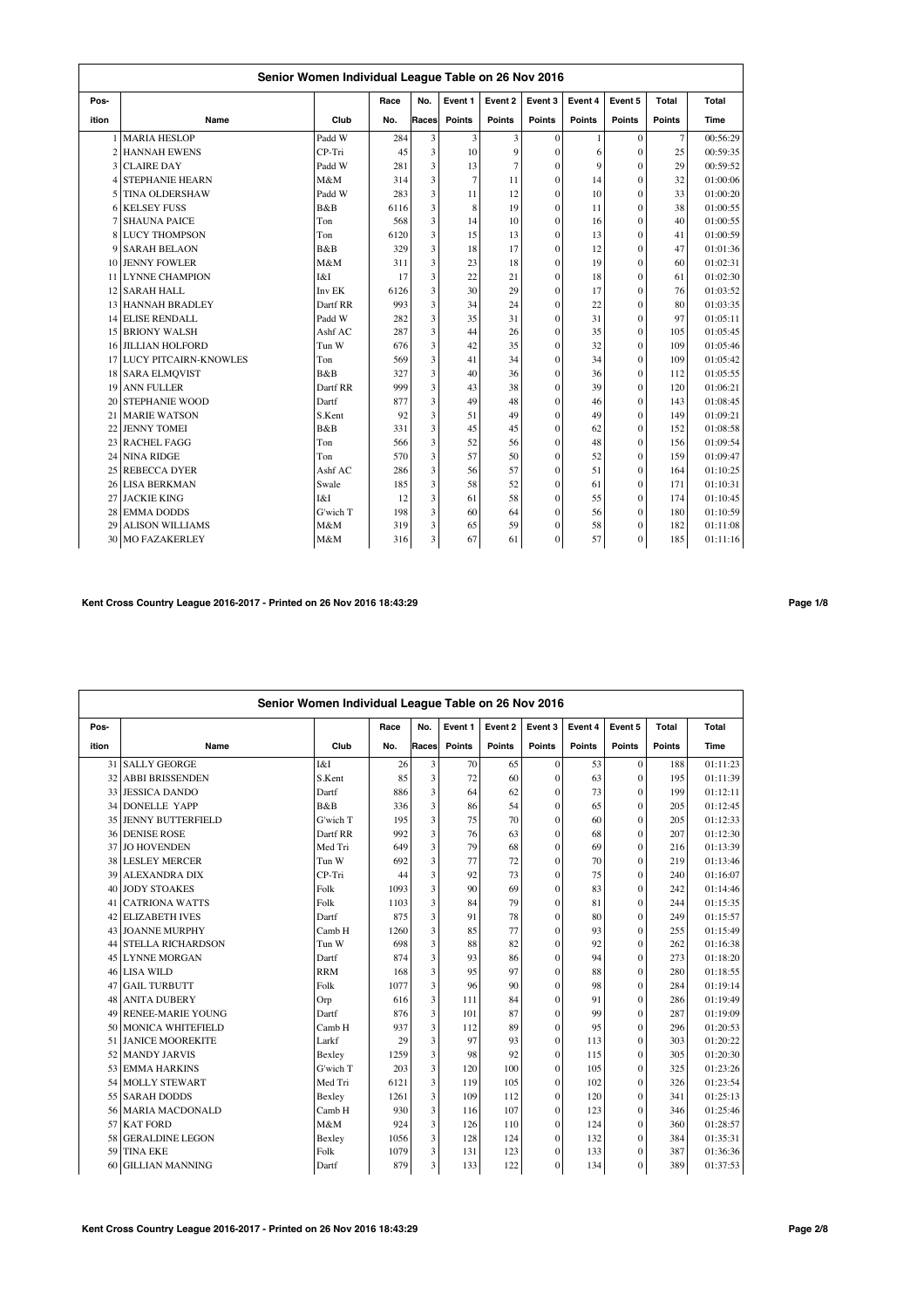|       | Senior Women Individual League Table on 26 Nov 2016 |          |      |                         |               |                |                |              |          |                |          |  |  |
|-------|-----------------------------------------------------|----------|------|-------------------------|---------------|----------------|----------------|--------------|----------|----------------|----------|--|--|
| Pos-  |                                                     |          | Race | No.                     | Event 1       | Event 2        | Event 3        | Event 4      | Event 5  | Total          | Total    |  |  |
| ition | Name                                                | Club     | No.  | Races                   | <b>Points</b> | <b>Points</b>  | Points         | Points       | Points   | <b>Points</b>  | Time     |  |  |
|       | 1 MARIA HESLOP                                      | Padd W   | 284  | $\overline{\mathbf{3}}$ | 3             | 3              | $\theta$       | 1            | $\Omega$ | $\overline{7}$ | 00:56:29 |  |  |
|       | 2 HANNAH EWENS                                      | CP-Tri   | 45   | 3                       | 10            | 9              | $\theta$       | 6            | $\theta$ | 25             | 00:59:35 |  |  |
|       | 3 CLAIRE DAY                                        | Padd W   | 281  | 3                       | 13            | $\overline{7}$ | $\mathbf{0}$   | $\mathbf{Q}$ | $\theta$ | 29             | 00:59:52 |  |  |
|       | <b>4 STEPHANIE HEARN</b>                            | M&M      | 314  | 3                       | 7             | 11             | $\mathbf{0}$   | 14           | $\theta$ | 32             | 01:00:06 |  |  |
|       | 5 TINA OLDERSHAW                                    | Padd W   | 283  | 3                       | 11            | 12             | $\overline{0}$ | 10           | $\theta$ | 33             | 01:00:20 |  |  |
|       | <b>6 KELSEY FUSS</b>                                | B&B      | 6116 | 3                       | 8             | 19             | $\overline{0}$ | 11           | $\theta$ | 38             | 01:00:55 |  |  |
|       | <b>SHAUNA PAICE</b>                                 | Ton      | 568  | 3                       | 14            | 10             | $\mathbf{0}$   | 16           | $\theta$ | 40             | 01:00:55 |  |  |
|       | <b>8 LUCY THOMPSON</b>                              | Ton      | 6120 | 3                       | 15            | 13             | $\mathbf{0}$   | 13           | $\theta$ | 41             | 01:00:59 |  |  |
|       | 9 SARAH BELAON                                      | B&B      | 329  | 3                       | 18            | 17             | $\mathbf{0}$   | 12           | $\Omega$ | 47             | 01:01:36 |  |  |
|       | 10 JENNY FOWLER                                     | M&M      | 311  | 3                       | 23            | 18             | $\overline{0}$ | 19           | $\theta$ | 60             | 01:02:31 |  |  |
|       | 11 LYNNE CHAMPION                                   | I&I      | 17   | $\overline{\mathbf{3}}$ | 22            | 21             | $\mathbf{0}$   | 18           | $\theta$ | 61             | 01:02:30 |  |  |
|       | 12 SARAH HALL                                       | Inv EK   | 6126 | 3                       | 30            | 29             | $\overline{0}$ | 17           | $\theta$ | 76             | 01:03:52 |  |  |
|       | 13 HANNAH BRADLEY                                   | Dartf RR | 993  | 3                       | 34            | 24             | $\overline{0}$ | 22           | $\theta$ | 80             | 01:03:35 |  |  |
|       | 14 ELISE RENDALL                                    | Padd W   | 282  | $\overline{\mathbf{3}}$ | 35            | 31             | $\overline{0}$ | 31           | $\theta$ | 97             | 01:05:11 |  |  |
|       | <b>15 BRIONY WALSH</b>                              | Ashf AC  | 287  | 3                       | 44            | 26             | $\overline{0}$ | 35           | $\theta$ | 105            | 01:05:45 |  |  |
|       | <b>16 JILLIAN HOLFORD</b>                           | Tun W    | 676  | 3                       | 42            | 35             | $\mathbf{0}$   | 32           | $\theta$ | 109            | 01:05:46 |  |  |
|       | <b>17 LUCY PITCAIRN-KNOWLES</b>                     | Ton      | 569  | 3                       | 41            | 34             | $\mathbf{0}$   | 34           | $\theta$ | 109            | 01:05:42 |  |  |
|       | 18 SARA ELMOVIST                                    | B&B      | 327  | 3                       | 40            | 36             | $\mathbf{0}$   | 36           | $\theta$ | 112            | 01:05:55 |  |  |
|       | 19 ANN FULLER                                       | Dartf RR | 999  | 3                       | 43            | 38             | $\mathbf{0}$   | 39           | $\theta$ | 120            | 01:06:21 |  |  |
|       | 20 STEPHANIE WOOD                                   | Dartf    | 877  | 3                       | 49            | 48             | $\overline{0}$ | 46           | $\theta$ | 143            | 01:08:45 |  |  |
| 21    | <b>MARIE WATSON</b>                                 | S.Kent   | 92   | 3                       | 51            | 49             | $\mathbf{0}$   | 49           | $\theta$ | 149            | 01:09:21 |  |  |
| 22    | <b>JENNY TOMEI</b>                                  | B&B      | 331  | 3                       | 45            | 45             | $\mathbf{0}$   | 62           | $\theta$ | 152            | 01:08:58 |  |  |
|       | 23 RACHEL FAGG                                      | Ton      | 566  | 3                       | 52            | 56             | $\mathbf{0}$   | 48           | $\theta$ | 156            | 01:09:54 |  |  |
| 24    | <b>NINA RIDGE</b>                                   | Ton      | 570  | 3                       | 57            | 50             | $\overline{0}$ | 52           | $\theta$ | 159            | 01:09:47 |  |  |
| 25    | <b>REBECCA DYER</b>                                 | Ashf AC  | 286  | 3                       | 56            | 57             | $\mathbf{0}$   | 51           | $\theta$ | 164            | 01:10:25 |  |  |
|       | 26 LISA BERKMAN                                     | Swale    | 185  | 3                       | 58            | 52             | $\overline{0}$ | 61           | $\theta$ | 171            | 01:10:31 |  |  |
| 27    | <b>JACKIE KING</b>                                  | I&I      | 12   | 3                       | 61            | 58             | $\overline{0}$ | 55           | $\theta$ | 174            | 01:10:45 |  |  |
| 28    | <b>EMMA DODDS</b>                                   | G'wich T | 198  | 3                       | 60            | 64             | $\mathbf{0}$   | 56           | $\theta$ | 180            | 01:10:59 |  |  |
| 29    | <b>ALISON WILLIAMS</b>                              | M&M      | 319  | 3                       | 65            | 59             | $\theta$       | 58           | $\theta$ | 182            | 01:11:08 |  |  |
| 30    | <b>MO FAZAKERLEY</b>                                | M&M      | 316  | 3                       | 67            | 61             | $\mathbf{0}$   | 57           | $\theta$ | 185            | 01:11:16 |  |  |

# **Kent Cross Country League 2016-2017 - Printed on 26 Nov 2016 18:43:29 Page 1/8**

|       | Senior Women Individual League Table on 26 Nov 2016 |            |      |       |         |         |               |               |              |               |          |  |  |
|-------|-----------------------------------------------------|------------|------|-------|---------|---------|---------------|---------------|--------------|---------------|----------|--|--|
| Pos-  |                                                     |            | Race | No.   | Event 1 | Event 2 | Event 3       | Event 4       | Event 5      | Total         | Total    |  |  |
| ition | Name                                                | Club       | No.  | Races | Points  | Points  | <b>Points</b> | <b>Points</b> | Points       | <b>Points</b> | Time     |  |  |
|       | 31 SALLY GEORGE                                     | I&I        | 26   | 3     | 70      | 65      | $\theta$      | 53            | $\Omega$     | 188           | 01:11:23 |  |  |
| 32    | <b>ABBI BRISSENDEN</b>                              | S.Kent     | 85   | 3     | 72      | 60      | $\theta$      | 63            | $\theta$     | 195           | 01:11:39 |  |  |
|       | 33 JESSICA DANDO                                    | Dartf      | 886  | 3     | 64      | 62      | $\theta$      | 73            | $\theta$     | 199           | 01:12:11 |  |  |
|       | 34 DONELLE YAPP                                     | B&B        | 336  | 3     | 86      | 54      | $\theta$      | 65            | $\theta$     | 205           | 01:12:45 |  |  |
|       | 35 JENNY BUTTERFIELD                                | G'wich T   | 195  | 3     | 75      | 70      | $\theta$      | 60            | $\theta$     | 205           | 01:12:33 |  |  |
|       | 36 DENISE ROSE                                      | Dartf RR   | 992  | 3     | 76      | 63      | $\theta$      | 68            | $\theta$     | 207           | 01:12:30 |  |  |
| 37    | <b>JO HOVENDEN</b>                                  | Med Tri    | 649  | 3     | 79      | 68      | $\mathbf{0}$  | 69            | $\mathbf{0}$ | 216           | 01:13:39 |  |  |
| 38    | <b>LESLEY MERCER</b>                                | Tun W      | 692  | 3     | 77      | 72      | $\theta$      | 70            | $\theta$     | 219           | 01:13:46 |  |  |
| 39    | <b>ALEXANDRA DIX</b>                                | CP-Tri     | 44   | 3     | 92      | 73      | $\mathbf{0}$  | 75            | $\theta$     | 240           | 01:16:07 |  |  |
| 40    | <b>JODY STOAKES</b>                                 | Folk       | 1093 | 3     | 90      | 69      | $\theta$      | 83            | $\theta$     | 242           | 01:14:46 |  |  |
| 41    | <b>CATRIONA WATTS</b>                               | Folk       | 1103 | 3     | 84      | 79      | $\theta$      | 81            | $\theta$     | 244           | 01:15:35 |  |  |
|       | 42 ELIZABETH IVES                                   | Dartf      | 875  | 3     | 91      | 78      | $\theta$      | 80            | $\theta$     | 249           | 01:15:57 |  |  |
|       | 43 JOANNE MURPHY                                    | Camb H     | 1260 | 3     | 85      | 77      | $\mathbf{0}$  | 93            | $\bf{0}$     | 255           | 01:15:49 |  |  |
|       | 44 STELLA RICHARDSON                                | Tun W      | 698  | 3     | 88      | 82      | $\theta$      | 92            | $\theta$     | 262           | 01:16:38 |  |  |
|       | 45 LYNNE MORGAN                                     | Dartf      | 874  | 3     | 93      | 86      | $\theta$      | 94            | $\Omega$     | 273           | 01:18:20 |  |  |
|       | 46 LISA WILD                                        | <b>RRM</b> | 168  | 3     | 95      | 97      | $\theta$      | 88            | $\theta$     | 280           | 01:18:55 |  |  |
| 47    | <b>GAIL TURBUTT</b>                                 | Folk       | 1077 | 3     | 96      | 90      | $\theta$      | 98            | $\theta$     | 284           | 01:19:14 |  |  |
|       | 48 ANITA DUBERY                                     | Orp        | 616  | 3     | 111     | 84      | $\theta$      | 91            | $\theta$     | 286           | 01:19:49 |  |  |
|       | 49 RENEE-MARIE YOUNG                                | Dartf      | 876  | 3     | 101     | 87      | $\theta$      | 99            | $\theta$     | 287           | 01:19:09 |  |  |
|       | 50 MONICA WHITEFIELD                                | Camb H     | 937  | 3     | 112     | 89      | $\mathbf{0}$  | 95            | $\mathbf{0}$ | 296           | 01:20:53 |  |  |
|       | 51 JANICE MOOREKITE                                 | Larkf      | 29   | 3     | 97      | 93      | $\theta$      | 113           | $\theta$     | 303           | 01:20:22 |  |  |
| 52    | <b>MANDY JARVIS</b>                                 | Bexley     | 1259 | 3     | 98      | 92      | $\theta$      | 115           | $\theta$     | 305           | 01:20:30 |  |  |
|       | 53 EMMA HARKINS                                     | G'wich T   | 203  | 3     | 120     | 100     | $\theta$      | 105           | $\theta$     | 325           | 01:23:26 |  |  |
| 54    | <b>MOLLY STEWART</b>                                | Med Tri    | 6121 | 3     | 119     | 105     | $\mathbf{0}$  | 102           | $\theta$     | 326           | 01:23:54 |  |  |
|       | 55 SARAH DODDS                                      | Bexley     | 1261 | 3     | 109     | 112     | $\theta$      | 120           | $\theta$     | 341           | 01:25:13 |  |  |
|       | 56 MARIA MACDONALD                                  | Camb H     | 930  | 3     | 116     | 107     | $\mathbf{0}$  | 123           | $\mathbf{0}$ | 346           | 01:25:46 |  |  |
|       | 57 KAT FORD                                         | M&M        | 924  | 3     | 126     | 110     | $\mathbf{0}$  | 124           | $\bf{0}$     | 360           | 01:28:57 |  |  |
| 58    | <b>GERALDINE LEGON</b>                              | Bexley     | 1056 | 3     | 128     | 124     | $\mathbf{0}$  | 132           | $\bf{0}$     | 384           | 01:35:31 |  |  |
| 59.   | <b>TINA EKE</b>                                     | Folk       | 1079 | 3     | 131     | 123     | $\theta$      | 133           | $\Omega$     | 387           | 01:36:36 |  |  |
| 60    | <b>GILLIAN MANNING</b>                              | Dartf      | 879  | 3     | 133     | 122     | $\Omega$      | 134           | $\theta$     | 389           | 01:37:53 |  |  |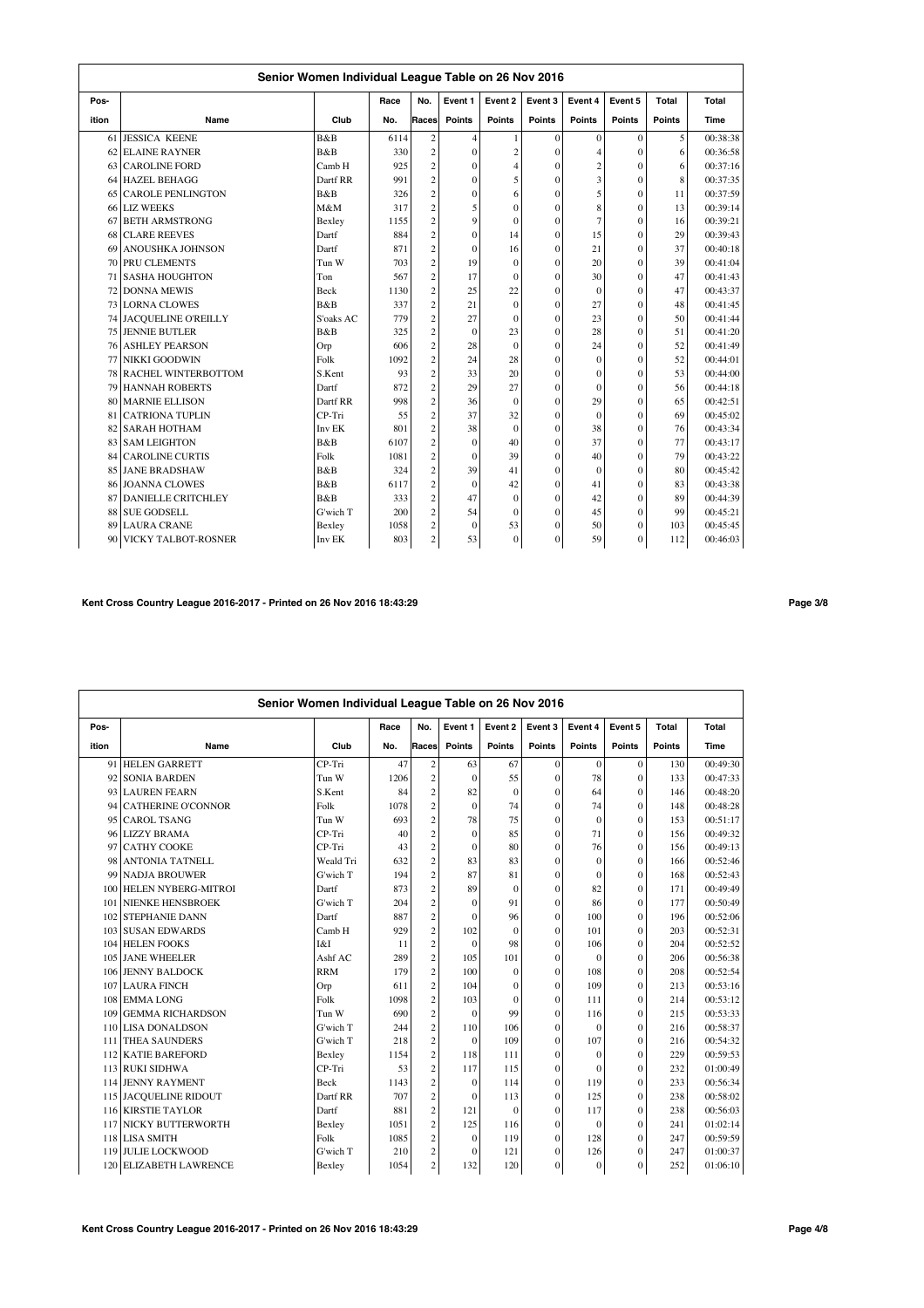|       |                           | Senior Women Individual League Table on 26 Nov 2016 |      |                         |              |                |                |                |                |        |          |
|-------|---------------------------|-----------------------------------------------------|------|-------------------------|--------------|----------------|----------------|----------------|----------------|--------|----------|
| Pos-  |                           |                                                     | Race | No.                     | Event 1      | Event 2        | Event 3        | Event 4        | Event 5        | Total  | Total    |
| ition | Name                      | Club                                                | No.  | Races                   | Points       | <b>Points</b>  | <b>Points</b>  | <b>Points</b>  | <b>Points</b>  | Points | Time     |
|       | 61 JESSICA KEENE          | B&B                                                 | 6114 | $\mathbf{2}$            | 4            |                | $\Omega$       | $\theta$       | $\theta$       | 5      | 00:38:38 |
| 62    | <b>ELAINE RAYNER</b>      | B&B                                                 | 330  | $\overline{c}$          | $\theta$     | $\overline{c}$ | $\theta$       | $\overline{4}$ | $\theta$       | 6      | 00:36:58 |
| 63    | <b>CAROLINE FORD</b>      | Camb H                                              | 925  | $\overline{c}$          | $\theta$     | $\overline{4}$ | $\theta$       | $\overline{c}$ | $\theta$       | 6      | 00:37:16 |
|       | 64 HAZEL BEHAGG           | Dartf RR                                            | 991  | $\overline{c}$          | $\theta$     | 5              | $\theta$       | 3              | $\theta$       | 8      | 00:37:35 |
| 65    | CAROLE PENLINGTON         | B&B                                                 | 326  | $\overline{c}$          | $\mathbf{0}$ | 6              | $\mathbf{0}$   | 5              | $\theta$       | 11     | 00:37:59 |
|       | 66 LIZ WEEKS              | M&M                                                 | 317  | $\overline{c}$          | 5            | $\theta$       | $\Omega$       | 8              | $\theta$       | 13     | 00:39:14 |
| 67    | <b>BETH ARMSTRONG</b>     | Bexley                                              | 1155 | $\overline{c}$          | $\mathbf{Q}$ | $\mathbf{0}$   | $\Omega$       | $\overline{7}$ | $\theta$       | 16     | 00:39:21 |
| 68    | <b>CLARE REEVES</b>       | Dartf                                               | 884  | $\overline{c}$          | $\mathbf{0}$ | 14             | $\Omega$       | 15             | $\theta$       | 29     | 00:39:43 |
| 69    | <b>ANOUSHKA JOHNSON</b>   | Dartf                                               | 871  | $\overline{c}$          | $\theta$     | 16             | $\theta$       | 21             | $\theta$       | 37     | 00:40:18 |
|       | 70 PRU CLEMENTS           | Tun W                                               | 703  | $\overline{c}$          | 19           | $\theta$       | $\Omega$       | 20             | $\theta$       | 39     | 00:41:04 |
|       | <b>71 SASHA HOUGHTON</b>  | Ton                                                 | 567  | $\overline{c}$          | 17           | $\theta$       | $\theta$       | 30             | $\theta$       | 47     | 00:41:43 |
|       | 72 DONNA MEWIS            | <b>Beck</b>                                         | 1130 | $\overline{c}$          | 25           | 22             | $\theta$       | $\Omega$       | $\theta$       | 47     | 00:43:37 |
|       | 73 LORNA CLOWES           | B&B                                                 | 337  | $\overline{c}$          | 21           | $\theta$       | $\theta$       | 27             | $\theta$       | 48     | 00:41:45 |
|       | 74 JACQUELINE O'REILLY    | S'oaks AC                                           | 779  | $\overline{\mathbf{c}}$ | 27           | $\theta$       | $\overline{0}$ | 23             | $\theta$       | 50     | 00:41:44 |
|       | <b>75 JENNIE BUTLER</b>   | B&B                                                 | 325  | $\overline{\mathbf{c}}$ | $\Omega$     | 23             | $\Omega$       | 28             | $\theta$       | 51     | 00:41:20 |
|       | <b>76 ASHLEY PEARSON</b>  | Orp                                                 | 606  | $\overline{c}$          | 28           | $\theta$       | $\Omega$       | 24             | $\theta$       | 52     | 00:41:49 |
| 77    | NIKKI GOODWIN             | Folk                                                | 1092 | $\overline{c}$          | 24           | 28             | $\Omega$       | $\theta$       | $\theta$       | 52     | 00:44:01 |
|       | 78 RACHEL WINTERBOTTOM    | S.Kent                                              | 93   | $\overline{c}$          | 33           | 20             | $\Omega$       | $\theta$       | $\theta$       | 53     | 00:44:00 |
| 79    | <b>HANNAH ROBERTS</b>     | Dartf                                               | 872  | $\overline{c}$          | 29           | 27             | $\Omega$       | $\theta$       | $\theta$       | 56     | 00:44:18 |
| 80    | <b>MARNIE ELLISON</b>     | Dartf RR                                            | 998  | $\overline{c}$          | 36           | $\theta$       | $\Omega$       | 29             | $\theta$       | 65     | 00:42:51 |
| 81    | <b>CATRIONA TUPLIN</b>    | CP-Tri                                              | 55   | $\overline{c}$          | 37           | 32             | $\theta$       | $\Omega$       | $\theta$       | 69     | 00:45:02 |
| 82    | <b>SARAH HOTHAM</b>       | Inv EK                                              | 801  | $\overline{c}$          | 38           | $\theta$       | $\theta$       | 38             | $\theta$       | 76     | 00:43:34 |
|       | 83 SAM LEIGHTON           | B&B                                                 | 6107 | $\overline{c}$          | $\Omega$     | 40             | $\theta$       | 37             | $\theta$       | 77     | 00:43:17 |
| 84    | <b>CAROLINE CURTIS</b>    | Folk                                                | 1081 | $\overline{c}$          | $\Omega$     | 39             | $\Omega$       | 40             | $\theta$       | 79     | 00:43:22 |
|       | 85 JANE BRADSHAW          | B&B                                                 | 324  | $\overline{c}$          | 39           | 41             | $\Omega$       | $\Omega$       | $\theta$       | 80     | 00:45:42 |
| 86    | <b>JOANNA CLOWES</b>      | B&B                                                 | 6117 | $\overline{c}$          | $\Omega$     | 42             | $\Omega$       | 41             | $\theta$       | 83     | 00:43:38 |
| 87    | <b>DANIELLE CRITCHLEY</b> | B&B                                                 | 333  | $\overline{c}$          | 47           | $\Omega$       | $\mathbf{0}$   | 42             | $\overline{0}$ | 89     | 00:44:39 |
| 88    | <b>SUE GODSELL</b>        | G'wich T                                            | 200  | $\overline{c}$          | 54           | $\theta$       | $\Omega$       | 45             | $\theta$       | 99     | 00:45:21 |
| 89    | <b>LAURA CRANE</b>        | Bexley                                              | 1058 | $\overline{\mathbf{c}}$ | $\theta$     | 53             | $\Omega$       | 50             | $\theta$       | 103    | 00:45:45 |
| 90    | VICKY TALBOT-ROSNER       | Inv EK                                              | 803  | $\overline{c}$          | 53           | $\Omega$       | $\mathbf{0}$   | 59             | $\overline{0}$ | 112    | 00:46:03 |

## **Kent Cross Country League 2016-2017 - Printed on 26 Nov 2016 18:43:29 Page 3/8**

|       |                           | Senior Women Individual League Table on 26 Nov 2016<br>No.<br>Event 1<br>Event 2<br>Event 3<br>Event 4<br>Event 5<br>Total<br>Total<br>Race<br><b>Points</b><br><b>Points</b><br><b>Points</b><br>Club<br>Races<br><b>Points</b><br><b>Points</b><br><b>Points</b><br>Time<br>No.<br>CP-Tri<br>47<br>$\overline{c}$<br>63<br>67<br>$\mathbf{0}$<br>$\mathbf{0}$<br>130<br>00:49:30<br>$\mathbf{0}$<br>$\overline{c}$<br>55<br>78<br>133<br>00:47:33<br>Tun W<br>1206<br>$\mathbf{0}$<br>$\theta$<br>$\mathbf{0}$<br>$\overline{c}$<br>S.Kent<br>82<br>$\Omega$<br>$\theta$<br>$\theta$<br>146<br>00:48:20<br>84<br>64<br>$\overline{c}$<br>Folk<br>74<br>$\overline{0}$<br>$\theta$<br>148<br>00:48:28<br>1078<br>$\mathbf{0}$<br>74<br>$\overline{c}$<br>75<br>Tun W<br>693<br>78<br>$\mathbf{0}$<br>$\theta$<br>153<br>00:51:17<br>$\mathbf{0}$<br>$\overline{c}$<br>CP-Tri<br>85<br>00:49:32<br>$\mathbf{0}$<br>71<br>$\theta$<br>40<br>$\mathbf{0}$<br>156 |      |                |              |              |                |              |              |     |          |
|-------|---------------------------|----------------------------------------------------------------------------------------------------------------------------------------------------------------------------------------------------------------------------------------------------------------------------------------------------------------------------------------------------------------------------------------------------------------------------------------------------------------------------------------------------------------------------------------------------------------------------------------------------------------------------------------------------------------------------------------------------------------------------------------------------------------------------------------------------------------------------------------------------------------------------------------------------------------------------------------------------------------|------|----------------|--------------|--------------|----------------|--------------|--------------|-----|----------|
| Pos-  |                           |                                                                                                                                                                                                                                                                                                                                                                                                                                                                                                                                                                                                                                                                                                                                                                                                                                                                                                                                                                |      |                |              |              |                |              |              |     |          |
| ition | Name                      |                                                                                                                                                                                                                                                                                                                                                                                                                                                                                                                                                                                                                                                                                                                                                                                                                                                                                                                                                                |      |                |              |              |                |              |              |     |          |
| 91    | <b>HELEN GARRETT</b>      |                                                                                                                                                                                                                                                                                                                                                                                                                                                                                                                                                                                                                                                                                                                                                                                                                                                                                                                                                                |      |                |              |              |                |              |              |     |          |
| 92    | <b>SONIA BARDEN</b>       |                                                                                                                                                                                                                                                                                                                                                                                                                                                                                                                                                                                                                                                                                                                                                                                                                                                                                                                                                                |      |                |              |              |                |              |              |     |          |
| 93    | <b>LAUREN FEARN</b>       |                                                                                                                                                                                                                                                                                                                                                                                                                                                                                                                                                                                                                                                                                                                                                                                                                                                                                                                                                                |      |                |              |              |                |              |              |     |          |
| 94    | <b>CATHERINE O'CONNOR</b> |                                                                                                                                                                                                                                                                                                                                                                                                                                                                                                                                                                                                                                                                                                                                                                                                                                                                                                                                                                |      |                |              |              |                |              |              |     |          |
| 95    | <b>CAROL TSANG</b>        |                                                                                                                                                                                                                                                                                                                                                                                                                                                                                                                                                                                                                                                                                                                                                                                                                                                                                                                                                                |      |                |              |              |                |              |              |     |          |
| 961   | <b>LIZZY BRAMA</b>        |                                                                                                                                                                                                                                                                                                                                                                                                                                                                                                                                                                                                                                                                                                                                                                                                                                                                                                                                                                |      |                |              |              |                |              |              |     |          |
| 97    | <b>CATHY COOKE</b>        | CP-Tri                                                                                                                                                                                                                                                                                                                                                                                                                                                                                                                                                                                                                                                                                                                                                                                                                                                                                                                                                         | 43   | $\overline{c}$ | $\mathbf{0}$ | 80           | $\mathbf{0}$   | 76           | $\theta$     | 156 | 00:49:13 |
| 98    | <b>ANTONIA TATNELL</b>    | Weald Tri                                                                                                                                                                                                                                                                                                                                                                                                                                                                                                                                                                                                                                                                                                                                                                                                                                                                                                                                                      | 632  | $\overline{c}$ | 83           | 83           | $\mathbf{0}$   | $\mathbf{0}$ | $\theta$     | 166 | 00:52:46 |
| 99    | <b>NADJA BROUWER</b>      | G'wich T                                                                                                                                                                                                                                                                                                                                                                                                                                                                                                                                                                                                                                                                                                                                                                                                                                                                                                                                                       | 194  | $\overline{c}$ | 87           | 81           | $\theta$       | $\theta$     | $\Omega$     | 168 | 00:52:43 |
| 100   | HELEN NYBERG-MITROI       | Dartf                                                                                                                                                                                                                                                                                                                                                                                                                                                                                                                                                                                                                                                                                                                                                                                                                                                                                                                                                          | 873  | $\overline{c}$ | 89           | $\mathbf{0}$ | $\overline{0}$ | 82           | $\mathbf{0}$ | 171 | 00:49:49 |
| 101   | <b>NIENKE HENSBROEK</b>   | G'wich T                                                                                                                                                                                                                                                                                                                                                                                                                                                                                                                                                                                                                                                                                                                                                                                                                                                                                                                                                       | 204  | $\overline{c}$ | $\theta$     | 91           | $\theta$       | 86           | $\theta$     | 177 | 00:50:49 |
| 102   | <b>STEPHANIE DANN</b>     | Dartf                                                                                                                                                                                                                                                                                                                                                                                                                                                                                                                                                                                                                                                                                                                                                                                                                                                                                                                                                          | 887  | $\overline{c}$ | $\mathbf{0}$ | 96           | $\mathbf{0}$   | 100          | $\theta$     | 196 | 00:52:06 |
| 103   | <b>SUSAN EDWARDS</b>      | Camb H                                                                                                                                                                                                                                                                                                                                                                                                                                                                                                                                                                                                                                                                                                                                                                                                                                                                                                                                                         | 929  | $\overline{c}$ | 102          | $\Omega$     | $\theta$       | 101          | $\theta$     | 203 | 00:52:31 |
|       | 104 HELEN FOOKS           | I&I                                                                                                                                                                                                                                                                                                                                                                                                                                                                                                                                                                                                                                                                                                                                                                                                                                                                                                                                                            | 11   | $\overline{c}$ | $\mathbf{0}$ | 98           | $\mathbf{0}$   | 106          | $\mathbf{0}$ | 204 | 00:52:52 |
|       | 105 JANE WHEELER          | Ashf AC                                                                                                                                                                                                                                                                                                                                                                                                                                                                                                                                                                                                                                                                                                                                                                                                                                                                                                                                                        | 289  | $\overline{c}$ | 105          | 101          | $\mathbf{0}$   | $\Omega$     | $\mathbf{0}$ | 206 | 00:56:38 |
|       | 106 JENNY BALDOCK         | <b>RRM</b>                                                                                                                                                                                                                                                                                                                                                                                                                                                                                                                                                                                                                                                                                                                                                                                                                                                                                                                                                     | 179  | $\overline{c}$ | 100          | $\Omega$     | $\Omega$       | 108          | $\Omega$     | 208 | 00:52:54 |
| 107   | <b>LAURA FINCH</b>        | Orp                                                                                                                                                                                                                                                                                                                                                                                                                                                                                                                                                                                                                                                                                                                                                                                                                                                                                                                                                            | 611  | $\overline{c}$ | 104          | $\Omega$     | $\theta$       | 109          | $\theta$     | 213 | 00:53:16 |
| 108   | <b>EMMALONG</b>           | Folk                                                                                                                                                                                                                                                                                                                                                                                                                                                                                                                                                                                                                                                                                                                                                                                                                                                                                                                                                           | 1098 | $\overline{c}$ | 103          | $\Omega$     | $\theta$       | 111          | $\theta$     | 214 | 00:53:12 |
| 109   | <b>GEMMA RICHARDSON</b>   | Tun W                                                                                                                                                                                                                                                                                                                                                                                                                                                                                                                                                                                                                                                                                                                                                                                                                                                                                                                                                          | 690  | $\overline{c}$ | $\mathbf{0}$ | 99           | $\overline{0}$ | 116          | $\theta$     | 215 | 00:53:33 |
| 110   | <b>LISA DONALDSON</b>     | G'wich T                                                                                                                                                                                                                                                                                                                                                                                                                                                                                                                                                                                                                                                                                                                                                                                                                                                                                                                                                       | 244  | $\overline{c}$ | 110          | 106          | $\mathbf{0}$   | $\mathbf{0}$ | $\theta$     | 216 | 00:58:37 |
| 111   | <b>THEA SAUNDERS</b>      | G'wich T                                                                                                                                                                                                                                                                                                                                                                                                                                                                                                                                                                                                                                                                                                                                                                                                                                                                                                                                                       | 218  | $\overline{c}$ | $\mathbf{0}$ | 109          | $\mathbf{0}$   | 107          | $\mathbf{0}$ | 216 | 00:54:32 |
| 112   | <b>KATIE BAREFORD</b>     | Bexley                                                                                                                                                                                                                                                                                                                                                                                                                                                                                                                                                                                                                                                                                                                                                                                                                                                                                                                                                         | 1154 | $\overline{c}$ | 118          | 111          | $\mathbf{0}$   | $\mathbf{0}$ | $\theta$     | 229 | 00:59:53 |
| 113   | <b>RUKI SIDHWA</b>        | CP-Tri                                                                                                                                                                                                                                                                                                                                                                                                                                                                                                                                                                                                                                                                                                                                                                                                                                                                                                                                                         | 53   | $\overline{c}$ | 117          | 115          | $\mathbf{0}$   | $\mathbf{0}$ | $\theta$     | 232 | 01:00:49 |
|       | 114 JENNY RAYMENT         | <b>Beck</b>                                                                                                                                                                                                                                                                                                                                                                                                                                                                                                                                                                                                                                                                                                                                                                                                                                                                                                                                                    | 1143 | $\overline{c}$ | $\mathbf{0}$ | 114          | $\theta$       | 119          | $\theta$     | 233 | 00:56:34 |
|       | 115 JACQUELINE RIDOUT     | Dartf RR                                                                                                                                                                                                                                                                                                                                                                                                                                                                                                                                                                                                                                                                                                                                                                                                                                                                                                                                                       | 707  | $\overline{c}$ | $\mathbf{0}$ | 113          | $\overline{0}$ | 125          | $\theta$     | 238 | 00:58:02 |
| 116   | <b>KIRSTIE TAYLOR</b>     | Dartf                                                                                                                                                                                                                                                                                                                                                                                                                                                                                                                                                                                                                                                                                                                                                                                                                                                                                                                                                          | 881  | $\overline{c}$ | 121          | $\Omega$     | $\mathbf{0}$   | 117          | $\theta$     | 238 | 00:56:03 |
| 117   | NICKY BUTTERWORTH         | Bexley                                                                                                                                                                                                                                                                                                                                                                                                                                                                                                                                                                                                                                                                                                                                                                                                                                                                                                                                                         | 1051 | $\overline{c}$ | 125          | 116          | $\mathbf{0}$   | $\theta$     | $\theta$     | 241 | 01:02:14 |
|       | 118 LISA SMITH            | Folk                                                                                                                                                                                                                                                                                                                                                                                                                                                                                                                                                                                                                                                                                                                                                                                                                                                                                                                                                           | 1085 | $\overline{c}$ | 0            | 119          | $\mathbf{0}$   | 128          | $\theta$     | 247 | 00:59:59 |
|       | 119 JULIE LOCKWOOD        | G'wich T                                                                                                                                                                                                                                                                                                                                                                                                                                                                                                                                                                                                                                                                                                                                                                                                                                                                                                                                                       | 210  | $\mathbf{2}$   | $\mathbf{0}$ | 121          | $\mathbf{0}$   | 126          | $\theta$     | 247 | 01:00:37 |
| 120   | <b>ELIZABETH LAWRENCE</b> | Bexley                                                                                                                                                                                                                                                                                                                                                                                                                                                                                                                                                                                                                                                                                                                                                                                                                                                                                                                                                         | 1054 | $\overline{c}$ | 132          | 120          | $\mathbf{0}$   | $\mathbf{0}$ | $\theta$     | 252 | 01:06:10 |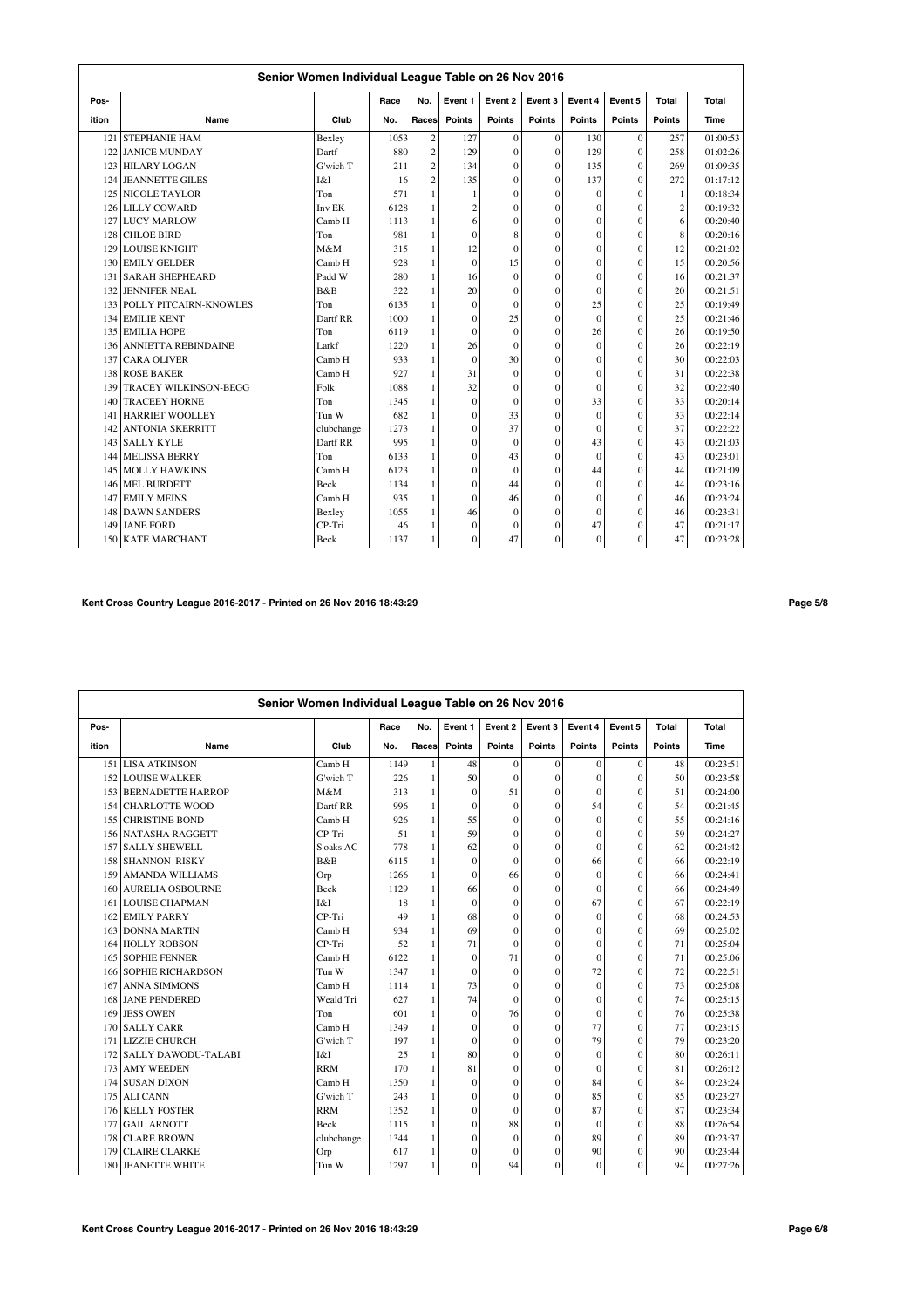|       | Senior Women Individual League Table on 26 Nov 2016 |             |      |                |                |               |                |              |          |                |          |  |
|-------|-----------------------------------------------------|-------------|------|----------------|----------------|---------------|----------------|--------------|----------|----------------|----------|--|
| Pos-  |                                                     |             | Race | No.            | Event 1        | Event 2       | Event 3        | Event 4      | Event 5  | Total          | Total    |  |
| ition | Name                                                | Club        | No.  | Races          | Points         | <b>Points</b> | <b>Points</b>  | Points       | Points   | <b>Points</b>  | Time     |  |
| 121   | <b>STEPHANIE HAM</b>                                | Bexley      | 1053 | $\overline{c}$ | 127            | $\mathbf{0}$  | $\theta$       | 130          | $\theta$ | 257            | 01:00:53 |  |
| 122   | <b>JANICE MUNDAY</b>                                | Dartf       | 880  | $\overline{c}$ | 129            | $\theta$      | $\mathbf{0}$   | 129          | $\Omega$ | 258            | 01:02:26 |  |
| 123   | <b>HILARY LOGAN</b>                                 | G'wich T    | 211  | $\overline{c}$ | 134            | $\theta$      | $\mathbf{0}$   | 135          | $\theta$ | 269            | 01:09:35 |  |
| 124   | <b>JEANNETTE GILES</b>                              | I&I         | 16   | $\overline{c}$ | 135            | $\mathbf{0}$  | $\overline{0}$ | 137          | $\theta$ | 272            | 01:17:12 |  |
| 125   | <b>NICOLE TAYLOR</b>                                | Ton         | 571  | 1              | 1              | $\theta$      | $\mathbf{0}$   | $\mathbf{0}$ | $\theta$ | 1              | 00:18:34 |  |
| 126   | <b>LILLY COWARD</b>                                 | Inv EK      | 6128 | 1              | $\overline{c}$ | $\Omega$      | $\mathbf{0}$   | $\mathbf{0}$ | $\theta$ | $\overline{c}$ | 00:19:32 |  |
| 127   | <b>LUCY MARLOW</b>                                  | Camb H      | 1113 | 1              | 6              | $\theta$      | $\theta$       | $\theta$     | $\theta$ | 6              | 00:20:40 |  |
| 128   | <b>CHLOE BIRD</b>                                   | Ton         | 981  | 1              | $\mathbf{0}$   | 8             | $\mathbf{0}$   | $\mathbf{0}$ | $\theta$ | 8              | 00:20:16 |  |
| 129   | <b>LOUISE KNIGHT</b>                                | M&M         | 315  | 1              | 12             | $\theta$      | $\mathbf{0}$   | $\theta$     | $\Omega$ | 12             | 00:21:02 |  |
| 130   | <b>EMILY GELDER</b>                                 | Camb H      | 928  | $\mathbf{1}$   | $\mathbf{0}$   | 15            | $\mathbf{0}$   | $\mathbf{0}$ | $\theta$ | 15             | 00:20:56 |  |
| 131   | <b>SARAH SHEPHEARD</b>                              | Padd W      | 280  | $\mathbf{1}$   | 16             | $\mathbf{0}$  | $\mathbf{0}$   | $\mathbf{0}$ | $\theta$ | 16             | 00:21:37 |  |
| 132   | <b>JENNIFER NEAL</b>                                | B&B         | 322  | 1              | 20             | $\Omega$      | $\mathbf{0}$   | $\mathbf{0}$ | $\theta$ | 20             | 00:21:51 |  |
| 133   | POLLY PITCAIRN-KNOWLES                              | Ton         | 6135 | 1              | $\theta$       | $\Omega$      | $\theta$       | 25           | $\theta$ | 25             | 00:19:49 |  |
| 134   | <b>EMILIE KENT</b>                                  | Dartf RR    | 1000 | 1              | $\mathbf{0}$   | 25            | $\mathbf{0}$   | $\theta$     | $\Omega$ | 25             | 00:21:46 |  |
| 135   | <b>EMILIA HOPE</b>                                  | Ton         | 6119 | $\mathbf{1}$   | $\mathbf{0}$   | $\theta$      | $\overline{0}$ | 26           | $\Omega$ | 26             | 00:19:50 |  |
| 136   | <b>ANNIETTA REBINDAINE</b>                          | Larkf       | 1220 | $\mathbf{1}$   | 26             | $\Omega$      | $\mathbf{0}$   | $\theta$     | $\theta$ | 26             | 00:22:19 |  |
| 137   | <b>CARA OLIVER</b>                                  | Camb H      | 933  | 1              | $\mathbf{0}$   | 30            | $\overline{0}$ | $\mathbf{0}$ | $\theta$ | 30             | 00:22:03 |  |
| 138   | <b>ROSE BAKER</b>                                   | Camb H      | 927  | 1              | 31             | $\mathbf{0}$  | $\mathbf{0}$   | $\mathbf{0}$ | $\theta$ | 31             | 00:22:38 |  |
| 139   | <b>TRACEY WILKINSON-BEGG</b>                        | Folk        | 1088 | 1              | 32             | $\mathbf{0}$  | $\mathbf{0}$   | $\mathbf{0}$ | $\theta$ | 32             | 00:22:40 |  |
| 140   | <b>TRACEEY HORNE</b>                                | Ton         | 1345 | 1              | $\mathbf{0}$   | $\Omega$      | $\mathbf{0}$   | 33           | $\theta$ | 33             | 00:20:14 |  |
| 141   | <b>HARRIET WOOLLEY</b>                              | Tun W       | 682  | 1              | $\mathbf{0}$   | 33            | $\overline{0}$ | $\theta$     | $\theta$ | 33             | 00:22:14 |  |
| 142   | <b>ANTONIA SKERRITT</b>                             | clubchange  | 1273 | 1              | $\mathbf{0}$   | 37            | $\mathbf{0}$   | $\theta$     | $\theta$ | 37             | 00:22:22 |  |
| 143   | <b>SALLY KYLE</b>                                   | Dartf RR    | 995  | $\mathbf{1}$   | $\mathbf{0}$   | $\Omega$      | $\overline{0}$ | 43           | $\Omega$ | 43             | 00:21:03 |  |
| 144   | <b>MELISSA BERRY</b>                                | Ton         | 6133 | $\mathbf{1}$   | $\theta$       | 43            | $\mathbf{0}$   | $\theta$     | $\Omega$ | 43             | 00:23:01 |  |
| 145   | <b>MOLLY HAWKINS</b>                                | Camb H      | 6123 | $\mathbf{1}$   | $\mathbf{0}$   | $\mathbf{0}$  | $\mathbf{0}$   | 44           | $\theta$ | 44             | 00:21:09 |  |
| 146   | <b>MEL BURDETT</b>                                  | <b>Beck</b> | 1134 | 1              | $\mathbf{0}$   | 44            | $\mathbf{0}$   | $\mathbf{0}$ | $\theta$ | 44             | 00:23:16 |  |
| 147   | <b>EMILY MEINS</b>                                  | Camb H      | 935  | 1              | $\theta$       | 46            | $\mathbf{0}$   | $\mathbf{0}$ | $\theta$ | 46             | 00:23:24 |  |
| 148   | <b>DAWN SANDERS</b>                                 | Bexley      | 1055 | 1              | 46             | $\mathbf{0}$  | $\overline{0}$ | $\mathbf{0}$ | $\theta$ | 46             | 00:23:31 |  |
| 149   | <b>JANE FORD</b>                                    | CP-Tri      | 46   | 1              | $\mathbf{0}$   | $\theta$      | $\mathbf{0}$   | 47           | $\Omega$ | 47             | 00:21:17 |  |
| 150   | <b>KATE MARCHANT</b>                                | <b>Beck</b> | 1137 | 1              | $\theta$       | 47            | $\theta$       | $\theta$     | $\theta$ | 47             | 00:23:28 |  |

# **Kent Cross Country League 2016-2017 - Printed on 26 Nov 2016 18:43:29 Page 5/8**

|       |                              | Senior Women Individual League Table on 26 Nov 2016 |      |              |              |               |               |               |              |               |          |
|-------|------------------------------|-----------------------------------------------------|------|--------------|--------------|---------------|---------------|---------------|--------------|---------------|----------|
| Pos-  |                              |                                                     | Race | No.          | Event 1      | Event 2       | Event 3       | Event 4       | Event 5      | Total         | Total    |
| ition | Name                         | Club                                                | No.  | Races        | Points       | <b>Points</b> | <b>Points</b> | <b>Points</b> | Points       | <b>Points</b> | Time     |
|       | 151 LISA ATKINSON            | Camb H                                              | 1149 | 1            | 48           | $\Omega$      | $\mathbf{0}$  | $\theta$      | $\mathbf{0}$ | 48            | 00:23:51 |
|       | <b>152 LOUISE WALKER</b>     | G'wich T                                            | 226  | 1            | 50           | $\theta$      | $\Omega$      | $\theta$      | $\theta$     | 50            | 00:23:58 |
|       | 153 BERNADETTE HARROP        | M&M                                                 | 313  | 1            | $\mathbf{0}$ | 51            | $\mathbf{0}$  | $\mathbf{0}$  | $\theta$     | 51            | 00:24:00 |
|       | 154 CHARLOTTE WOOD           | Dartf RR                                            | 996  | $\mathbf{1}$ | $\mathbf{0}$ | $\Omega$      | $\mathbf{0}$  | 54            | $\theta$     | 54            | 00:21:45 |
|       | <b>155 CHRISTINE BOND</b>    | Camb H                                              | 926  | 1            | 55           | $\Omega$      | $\mathbf{0}$  | $\Omega$      | $\theta$     | 55            | 00:24:16 |
|       | 156 NATASHA RAGGETT          | CP-Tri                                              | 51   | 1            | 59           | $\Omega$      | $\mathbf{0}$  | $\mathbf{0}$  | $\theta$     | 59            | 00:24:27 |
|       | 157 SALLY SHEWELL            | S'oaks AC                                           | 778  | 1            | 62           | $\mathbf{0}$  | $\mathbf{0}$  | $\mathbf{0}$  | $\Omega$     | 62            | 00:24:42 |
|       | <b>158 SHANNON RISKY</b>     | B&B                                                 | 6115 | 1            | $\mathbf{0}$ | $\Omega$      | $\mathbf{0}$  | 66            | $\theta$     | 66            | 00:22:19 |
| 159   | <b>AMANDA WILLIAMS</b>       | Orp                                                 | 1266 | 1            | $\mathbf{0}$ | 66            | $\mathbf{0}$  | $\mathbf{0}$  | $\theta$     | 66            | 00:24:41 |
|       | 160 AURELIA OSBOURNE         | <b>Beck</b>                                         | 1129 | 1            | 66           | $\Omega$      | $\mathbf{0}$  | $\mathbf{0}$  | $\theta$     | 66            | 00:24:49 |
|       | <b>161 LOUISE CHAPMAN</b>    | I&I                                                 | 18   | 1            | $\Omega$     | $\Omega$      | $\mathbf{0}$  | 67            | $\Omega$     | 67            | 00:22:19 |
|       | 162 EMILY PARRY              | CP-Tri                                              | 49   | 1            | 68           | $\Omega$      | $\mathbf{0}$  | $\Omega$      | $\theta$     | 68            | 00:24:53 |
|       | 163 DONNA MARTIN             | Camb H                                              | 934  | $\mathbf{1}$ | 69           | $\mathbf{0}$  | $\mathbf{0}$  | $\mathbf{0}$  | $\Omega$     | 69            | 00:25:02 |
|       | 164 HOLLY ROBSON             | CP-Tri                                              | 52   | 1            | 71           | $\theta$      | $\mathbf{0}$  | $\mathbf{0}$  | $\theta$     | 71            | 00:25:04 |
|       | <b>165 SOPHIE FENNER</b>     | Camb H                                              | 6122 | 1            | $\mathbf{0}$ | 71            | $\mathbf{0}$  | $\mathbf{0}$  | $\Omega$     | 71            | 00:25:06 |
|       | <b>166 SOPHIE RICHARDSON</b> | Tun W                                               | 1347 | 1            | $\Omega$     | $\Omega$      | $\Omega$      | 72            | $\theta$     | 72            | 00:22:51 |
| 167   | <b>ANNA SIMMONS</b>          | Camb H                                              | 1114 | 1            | 73           | $\Omega$      | $\mathbf{0}$  | $\mathbf{0}$  | $\Omega$     | 73            | 00:25:08 |
|       | <b>168 JANE PENDERED</b>     | Weald Tri                                           | 627  | 1            | 74           | $\theta$      | $\mathbf{0}$  | $\mathbf{0}$  | $\Omega$     | 74            | 00:25:15 |
| 169   | <b>JESS OWEN</b>             | Ton                                                 | 601  | 1            | $\mathbf{0}$ | 76            | $\mathbf{0}$  | $\Omega$      | $\theta$     | 76            | 00:25:38 |
|       | 170 SALLY CARR               | Camb H                                              | 1349 | $\mathbf{1}$ | $\mathbf{0}$ | $\mathbf{0}$  | $\mathbf{0}$  | 77            | $\theta$     | 77            | 00:23:15 |
|       | 171 LIZZIE CHURCH            | G'wich T                                            | 197  | 1            | $\mathbf{0}$ | $\Omega$      | $\mathbf{0}$  | 79            | $\theta$     | 79            | 00:23:20 |
|       | 172 SALLY DAWODU-TALABI      | I&I                                                 | 25   | 1            | 80           | $\theta$      | $\Omega$      | $\mathbf{0}$  | $\theta$     | 80            | 00:26:11 |
|       | 173 AMY WEEDEN               | <b>RRM</b>                                          | 170  | 1            | 81           | $\Omega$      | $\mathbf{0}$  | $\Omega$      | $\Omega$     | 81            | 00:26:12 |
|       | 174 SUSAN DIXON              | Camb H                                              | 1350 | 1            | $\mathbf{0}$ | $\Omega$      | $\mathbf{0}$  | 84            | $\Omega$     | 84            | 00:23:24 |
|       | 175 ALI CANN                 | G'wich T                                            | 243  | 1            | $\mathbf{0}$ | $\Omega$      | $\mathbf{0}$  | 85            | $\theta$     | 85            | 00:23:27 |
|       | 176 KELLY FOSTER             | <b>RRM</b>                                          | 1352 | $\mathbf{1}$ | $\mathbf{0}$ | $\theta$      | $\mathbf{0}$  | 87            | $\theta$     | 87            | 00:23:34 |
| 177   | <b>GAIL ARNOTT</b>           | Beck                                                | 1115 | $\mathbf{1}$ | $\mathbf{0}$ | 88            | $\mathbf{0}$  | $\mathbf{0}$  | $\mathbf{0}$ | 88            | 00:26:54 |
| 178   | <b>CLARE BROWN</b>           | clubchange                                          | 1344 | $\mathbf{1}$ | $\mathbf{0}$ | $\mathbf{0}$  | $\mathbf{0}$  | 89            | $\Omega$     | 89            | 00:23:37 |
| 179   | <b>CLAIRE CLARKE</b>         | Orp                                                 | 617  | 1            | 0            | $\Omega$      | $\mathbf{0}$  | 90            | $\Omega$     | 90            | 00:23:44 |
|       | 180 JEANETTE WHITE           | Tun W                                               | 1297 | $\mathbf{1}$ | $\mathbf{0}$ | 94            | $\mathbf{0}$  | $\mathbf{0}$  | $\Omega$     | 94            | 00:27:26 |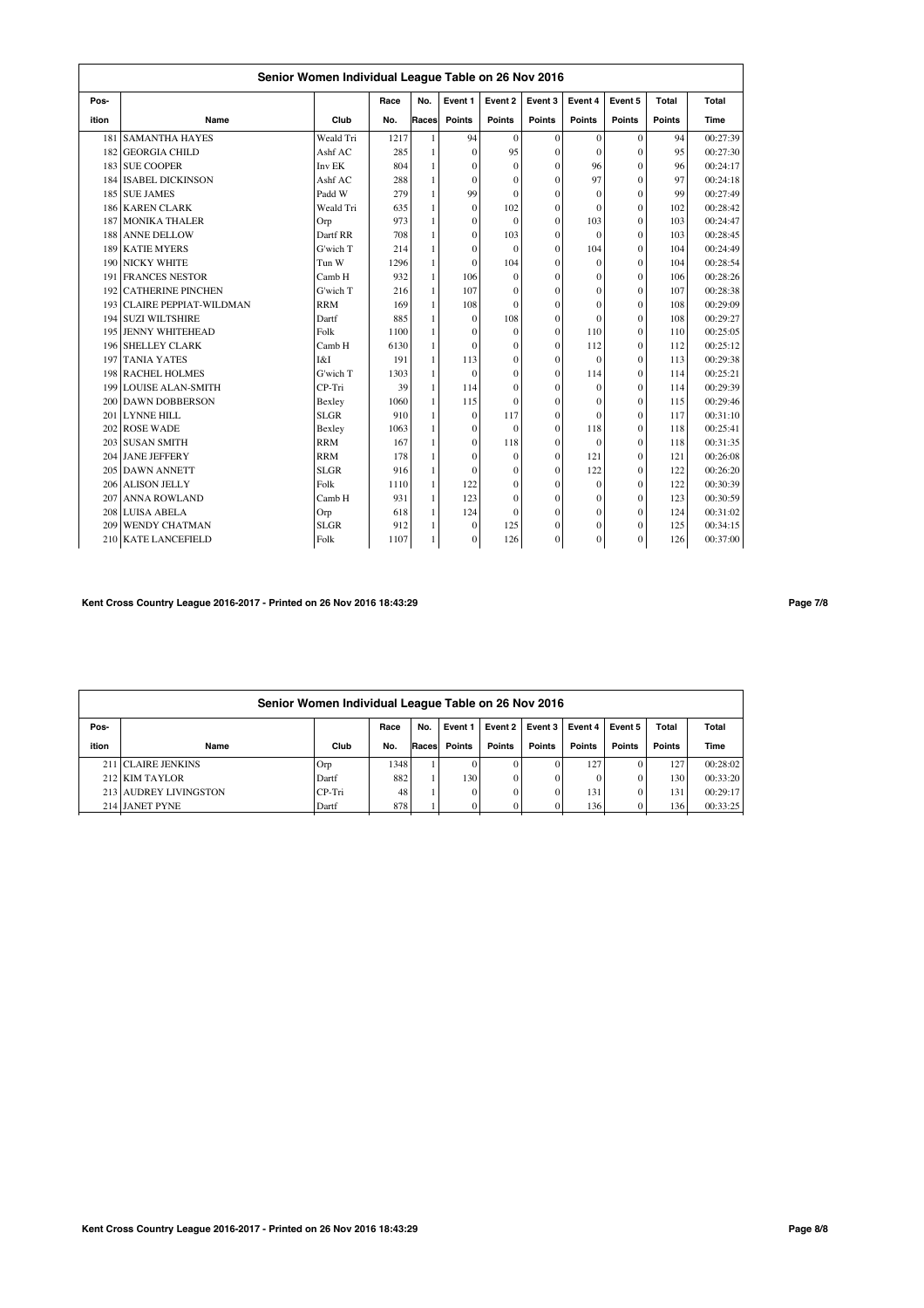|     | Senior Women Individual League Table on 26 Nov 2016<br>Event 5<br>No.<br>Event 1<br>Event 2<br>Event 3<br>Event 4<br>Total<br>Total<br>Pos-<br>Race<br>Club<br>Races<br>Points<br><b>Points</b><br><b>Points</b><br>Points<br>Points<br><b>Points</b><br>Time<br>ition<br>Name<br>No.<br>94<br>1217<br>$\mathbf{0}$<br>$\mathbf{0}$<br>$\mathbf{0}$<br>94<br>181<br><b>SAMANTHA HAYES</b><br>Weald Tri<br>$\mathbf{1}$<br>$\theta$ |             |      |              |              |                |                |          |              |     |          |
|-----|------------------------------------------------------------------------------------------------------------------------------------------------------------------------------------------------------------------------------------------------------------------------------------------------------------------------------------------------------------------------------------------------------------------------------------|-------------|------|--------------|--------------|----------------|----------------|----------|--------------|-----|----------|
|     |                                                                                                                                                                                                                                                                                                                                                                                                                                    |             |      |              |              |                |                |          |              |     |          |
|     |                                                                                                                                                                                                                                                                                                                                                                                                                                    |             |      |              |              |                |                |          |              |     |          |
|     |                                                                                                                                                                                                                                                                                                                                                                                                                                    |             |      |              |              |                |                |          |              |     | 00:27:39 |
|     | 182 GEORGIA CHILD                                                                                                                                                                                                                                                                                                                                                                                                                  | Ashf AC     | 285  | 1            | $\theta$     | 95             | $\theta$       | $\theta$ | $\Omega$     | 95  | 00:27:30 |
|     | 183 SUE COOPER                                                                                                                                                                                                                                                                                                                                                                                                                     | Inv EK      | 804  | 1            | $\Omega$     | $\theta$       | $\mathbf{0}$   | 96       | $\theta$     | 96  | 00:24:17 |
|     | 184 ISABEL DICKINSON                                                                                                                                                                                                                                                                                                                                                                                                               | Ashf AC     | 288  | 1            | $\theta$     | $\theta$       | $\mathbf{0}$   | 97       | $\theta$     | 97  | 00:24:18 |
|     | 185 SUE JAMES                                                                                                                                                                                                                                                                                                                                                                                                                      | Padd W      | 279  | $\mathbf{1}$ | 99           | $\theta$       | $\overline{0}$ | $\Omega$ | $\theta$     | 99  | 00:27:49 |
|     | 186 KAREN CLARK                                                                                                                                                                                                                                                                                                                                                                                                                    | Weald Tri   | 635  | $\mathbf{1}$ | $\Omega$     | 102            | $\mathbf{0}$   | $\Omega$ | $\theta$     | 102 | 00:28:42 |
|     | 187 MONIKA THALER                                                                                                                                                                                                                                                                                                                                                                                                                  | Orp         | 973  | $\mathbf{1}$ | $\mathbf{0}$ | $\Omega$       | $\mathbf{0}$   | 103      | $\Omega$     | 103 | 00:24:47 |
|     | 188 ANNE DELLOW                                                                                                                                                                                                                                                                                                                                                                                                                    | Dartf RR    | 708  | $\mathbf{1}$ | $\mathbf{0}$ | 103            | $\mathbf{0}$   | $\theta$ | $\mathbf{0}$ | 103 | 00:28:45 |
|     | 189 KATIE MYERS                                                                                                                                                                                                                                                                                                                                                                                                                    | G'wich T    | 214  | $\mathbf{1}$ | $\mathbf{0}$ | $\theta$       | $\theta$       | 104      | $\mathbf{0}$ | 104 | 00:24:49 |
| 190 | <b>NICKY WHITE</b>                                                                                                                                                                                                                                                                                                                                                                                                                 | Tun W       | 1296 | $\mathbf{1}$ | $\theta$     | 104            | $\mathbf{0}$   | $\Omega$ | $\theta$     | 104 | 00:28:54 |
| 191 | <b>FRANCES NESTOR</b>                                                                                                                                                                                                                                                                                                                                                                                                              | Camb H      | 932  | 1            | 106          | $\theta$       | $\theta$       | $\Omega$ | $\theta$     | 106 | 00:28:26 |
| 192 | <b>CATHERINE PINCHEN</b>                                                                                                                                                                                                                                                                                                                                                                                                           | G'wich T    | 216  | 1            | 107          | $\theta$       | $\overline{0}$ | $\theta$ | $\theta$     | 107 | 00:28:38 |
| 193 | <b>CLAIRE PEPPIAT-WILDMAN</b>                                                                                                                                                                                                                                                                                                                                                                                                      | <b>RRM</b>  | 169  | $\mathbf{1}$ | 108          | $\theta$       | $\overline{0}$ | $\Omega$ | $\theta$     | 108 | 00:29:09 |
|     | 194 SUZI WILTSHIRE                                                                                                                                                                                                                                                                                                                                                                                                                 | Dartf       | 885  | $\mathbf{1}$ | $\mathbf{0}$ | 108            | $\mathbf{0}$   | $\theta$ | $\mathbf{0}$ | 108 | 00:29:27 |
|     | 195 JENNY WHITEHEAD                                                                                                                                                                                                                                                                                                                                                                                                                | Folk        | 1100 | $\mathbf{1}$ | $\theta$     | $\theta$       | $\overline{0}$ | 110      | $\theta$     | 110 | 00:25:05 |
|     | <b>196 SHELLEY CLARK</b>                                                                                                                                                                                                                                                                                                                                                                                                           | Camb H      | 6130 | $\mathbf{1}$ | $\theta$     | $\mathbf{0}$   | $\theta$       | 112      | $\mathbf{0}$ | 112 | 00:25:12 |
|     | 197 TANIA YATES                                                                                                                                                                                                                                                                                                                                                                                                                    | I&I         | 191  | $\mathbf{1}$ | 113          | $\theta$       | $\mathbf{0}$   | $\theta$ | $\mathbf{0}$ | 113 | 00:29:38 |
|     | 198 RACHEL HOLMES                                                                                                                                                                                                                                                                                                                                                                                                                  | G'wich T    | 1303 | 1            | $\mathbf{0}$ | $\overline{0}$ | $\mathbf{0}$   | 114      | $\mathbf{0}$ | 114 | 00:25:21 |
|     | 199 LOUISE ALAN-SMITH                                                                                                                                                                                                                                                                                                                                                                                                              | CP-Tri      | 39   | $\mathbf{1}$ | 114          | $\theta$       | $\theta$       | $\theta$ | $\theta$     | 114 | 00:29:39 |
|     | 200 DAWN DOBBERSON                                                                                                                                                                                                                                                                                                                                                                                                                 | Bexley      | 1060 | 1            | 115          | $\Omega$       | $\overline{0}$ | $\theta$ | $\theta$     | 115 | 00:29:46 |
| 201 | <b>LYNNE HILL</b>                                                                                                                                                                                                                                                                                                                                                                                                                  | <b>SLGR</b> | 910  | 1            | $\mathbf{0}$ | 117            | $\overline{0}$ | $\Omega$ | $\theta$     | 117 | 00:31:10 |
|     | 202 ROSE WADE                                                                                                                                                                                                                                                                                                                                                                                                                      | Bexley      | 1063 | 1            | $\mathbf{0}$ | $\mathbf{0}$   | $\mathbf{0}$   | 118      | $\mathbf{0}$ | 118 | 00:25:41 |
|     | 203 SUSAN SMITH                                                                                                                                                                                                                                                                                                                                                                                                                    | <b>RRM</b>  | 167  | 1            | $\mathbf{0}$ | 118            | $\mathbf{0}$   | $\Omega$ | $\theta$     | 118 | 00:31:35 |
|     | 204 JANE JEFFERY                                                                                                                                                                                                                                                                                                                                                                                                                   | <b>RRM</b>  | 178  | 1            | $\theta$     | $\mathbf{0}$   | $\mathbf{0}$   | 121      | $\mathbf{0}$ | 121 | 00:26:08 |
|     | 205 DAWN ANNETT                                                                                                                                                                                                                                                                                                                                                                                                                    | <b>SLGR</b> | 916  | $\mathbf{1}$ | $\mathbf{0}$ | $\mathbf{0}$   | $\mathbf{0}$   | 122      | $\mathbf{0}$ | 122 | 00:26:20 |
|     | 206 ALISON JELLY                                                                                                                                                                                                                                                                                                                                                                                                                   | Folk        | 1110 | $\mathbf{1}$ | 122          | $\theta$       | $\Omega$       | $\theta$ | $\theta$     | 122 | 00:30:39 |
|     | 207 ANNA ROWLAND                                                                                                                                                                                                                                                                                                                                                                                                                   | Camb H      | 931  | $\mathbf{1}$ | 123          | $\theta$       | $\mathbf{0}$   | $\theta$ | $\mathbf{0}$ | 123 | 00:30:59 |
|     | 208 LUISA ABELA                                                                                                                                                                                                                                                                                                                                                                                                                    | Orp         | 618  | $\mathbf{1}$ | 124          | $\mathbf{0}$   | $\mathbf{0}$   | $\theta$ | $\mathbf{0}$ | 124 | 00:31:02 |
| 209 | <b>WENDY CHATMAN</b>                                                                                                                                                                                                                                                                                                                                                                                                               | <b>SLGR</b> | 912  | 1            | $\Omega$     | 125            | $\mathbf{0}$   | $\Omega$ | $\Omega$     | 125 | 00:34:15 |
|     | 210 KATE LANCEFIELD                                                                                                                                                                                                                                                                                                                                                                                                                | Folk        | 1107 | 1            | $\mathbf{0}$ | 126            | $\mathbf{0}$   | $\theta$ | $\theta$     | 126 | 00:37:00 |

## **Kent Cross Country League 2016-2017 - Printed on 26 Nov 2016 18:43:29 Page 7/8**

|       | Senior Women Individual League Table on 26 Nov 2016 |        |      |        |                |         |         |               |         |        |          |  |
|-------|-----------------------------------------------------|--------|------|--------|----------------|---------|---------|---------------|---------|--------|----------|--|
| Pos-  |                                                     |        | Race | No.    | Event 1        | Event 2 | Event 3 | Event 4 l     | Event 5 | Total  | Total    |  |
| ition | Name                                                | Club   | No.  | Racesl | Points         | Points  | Points  | <b>Points</b> | Points  | Points | Time     |  |
|       | 211 CLAIRE JENKINS                                  | Orp    | 1348 |        | $\Omega$       |         |         | 127           |         | 127    | 00:28:02 |  |
|       | 212 KIM TAYLOR                                      | Dartf  | 882  |        | 130            |         |         |               |         | 130    | 00:33:20 |  |
|       | 213 AUDREY LIVINGSTON                               | CP-Tri | 48   |        | $\overline{0}$ |         |         | 131           |         | 131    | 00:29:17 |  |
|       | 214 JANET PYNE                                      | Dartf  | 878  |        | $\Omega$       |         |         | 136           |         | 136    | 00:33:25 |  |